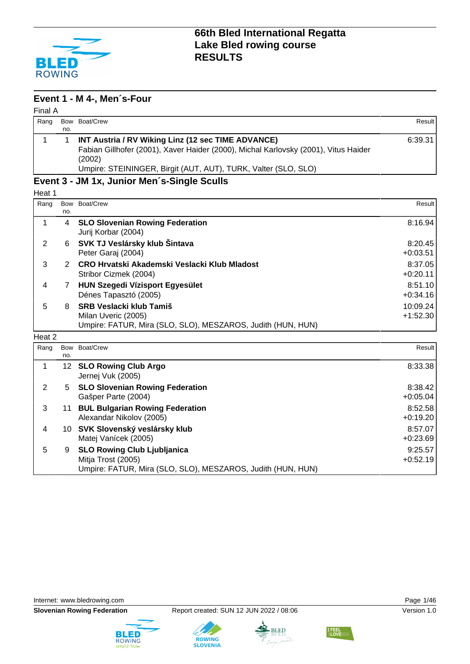

#### **Event 1 - M 4-, Men´s-Four**

| Final A |     |                                                                                               |         |
|---------|-----|-----------------------------------------------------------------------------------------------|---------|
| Rang    |     | Bow Boat/Crew                                                                                 | Result  |
|         | no. |                                                                                               |         |
|         |     | INT Austria / RV Wiking Linz (12 sec TIME ADVANCE)                                            | 6:39.31 |
|         |     | Fabian Gillhofer (2001), Xaver Haider (2000), Michal Karlovsky (2001), Vitus Haider<br>(2002) |         |
|         |     | Umpire: STEININGER, Birgit (AUT, AUT), TURK, Valter (SLO, SLO)                                |         |

### **Event 3 - JM 1x, Junior Men´s-Single Sculls**

Heat 1

| Rang   |     | Bow Boat/Crew                                               | Result     |
|--------|-----|-------------------------------------------------------------|------------|
|        | no. |                                                             |            |
|        | 4   | <b>SLO Slovenian Rowing Federation</b>                      | 8:16.94    |
|        |     | Jurij Korbar (2004)                                         |            |
| 2      | 6   | SVK TJ Veslársky klub Šintava                               | 8:20.45    |
|        |     | Peter Garaj (2004)                                          | $+0:03.51$ |
| 3      | 2   | CRO Hrvatski Akademski Veslacki Klub Mladost                | 8:37.05    |
|        |     | Stribor Cizmek (2004)                                       | $+0:20.11$ |
| 4      |     | <b>HUN Szegedi Vízisport Egyesület</b>                      | 8:51.10    |
|        |     | Dénes Tapasztó (2005)                                       | $+0:34.16$ |
| 5      | 8   | <b>SRB Veslacki klub Tamiš</b>                              | 10:09.24   |
|        |     | Milan Uveric (2005)                                         | $+1:52.30$ |
|        |     | Umpire: FATUR, Mira (SLO, SLO), MESZAROS, Judith (HUN, HUN) |            |
| Heat 2 |     |                                                             |            |

| Rang | no. | Bow Boat/Crew                                                                                                           | Result                |
|------|-----|-------------------------------------------------------------------------------------------------------------------------|-----------------------|
|      |     | 12 SLO Rowing Club Argo<br>Jernej Vuk (2005)                                                                            | 8:33.38               |
| 2    |     | 5 SLO Slovenian Rowing Federation<br>Gašper Parte (2004)                                                                | 8:38.42<br>$+0.05.04$ |
| 3    |     | 11 BUL Bulgarian Rowing Federation<br>Alexandar Nikolov (2005)                                                          | 8:52.58<br>$+0:19.20$ |
| 4    |     | 10 SVK Slovenský veslársky klub<br>Matej Vanícek (2005)                                                                 | 8:57.07<br>$+0:23.69$ |
| 5    | 9   | <b>SLO Rowing Club Ljubljanica</b><br>Mitja Trost (2005)<br>Umpire: FATUR, Mira (SLO, SLO), MESZAROS, Judith (HUN, HUN) | 9:25.57<br>$+0.52.19$ |



tean events



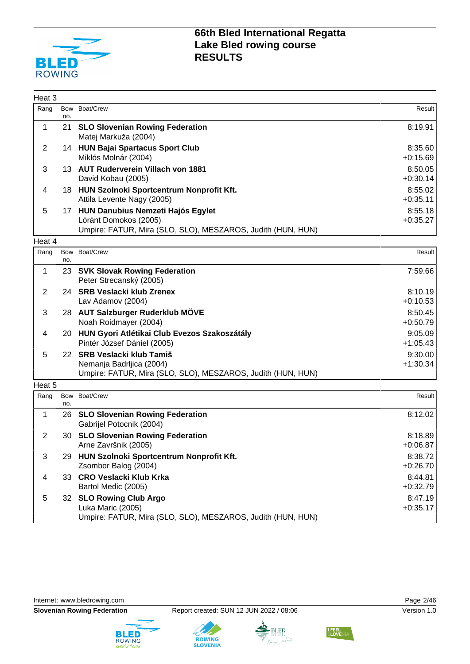

| Heat <sub>3</sub> |            |                                                                                                                              |                       |
|-------------------|------------|------------------------------------------------------------------------------------------------------------------------------|-----------------------|
| Rang              | no.        | Bow Boat/Crew                                                                                                                | Result                |
| 1                 | 21         | <b>SLO Slovenian Rowing Federation</b><br>Matej Markuža (2004)                                                               | 8:19.91               |
| $\overline{2}$    |            | 14 HUN Bajai Spartacus Sport Club<br>Miklós Molnár (2004)                                                                    | 8:35.60<br>$+0.15.69$ |
| 3                 |            | 13 AUT Ruderverein Villach von 1881<br>David Kobau (2005)                                                                    | 8:50.05<br>$+0:30.14$ |
| 4                 |            | 18 HUN Szolnoki Sportcentrum Nonprofit Kft.<br>Attila Levente Nagy (2005)                                                    | 8:55.02<br>$+0:35.11$ |
| 5                 |            | 17 HUN Danubius Nemzeti Hajós Egylet<br>Lóránt Domokos (2005)<br>Umpire: FATUR, Mira (SLO, SLO), MESZAROS, Judith (HUN, HUN) | 8:55.18<br>$+0:35.27$ |
| Heat 4            |            |                                                                                                                              |                       |
| Rang              | no.        | Bow Boat/Crew                                                                                                                | Result                |
| 1                 | 23         | <b>SVK Slovak Rowing Federation</b><br>Peter Strecanský (2005)                                                               | 7:59.66               |
| $\overline{2}$    |            | 24 SRB Veslacki klub Zrenex<br>Lav Adamov (2004)                                                                             | 8:10.19<br>$+0:10.53$ |
| 3                 |            | 28 AUT Salzburger Ruderklub MÖVE<br>Noah Roidmayer (2004)                                                                    | 8:50.45<br>$+0:50.79$ |
| 4                 | 20         | HUN Gyori Atlétikai Club Evezos Szakoszátály<br>Pintér József Dániel (2005)                                                  | 9:05.09<br>$+1:05.43$ |
| 5                 |            | 22 SRB Veslacki klub Tamiš<br>Nemanja Badrljica (2004)<br>Umpire: FATUR, Mira (SLO, SLO), MESZAROS, Judith (HUN, HUN)        | 9:30.00<br>$+1:30.34$ |
| Heat 5            |            |                                                                                                                              |                       |
| Rang              | Bow<br>no. | Boat/Crew                                                                                                                    | Result                |
| 1                 | 26         | <b>SLO Slovenian Rowing Federation</b><br>Gabrijel Potocnik (2004)                                                           | 8:12.02               |
| $\overline{2}$    | 30         | <b>SLO Slovenian Rowing Federation</b><br>Arne Završnik (2005)                                                               | 8:18.89<br>$+0.06.87$ |
| 3                 |            | 29 HUN Szolnoki Sportcentrum Nonprofit Kft.<br>Zsombor Balog (2004)                                                          | 8:38.72<br>$+0:26.70$ |
| $\overline{4}$    |            | 33 CRO Veslacki Klub Krka<br>Bartol Medic (2005)                                                                             | 8:44.81<br>$+0:32.79$ |
| 5                 |            | 32 SLO Rowing Club Argo<br>Luka Maric (2005)<br>Umpire: FATUR, Mira (SLO, SLO), MESZAROS, Judith (HUN, HUN)                  | 8:47.19<br>$+0:35.17$ |

Internet: [www.bledrowing.com](http://www.bledrowing.com) **Page 2/46** 









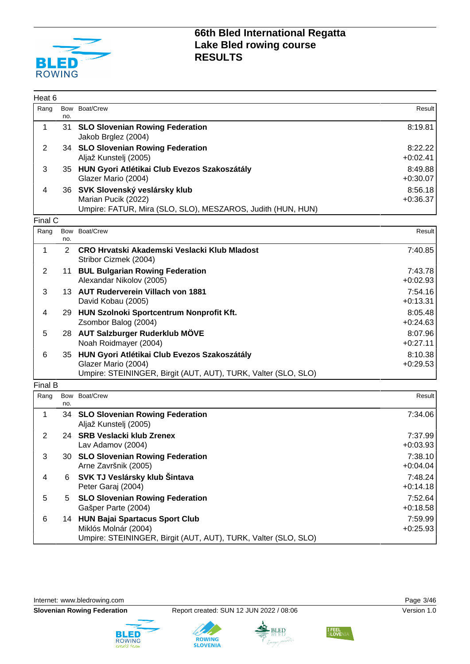

| Heat 6         |                |                                                                                                                             |                       |
|----------------|----------------|-----------------------------------------------------------------------------------------------------------------------------|-----------------------|
| Rang           | no.            | Bow Boat/Crew                                                                                                               | Result                |
| 1              |                | 31 SLO Slovenian Rowing Federation<br>Jakob Brglez (2004)                                                                   | 8:19.81               |
| $\overline{2}$ |                | 34 SLO Slovenian Rowing Federation                                                                                          | 8:22.22               |
|                |                | Aljaž Kunstelj (2005)                                                                                                       | $+0:02.41$            |
| 3              |                | 35 HUN Gyori Atlétikai Club Evezos Szakoszátály<br>Glazer Mario (2004)                                                      | 8:49.88<br>$+0.30.07$ |
| 4              |                | 36 SVK Slovenský veslársky klub<br>Marian Pucik (2022)<br>Umpire: FATUR, Mira (SLO, SLO), MESZAROS, Judith (HUN, HUN)       | 8:56.18<br>$+0:36.37$ |
| Final C        |                |                                                                                                                             |                       |
| Rang           | no.            | Bow Boat/Crew                                                                                                               | Result                |
| 1              | $\overline{2}$ | CRO Hrvatski Akademski Veslacki Klub Mladost<br>Stribor Cizmek (2004)                                                       | 7:40.85               |
| $\overline{2}$ |                | 11 BUL Bulgarian Rowing Federation<br>Alexandar Nikolov (2005)                                                              | 7:43.78<br>$+0.02.93$ |
| 3              |                | 13 AUT Ruderverein Villach von 1881<br>David Kobau (2005)                                                                   | 7:54.16<br>$+0:13.31$ |
| 4              |                | 29 HUN Szolnoki Sportcentrum Nonprofit Kft.<br>Zsombor Balog (2004)                                                         | 8:05.48<br>$+0:24.63$ |
| 5              |                | 28 AUT Salzburger Ruderklub MÖVE                                                                                            | 8:07.96               |
|                |                | Noah Roidmayer (2004)                                                                                                       | $+0:27.11$            |
| 6              |                | 35 HUN Gyori Atlétikai Club Evezos Szakoszátály                                                                             | 8:10.38               |
|                |                | Glazer Mario (2004)<br>Umpire: STEININGER, Birgit (AUT, AUT), TURK, Valter (SLO, SLO)                                       | $+0.29.53$            |
| Final B        |                |                                                                                                                             |                       |
| Rang           | Bow<br>no.     | Boat/Crew                                                                                                                   | Result                |
| 1              |                | 34 SLO Slovenian Rowing Federation<br>Aljaž Kunstelj (2005)                                                                 | 7:34.06               |
| $\overline{2}$ | 24             | <b>SRB Veslacki klub Zrenex</b><br>Lav Adamov (2004)                                                                        | 7:37.99<br>$+0.03.93$ |
| 3              |                | 30 SLO Slovenian Rowing Federation<br>Arne Završnik (2005)                                                                  | 7:38.10<br>$+0.04.04$ |
| 4              | 6              | SVK TJ Veslársky klub Šintava<br>Peter Garaj (2004)                                                                         | 7:48.24<br>$+0:14.18$ |
| 5              | 5              | <b>SLO Slovenian Rowing Federation</b>                                                                                      | 7:52.64               |
|                |                | Gašper Parte (2004)                                                                                                         | $+0.18.58$            |
| 6              |                | 14 HUN Bajai Spartacus Sport Club<br>Miklós Molnár (2004)<br>Umpire: STEININGER, Birgit (AUT, AUT), TURK, Valter (SLO, SLO) | 7:59.99<br>$+0.25.93$ |



**ROWING**<br>SLOVENIA



**I FEEL**<br>SLOVEN

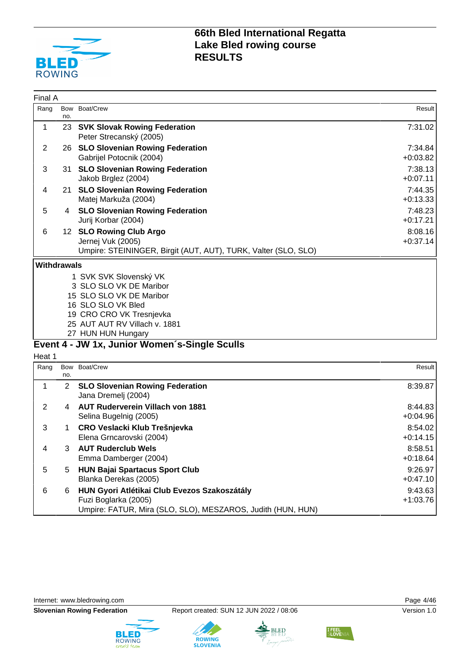

| Final A            |            |                                                                                                                                     |                       |
|--------------------|------------|-------------------------------------------------------------------------------------------------------------------------------------|-----------------------|
| Rang               | no.        | Bow Boat/Crew                                                                                                                       | Result                |
| 1                  |            | 23 SVK Slovak Rowing Federation<br>Peter Strecanský (2005)                                                                          | 7:31.02               |
| $\overline{2}$     |            | 26 SLO Slovenian Rowing Federation<br>Gabrijel Potocnik (2004)                                                                      | 7:34.84<br>$+0:03.82$ |
| 3                  | 31         | <b>SLO Slovenian Rowing Federation</b><br>Jakob Brglez (2004)                                                                       | 7:38.13<br>$+0:07.11$ |
| 4                  |            | 21 SLO Slovenian Rowing Federation<br>Matej Markuža (2004)                                                                          | 7:44.35<br>$+0:13.33$ |
| 5                  | 4          | <b>SLO Slovenian Rowing Federation</b><br>Jurij Korbar (2004)                                                                       | 7:48.23<br>$+0:17.21$ |
| 6                  |            | 12 SLO Rowing Club Argo<br>Jernej Vuk (2005)<br>Umpire: STEININGER, Birgit (AUT, AUT), TURK, Valter (SLO, SLO)                      | 8:08.16<br>$+0:37.14$ |
| <b>Withdrawals</b> |            |                                                                                                                                     |                       |
|                    |            | 1 SVK SVK Slovenský VK<br>3 SLO SLO VK DE Maribor<br>15 SLO SLO VK DE Maribor<br>16 SLO SLO VK Bled<br>19 CRO CRO VK Tresnjevka     |                       |
|                    |            | 25 AUT AUT RV Villach v. 1881                                                                                                       |                       |
|                    |            | 27 HUN HUN Hungary                                                                                                                  |                       |
|                    |            | Event 4 - JW 1x, Junior Women's-Single Sculls                                                                                       |                       |
| Heat 1<br>Rang     | Bow<br>no. | Boat/Crew                                                                                                                           | Result                |
| 1                  | 2          | <b>SLO Slovenian Rowing Federation</b><br>Jana Dremelj (2004)                                                                       | 8:39.87               |
| $\overline{2}$     |            | 4 AUT Ruderverein Villach von 1881<br>Selina Bugelnig (2005)                                                                        | 8:44.83<br>$+0.04.96$ |
| 3                  | 1          | CRO Veslacki Klub Trešnjevka<br>Elena Grncarovski (2004)                                                                            | 8:54.02<br>$+0:14.15$ |
| 4                  |            | <b>AUT Ruderclub Wels</b><br>Emma Damberger (2004)                                                                                  | 8:58.51<br>$+0.18.64$ |
| 5                  | 5          | <b>HUN Bajai Spartacus Sport Club</b><br>Blanka Derekas (2005)                                                                      | 9:26.97<br>$+0:47.10$ |
| 6                  | 6          | HUN Gyori Atlétikai Club Evezos Szakoszátály<br>Fuzi Boglarka (2005)<br>Umpire: FATUR, Mira (SLO, SLO), MESZAROS, Judith (HUN, HUN) | 9:43.63<br>$+1:03.76$ |

Internet: [www.bledrowing.com](http://www.bledrowing.com) **Page 4/46** 



**ROWING**<br>SLOVENIA



I FEEL<br>SLOVEN

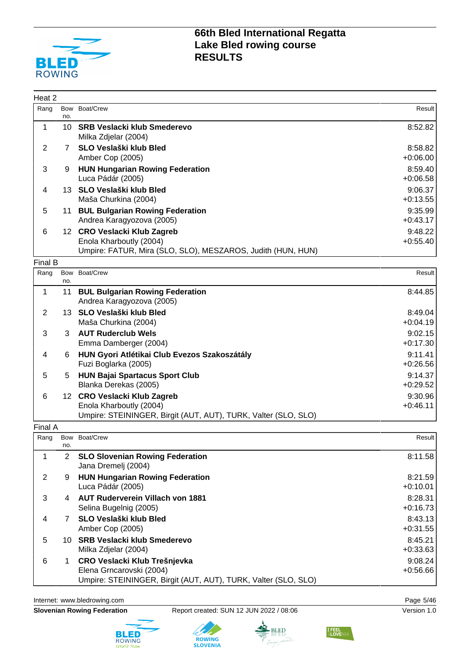

| Heat 2         |                |                                                                                                                            |                       |
|----------------|----------------|----------------------------------------------------------------------------------------------------------------------------|-----------------------|
| Rang           | no.            | Bow Boat/Crew                                                                                                              | Result                |
| 1              |                | 10 SRB Veslacki klub Smederevo<br>Milka Zdjelar (2004)                                                                     | 8:52.82               |
| 2              | $\overline{7}$ | SLO Veslaški klub Bled<br>Amber Cop (2005)                                                                                 | 8:58.82<br>$+0.06.00$ |
| 3              | 9              | <b>HUN Hungarian Rowing Federation</b><br>Luca Pádár (2005)                                                                | 8:59.40<br>$+0.06.58$ |
| 4              |                | 13 SLO Veslaški klub Bled<br>Maša Churkina (2004)                                                                          | 9:06.37<br>$+0:13.55$ |
| 5              | 11             | <b>BUL Bulgarian Rowing Federation</b><br>Andrea Karagyozova (2005)                                                        | 9:35.99<br>$+0:43.17$ |
| 6              |                | 12 CRO Veslacki Klub Zagreb<br>Enola Kharboutly (2004)<br>Umpire: FATUR, Mira (SLO, SLO), MESZAROS, Judith (HUN, HUN)      | 9:48.22<br>$+0.55.40$ |
| Final B        |                |                                                                                                                            |                       |
| Rang           | Bow<br>no.     | Boat/Crew                                                                                                                  | Result                |
| $\mathbf 1$    | 11             | <b>BUL Bulgarian Rowing Federation</b><br>Andrea Karagyozova (2005)                                                        | 8:44.85               |
| $\overline{2}$ |                | 13 SLO Veslaški klub Bled<br>Maša Churkina (2004)                                                                          | 8:49.04<br>$+0.04.19$ |
| 3              | 3              | <b>AUT Ruderclub Wels</b><br>Emma Damberger (2004)                                                                         | 9:02.15<br>$+0:17.30$ |
| 4              | 6              | HUN Gyori Atlétikai Club Evezos Szakoszátály<br>Fuzi Boglarka (2005)                                                       | 9:11.41<br>$+0.26.56$ |
| 5              | 5              | <b>HUN Bajai Spartacus Sport Club</b><br>Blanka Derekas (2005)                                                             | 9:14.37<br>$+0:29.52$ |
| 6              |                | 12 CRO Veslacki Klub Zagreb<br>Enola Kharboutly (2004)<br>Umpire: STEININGER, Birgit (AUT, AUT), TURK, Valter (SLO, SLO)   | 9:30.96<br>$+0:46.11$ |
| Final A        |                |                                                                                                                            |                       |
| Rang           | Bow<br>no.     | Boat/Crew                                                                                                                  | Result                |
| 1              | $\overline{2}$ | <b>SLO Slovenian Rowing Federation</b><br>Jana Dremelj (2004)                                                              | 8:11.58               |
| $\overline{2}$ | 9              | <b>HUN Hungarian Rowing Federation</b><br>Luca Pádár (2005)                                                                | 8:21.59<br>$+0:10.01$ |
| 3              |                | 4 AUT Ruderverein Villach von 1881<br>Selina Bugelnig (2005)                                                               | 8:28.31<br>$+0:16.73$ |
| 4              | $7^{\circ}$    | SLO Veslaški klub Bled<br>Amber Cop (2005)                                                                                 | 8:43.13<br>$+0:31.55$ |
| 5              |                | 10 SRB Veslacki klub Smederevo<br>Milka Zdjelar (2004)                                                                     | 8:45.21<br>$+0:33.63$ |
| 6              | 1              | CRO Veslacki Klub Trešnjevka<br>Elena Grncarovski (2004)<br>Umpire: STEININGER, Birgit (AUT, AUT), TURK, Valter (SLO, SLO) | 9:08.24<br>$+0.56.66$ |

Internet: [www.bledrowing.com](http://www.bledrowing.com) **Page 5/46** 



**Slovenian Rowing Federation** Report created: SUN 12 JUN 2022 / 08:06 Version 1.0





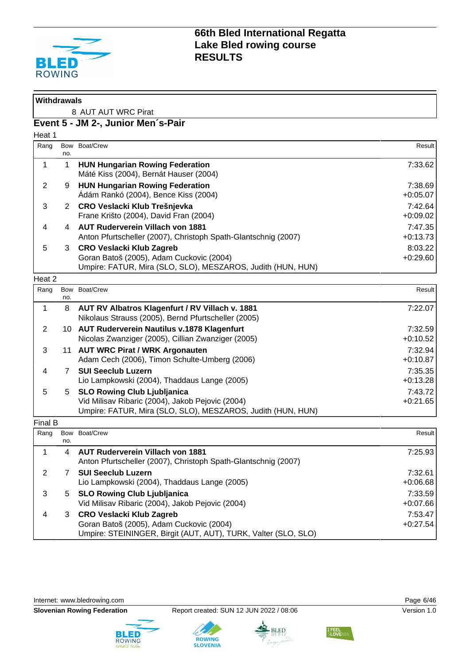

| <b>Withdrawals</b> |                     |                                                                                                                                                       |                       |  |  |
|--------------------|---------------------|-------------------------------------------------------------------------------------------------------------------------------------------------------|-----------------------|--|--|
|                    | 8 AUT AUT WRC Pirat |                                                                                                                                                       |                       |  |  |
|                    |                     | Event 5 - JM 2-, Junior Men's-Pair                                                                                                                    |                       |  |  |
| Heat 1             |                     |                                                                                                                                                       |                       |  |  |
| Rang               | <b>Bow</b><br>no.   | Boat/Crew                                                                                                                                             | Result                |  |  |
| 1                  | $\mathbf{1}$        | <b>HUN Hungarian Rowing Federation</b><br>Máté Kiss (2004), Bernát Hauser (2004)                                                                      | 7:33.62               |  |  |
| 2                  | 9                   | <b>HUN Hungarian Rowing Federation</b><br>Ádám Rankó (2004), Bence Kiss (2004)                                                                        | 7:38.69<br>$+0.05.07$ |  |  |
| 3                  |                     | 2 CRO Veslacki Klub Trešnjevka<br>Frane Krišto (2004), David Fran (2004)                                                                              | 7:42.64<br>$+0.09.02$ |  |  |
| 4                  | 4                   | <b>AUT Ruderverein Villach von 1881</b><br>Anton Pfurtscheller (2007), Christoph Spath-Glantschnig (2007)                                             | 7:47.35<br>$+0:13.73$ |  |  |
| 5                  | 3                   | <b>CRO Veslacki Klub Zagreb</b><br>Goran Batoš (2005), Adam Cuckovic (2004)<br>Umpire: FATUR, Mira (SLO, SLO), MESZAROS, Judith (HUN, HUN)            | 8:03.22<br>$+0.29.60$ |  |  |
| Heat 2             |                     |                                                                                                                                                       |                       |  |  |
| Rang               | Bow<br>no.          | Boat/Crew                                                                                                                                             | Result                |  |  |
| 1                  | 8                   | AUT RV Albatros Klagenfurt / RV Villach v. 1881<br>Nikolaus Strauss (2005), Bernd Pfurtscheller (2005)                                                | 7:22.07               |  |  |
| 2                  |                     | 10 AUT Ruderverein Nautilus v.1878 Klagenfurt<br>Nicolas Zwanziger (2005), Cillian Zwanziger (2005)                                                   | 7:32.59<br>$+0:10.52$ |  |  |
| 3                  | 11                  | <b>AUT WRC Pirat / WRK Argonauten</b><br>Adam Cech (2006), Timon Schulte-Umberg (2006)                                                                | 7:32.94<br>$+0:10.87$ |  |  |
| 4                  | $7^{\circ}$         | <b>SUI Seeclub Luzern</b><br>Lio Lampkowski (2004), Thaddaus Lange (2005)                                                                             | 7:35.35<br>$+0:13.28$ |  |  |
| 5                  | 5                   | <b>SLO Rowing Club Ljubljanica</b><br>Vid Milisav Ribaric (2004), Jakob Pejovic (2004)<br>Umpire: FATUR, Mira (SLO, SLO), MESZAROS, Judith (HUN, HUN) | 7:43.72<br>$+0:21.65$ |  |  |
| Final B            |                     |                                                                                                                                                       |                       |  |  |
| Rang               | no.                 | Bow Boat/Crew                                                                                                                                         | Result                |  |  |
| 1                  | 4                   | <b>AUT Ruderverein Villach von 1881</b><br>Anton Pfurtscheller (2007), Christoph Spath-Glantschnig (2007)                                             | 7:25.93               |  |  |
| $\overline{2}$     | $\mathbf{7}$        | <b>SUI Seeclub Luzern</b><br>Lio Lampkowski (2004), Thaddaus Lange (2005)                                                                             | 7:32.61<br>$+0.06.68$ |  |  |
| 3                  | 5                   | <b>SLO Rowing Club Ljubljanica</b><br>Vid Milisav Ribaric (2004), Jakob Pejovic (2004)                                                                | 7:33.59<br>$+0.07.66$ |  |  |
| 4                  | 3                   | <b>CRO Veslacki Klub Zagreb</b><br>Goran Batoš (2005), Adam Cuckovic (2004)<br>Umpire: STEININGER, Birgit (AUT, AUT), TURK, Valter (SLO, SLO)         | 7:53.47<br>$+0:27.54$ |  |  |

Internet: [www.bledrowing.com](http://www.bledrowing.com) **Page 6/46** 



**Slovenian Rowing Federation** Report created: SUN 12 JUN 2022 / 08:06 Version 1.0





**I FEEL**<br>SLOVEN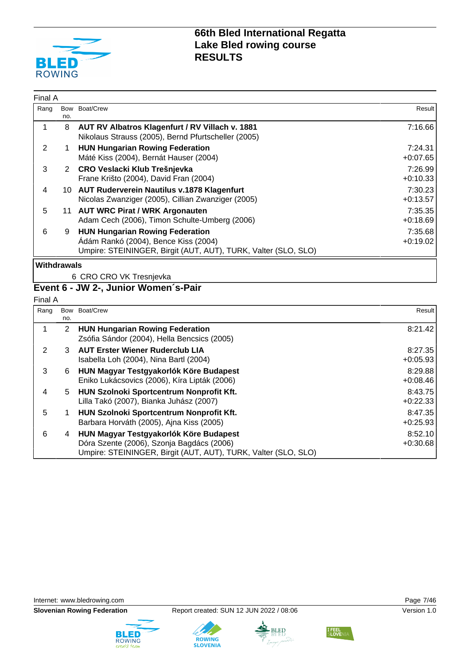

| Rang               |          | Bow Boat/Crew                                                                                                                                    | Result                |
|--------------------|----------|--------------------------------------------------------------------------------------------------------------------------------------------------|-----------------------|
|                    | no.<br>8 | AUT RV Albatros Klagenfurt / RV Villach v. 1881<br>Nikolaus Strauss (2005), Bernd Pfurtscheller (2005)                                           | 7:16.66               |
| 2                  |          | <b>HUN Hungarian Rowing Federation</b><br>Máté Kiss (2004), Bernát Hauser (2004)                                                                 | 7:24.31<br>$+0.07.65$ |
| 3                  |          | 2 CRO Veslacki Klub Trešnjevka<br>Frane Krišto (2004), David Fran (2004)                                                                         | 7:26.99<br>$+0:10.33$ |
| 4                  | 10.      | <b>AUT Ruderverein Nautilus v.1878 Klagenfurt</b><br>Nicolas Zwanziger (2005), Cillian Zwanziger (2005)                                          | 7:30.23<br>$+0:13.57$ |
| 5                  |          | 11 AUT WRC Pirat / WRK Argonauten<br>Adam Cech (2006), Timon Schulte-Umberg (2006)                                                               | 7:35.35<br>$+0.18.69$ |
| 6                  | 9        | <b>HUN Hungarian Rowing Federation</b><br>Ádám Rankó (2004), Bence Kiss (2004)<br>Umpire: STEININGER, Birgit (AUT, AUT), TURK, Valter (SLO, SLO) | 7:35.68<br>$+0.19.02$ |
| <b>Withdrawals</b> |          |                                                                                                                                                  |                       |
|                    |          | 6 CRO CRO VK Tresnjevka                                                                                                                          |                       |

#### **Event 6 - JW 2-, Junior Women´s-Pair**

| ×<br>×<br>۰. |
|--------------|
|--------------|

| Rang | no. | Bow Boat/Crew                                                                                                                                         | Result                |
|------|-----|-------------------------------------------------------------------------------------------------------------------------------------------------------|-----------------------|
|      | 2   | <b>HUN Hungarian Rowing Federation</b><br>Zsófia Sándor (2004), Hella Bencsics (2005)                                                                 | 8:21.42               |
| 2    | 3   | <b>AUT Erster Wiener Ruderclub LIA</b><br>Isabella Loh (2004), Nina Bartl (2004)                                                                      | 8:27.35<br>$+0.05.93$ |
| 3    | 6   | HUN Magyar Testgyakorlók Köre Budapest<br>Eniko Lukácsovics (2006), Kíra Lipták (2006)                                                                | 8:29.88<br>$+0:08.46$ |
| 4    | 5   | HUN Szolnoki Sportcentrum Nonprofit Kft.<br>Lilla Takó (2007), Bianka Juhász (2007)                                                                   | 8:43.75<br>$+0:22.33$ |
| 5    |     | HUN Szolnoki Sportcentrum Nonprofit Kft.<br>Barbara Horváth (2005), Ajna Kiss (2005)                                                                  | 8:47.35<br>$+0.25.93$ |
| 6    | 4   | HUN Magyar Testgyakorlók Köre Budapest<br>Dóra Szente (2006), Szonja Bagdács (2006)<br>Umpire: STEININGER, Birgit (AUT, AUT), TURK, Valter (SLO, SLO) | 8:52.10<br>$+0:30.68$ |







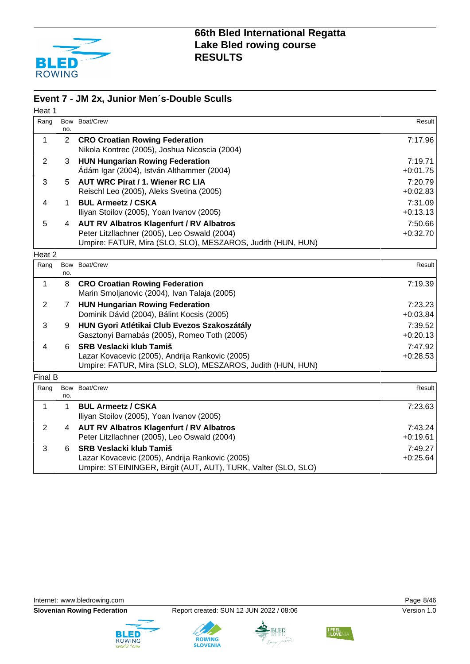

#### **Event 7 - JM 2x, Junior Men´s-Double Sculls**

| Heat 1         |                |                                                                                                                                                                |                       |
|----------------|----------------|----------------------------------------------------------------------------------------------------------------------------------------------------------------|-----------------------|
| Rang           | no.            | Bow Boat/Crew                                                                                                                                                  | Result                |
| 1              | $\overline{2}$ | <b>CRO Croatian Rowing Federation</b><br>Nikola Kontrec (2005), Joshua Nicoscia (2004)                                                                         | 7:17.96               |
| $\overline{2}$ | 3              | <b>HUN Hungarian Rowing Federation</b><br>Ádám Igar (2004), István Althammer (2004)                                                                            | 7:19.71<br>$+0:01.75$ |
| 3              | 5.             | <b>AUT WRC Pirat / 1. Wiener RC LIA</b><br>Reischl Leo (2005), Aleks Svetina (2005)                                                                            | 7:20.79<br>$+0:02.83$ |
| 4              | 1              | <b>BUL Armeetz / CSKA</b><br>Iliyan Stoilov (2005), Yoan Ivanov (2005)                                                                                         | 7:31.09<br>$+0:13.13$ |
| 5              | 4              | <b>AUT RV Albatros Klagenfurt / RV Albatros</b><br>Peter Litzllachner (2005), Leo Oswald (2004)<br>Umpire: FATUR, Mira (SLO, SLO), MESZAROS, Judith (HUN, HUN) | 7:50.66<br>$+0:32.70$ |
| Heat 2         |                |                                                                                                                                                                |                       |
| Rang           | Bow<br>no.     | Boat/Crew                                                                                                                                                      | Result                |
| $\mathbf 1$    | 8              | <b>CRO Croatian Rowing Federation</b><br>Marin Smoljanovic (2004), Ivan Talaja (2005)                                                                          | 7:19.39               |
| $\overline{2}$ | 7              | <b>HUN Hungarian Rowing Federation</b><br>Dominik Dávid (2004), Bálint Kocsis (2005)                                                                           | 7:23.23<br>$+0.03.84$ |
| 3              | 9              | HUN Gyori Atlétikai Club Evezos Szakoszátály<br>Gasztonyi Barnabás (2005), Romeo Toth (2005)                                                                   | 7:39.52<br>$+0:20.13$ |
| 4              | 6              | <b>SRB Veslacki klub Tamiš</b><br>Lazar Kovacevic (2005), Andrija Rankovic (2005)<br>Umpire: FATUR, Mira (SLO, SLO), MESZAROS, Judith (HUN, HUN)               | 7:47.92<br>$+0:28.53$ |
| Final B        |                |                                                                                                                                                                |                       |
| Rang           | Bow<br>no.     | Boat/Crew                                                                                                                                                      | Result                |
| $\mathbf 1$    | 1              | <b>BUL Armeetz / CSKA</b><br>Iliyan Stoilov (2005), Yoan Ivanov (2005)                                                                                         | 7:23.63               |
| $\overline{2}$ | 4              | <b>AUT RV Albatros Klagenfurt / RV Albatros</b><br>Peter Litzllachner (2005), Leo Oswald (2004)                                                                | 7:43.24<br>$+0:19.61$ |
| 3              | 6              | <b>SRB Veslacki klub Tamiš</b><br>Lazar Kovacevic (2005), Andrija Rankovic (2005)<br>Umpire: STEININGER, Birgit (AUT, AUT), TURK, Valter (SLO, SLO)            | 7:49.27<br>$+0.25.64$ |

Internet: [www.bledrowing.com](http://www.bledrowing.com) **Page 8/46** 









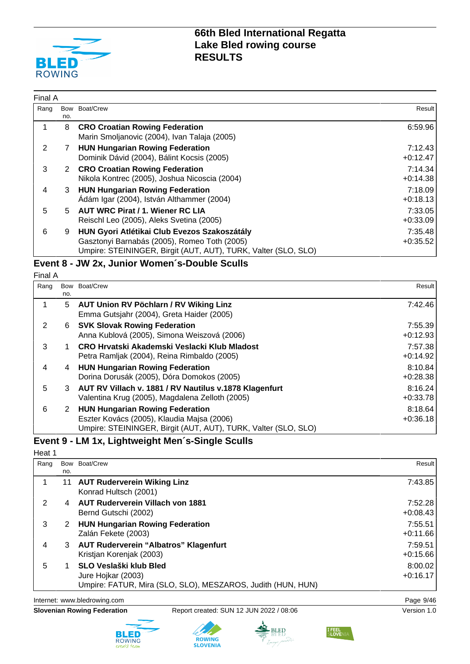

| Final A |     |                                                                                                                                                                |                       |
|---------|-----|----------------------------------------------------------------------------------------------------------------------------------------------------------------|-----------------------|
| Rang    | no. | Bow Boat/Crew                                                                                                                                                  | Result                |
|         | 8   | <b>CRO Croatian Rowing Federation</b><br>Marin Smoljanovic (2004), Ivan Talaja (2005)                                                                          | 6:59.96               |
| 2       | 7   | <b>HUN Hungarian Rowing Federation</b><br>Dominik Dávid (2004), Bálint Kocsis (2005)                                                                           | 7:12.43<br>$+0:12.47$ |
| 3       | 2   | <b>CRO Croatian Rowing Federation</b><br>Nikola Kontrec (2005), Joshua Nicoscia (2004)                                                                         | 7:14.34<br>$+0:14.38$ |
| 4       | 3   | <b>HUN Hungarian Rowing Federation</b><br>Ádám Igar (2004), István Althammer (2004)                                                                            | 7:18.09<br>$+0:18.13$ |
| 5       | 5   | <b>AUT WRC Pirat / 1. Wiener RC LIA</b><br>Reischl Leo (2005), Aleks Svetina (2005)                                                                            | 7:33.05<br>$+0:33.09$ |
| 6       | 9   | HUN Gyori Atlétikai Club Evezos Szakoszátály<br>Gasztonyi Barnabás (2005), Romeo Toth (2005)<br>Umpire: STEININGER, Birgit (AUT, AUT), TURK, Valter (SLO, SLO) | 7:35.48<br>$+0:35.52$ |

#### **Event 8 - JW 2x, Junior Women´s-Double Sculls**

Final A

| Rang | Bow | Boat/Crew                                                      | Result     |
|------|-----|----------------------------------------------------------------|------------|
|      | no. |                                                                |            |
|      | 5   | AUT Union RV Pöchlarn / RV Wiking Linz                         | 7:42.46    |
|      |     | Emma Gutsjahr (2004), Greta Haider (2005)                      |            |
| 2    | 6   | <b>SVK Slovak Rowing Federation</b>                            | 7:55.39    |
|      |     | Anna Kublová (2005), Simona Weiszová (2006)                    | $+0:12.93$ |
| 3    |     | CRO Hrvatski Akademski Veslacki Klub Mladost                   | 7:57.38    |
|      |     | Petra Ramljak (2004), Reina Rimbaldo (2005)                    | $+0:14.92$ |
| 4    | 4   | <b>HUN Hungarian Rowing Federation</b>                         | 8:10.84    |
|      |     | Dorina Dorusák (2005), Dóra Domokos (2005)                     | $+0:28.38$ |
| 5    | 3   | AUT RV Villach v. 1881 / RV Nautilus v.1878 Klagenfurt         | 8:16.24    |
|      |     | Valentina Krug (2005), Magdalena Zelloth (2005)                | $+0:33.78$ |
| 6    | 2   | <b>HUN Hungarian Rowing Federation</b>                         | 8:18.64    |
|      |     | Eszter Kovács (2005), Klaudia Majsa (2006)                     | $+0:36.18$ |
|      |     | Umpire: STEININGER, Birgit (AUT, AUT), TURK, Valter (SLO, SLO) |            |

### **Event 9 - LM 1x, Lightweight Men´s-Single Sculls**

Heat 1

| Rang | no. | Bow Boat/Crew                                                                                               | Result                |
|------|-----|-------------------------------------------------------------------------------------------------------------|-----------------------|
|      | 11  | <b>AUT Ruderverein Wiking Linz</b><br>Konrad Hultsch (2001)                                                 | 7:43.85               |
| 2    | 4   | <b>AUT Ruderverein Villach von 1881</b><br>Bernd Gutschi (2002)                                             | 7:52.28<br>$+0.08.43$ |
| 3    | 2   | <b>HUN Hungarian Rowing Federation</b><br>Zalán Fekete (2003)                                               | 7:55.51<br>$+0:11.66$ |
| 4    | 3   | <b>AUT Ruderverein "Albatros" Klagenfurt</b><br>Kristjan Korenjak (2003)                                    | 7:59.51<br>$+0:15.66$ |
| 5    |     | SLO Veslaški klub Bled<br>Jure Hojkar (2003)<br>Umpire: FATUR, Mira (SLO, SLO), MESZAROS, Judith (HUN, HUN) | 8:00.02<br>$+0:16.17$ |

Internet: [www.bledrowing.com](http://www.bledrowing.com) **Page 9/46** 

**Slovenian Rowing Federation** Report created: SUN 12 JUN 2022 / 08:06 Version 1.0







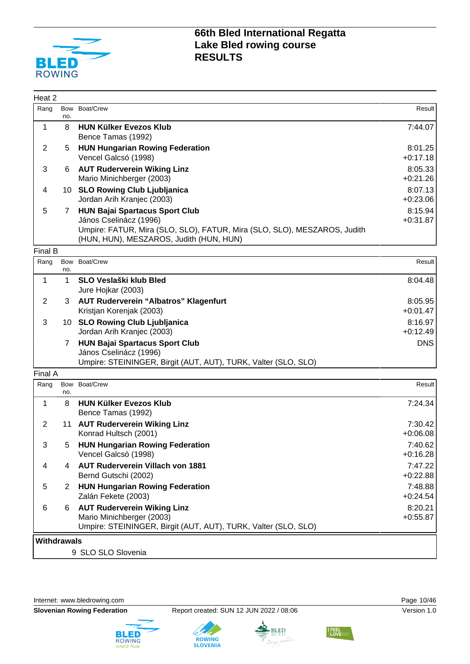

| Heat 2             |                       |                                                                                                                                                                                        |                       |
|--------------------|-----------------------|----------------------------------------------------------------------------------------------------------------------------------------------------------------------------------------|-----------------------|
| Rang               | no.                   | Bow Boat/Crew                                                                                                                                                                          | Result                |
| $\mathbf{1}$       | 8                     | <b>HUN Külker Evezos Klub</b><br>Bence Tamas (1992)                                                                                                                                    | 7:44.07               |
| $\overline{2}$     | 5                     | <b>HUN Hungarian Rowing Federation</b><br>Vencel Galcsó (1998)                                                                                                                         | 8:01.25<br>$+0:17.18$ |
| 3                  | 6.                    | <b>AUT Ruderverein Wiking Linz</b><br>Mario Minichberger (2003)                                                                                                                        | 8:05.33<br>$+0:21.26$ |
| 4                  |                       | 10 SLO Rowing Club Ljubljanica<br>Jordan Arih Kranjec (2003)                                                                                                                           | 8:07.13<br>$+0.23.06$ |
| 5                  | 7                     | <b>HUN Bajai Spartacus Sport Club</b><br>János Cselinácz (1996)<br>Umpire: FATUR, Mira (SLO, SLO), FATUR, Mira (SLO, SLO), MESZAROS, Judith<br>(HUN, HUN), MESZAROS, Judith (HUN, HUN) | 8:15.94<br>$+0:31.87$ |
| Final B            |                       |                                                                                                                                                                                        |                       |
| Rang               | no.                   | Bow Boat/Crew                                                                                                                                                                          | Result                |
| $\mathbf 1$        | 1                     | <b>SLO Veslaški klub Bled</b><br>Jure Hojkar (2003)                                                                                                                                    | 8:04.48               |
| $\overline{2}$     | 3.                    | <b>AUT Ruderverein "Albatros" Klagenfurt</b><br>Kristjan Korenjak (2003)                                                                                                               | 8:05.95<br>$+0:01.47$ |
| 3                  |                       | 10 SLO Rowing Club Ljubljanica<br>Jordan Arih Kranjec (2003)                                                                                                                           | 8:16.97<br>$+0:12.49$ |
|                    | 7                     | <b>HUN Bajai Spartacus Sport Club</b><br>János Cselinácz (1996)<br>Umpire: STEININGER, Birgit (AUT, AUT), TURK, Valter (SLO, SLO)                                                      | <b>DNS</b>            |
| Final A            |                       |                                                                                                                                                                                        |                       |
| Rang               | no.                   | Bow Boat/Crew                                                                                                                                                                          | Result                |
| 1                  | 8                     | <b>HUN Külker Evezos Klub</b><br>Bence Tamas (1992)                                                                                                                                    | 7:24.34               |
| $\overline{2}$     |                       | 11 AUT Ruderverein Wiking Linz<br>Konrad Hultsch (2001)                                                                                                                                | 7:30.42<br>$+0.06.08$ |
| 3                  | 5                     | <b>HUN Hungarian Rowing Federation</b><br>Vencel Galcsó (1998)                                                                                                                         | 7:40.62<br>$+0.16.28$ |
| 4                  | 4                     | <b>AUT Ruderverein Villach von 1881</b><br>Bernd Gutschi (2002)                                                                                                                        | 7:47.22<br>$+0:22.88$ |
| 5                  | $\mathbf{2}^{\prime}$ | <b>HUN Hungarian Rowing Federation</b><br>Zalán Fekete (2003)                                                                                                                          | 7:48.88<br>$+0:24.54$ |
| 6                  | 6                     | <b>AUT Ruderverein Wiking Linz</b><br>Mario Minichberger (2003)<br>Umpire: STEININGER, Birgit (AUT, AUT), TURK, Valter (SLO, SLO)                                                      | 8:20.21<br>$+0.55.87$ |
| <b>Withdrawals</b> |                       |                                                                                                                                                                                        |                       |
|                    |                       | 9 SLO SLO Slovenia                                                                                                                                                                     |                       |



**Slovenian Rowing Federation** Report created: SUN 12 JUN 2022 / 08:06 Version 1.0





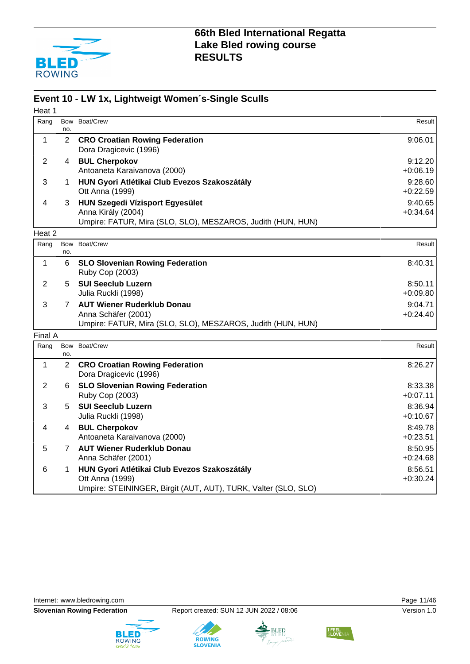

#### **Event 10 - LW 1x, Lightweigt Women´s-Single Sculls**

| Heat 1         |                |                                                                                                                                   |                       |
|----------------|----------------|-----------------------------------------------------------------------------------------------------------------------------------|-----------------------|
| Rang           | no.            | Bow Boat/Crew                                                                                                                     | Result                |
| 1              | $\overline{2}$ | <b>CRO Croatian Rowing Federation</b><br>Dora Dragicevic (1996)                                                                   | 9:06.01               |
| $\overline{2}$ | 4              | <b>BUL Cherpokov</b><br>Antoaneta Karaivanova (2000)                                                                              | 9:12.20<br>$+0.06.19$ |
| 3              | 1              | HUN Gyori Atlétikai Club Evezos Szakoszátály<br>Ott Anna (1999)                                                                   | 9:28.60<br>$+0:22.59$ |
| 4              | 3              | <b>HUN Szegedi Vízisport Egyesület</b><br>Anna Király (2004)<br>Umpire: FATUR, Mira (SLO, SLO), MESZAROS, Judith (HUN, HUN)       | 9:40.65<br>$+0.34.64$ |
| Heat 2         |                |                                                                                                                                   |                       |
| Rang           | no.            | Bow Boat/Crew                                                                                                                     | Result                |
| 1              | 6              | <b>SLO Slovenian Rowing Federation</b><br>Ruby Cop (2003)                                                                         | 8:40.31               |
| $\overline{2}$ | 5              | <b>SUI Seeclub Luzern</b><br>Julia Ruckli (1998)                                                                                  | 8:50.11<br>$+0.09.80$ |
| 3              | $7^{\circ}$    | <b>AUT Wiener Ruderklub Donau</b><br>Anna Schäfer (2001)<br>Umpire: FATUR, Mira (SLO, SLO), MESZAROS, Judith (HUN, HUN)           | 9:04.71<br>$+0:24.40$ |
| Final A        |                |                                                                                                                                   |                       |
| Rang           | no.            | Bow Boat/Crew                                                                                                                     | Result                |
| 1              | $\overline{2}$ | <b>CRO Croatian Rowing Federation</b><br>Dora Dragicevic (1996)                                                                   | 8:26.27               |
| 2              | 6              | <b>SLO Slovenian Rowing Federation</b><br>Ruby Cop (2003)                                                                         | 8:33.38<br>$+0:07.11$ |
| 3              | 5.             | <b>SUI Seeclub Luzern</b><br>Julia Ruckli (1998)                                                                                  | 8:36.94<br>$+0:10.67$ |
| 4              | 4              | <b>BUL Cherpokov</b><br>Antoaneta Karaivanova (2000)                                                                              | 8:49.78<br>$+0:23.51$ |
| 5              | $7^{\circ}$    | <b>AUT Wiener Ruderklub Donau</b><br>Anna Schäfer (2001)                                                                          | 8:50.95<br>$+0:24.68$ |
| 6              | 1              | HUN Gyori Atlétikai Club Evezos Szakoszátály<br>Ott Anna (1999)<br>Umpire: STEININGER, Birgit (AUT, AUT), TURK, Valter (SLO, SLO) | 8:56.51<br>$+0:30.24$ |







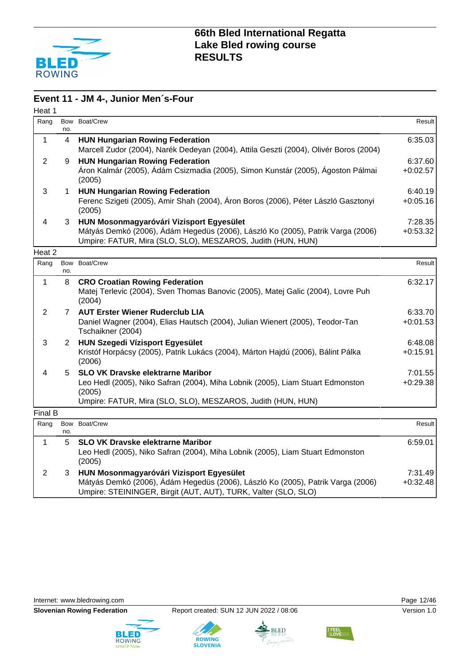

#### **Event 11 - JM 4-, Junior Men´s-Four**

| Heat 1         |             |                                                                                                                                                                                                     |                       |
|----------------|-------------|-----------------------------------------------------------------------------------------------------------------------------------------------------------------------------------------------------|-----------------------|
| Rang           | no.         | Bow Boat/Crew                                                                                                                                                                                       | <b>Result</b>         |
| $\mathbf{1}$   | 4           | <b>HUN Hungarian Rowing Federation</b><br>Marcell Zudor (2004), Narék Dedeyan (2004), Attila Geszti (2004), Olivér Boros (2004)                                                                     | 6:35.03               |
| $\overline{2}$ | 9           | <b>HUN Hungarian Rowing Federation</b><br>Áron Kalmár (2005), Ádám Csizmadia (2005), Simon Kunstár (2005), Ágoston Pálmai<br>(2005)                                                                 | 6:37.60<br>$+0:02.57$ |
| 3              | 1.          | <b>HUN Hungarian Rowing Federation</b><br>Ferenc Szigeti (2005), Amir Shah (2004), Áron Boros (2006), Péter László Gasztonyi<br>(2005)                                                              | 6:40.19<br>$+0:05.16$ |
| 4              | 3           | HUN Mosonmagyaróvári Vizisport Egyesület<br>Mátyás Demkó (2006), Ádám Hegedüs (2006), László Ko (2005), Patrik Varga (2006)<br>Umpire: FATUR, Mira (SLO, SLO), MESZAROS, Judith (HUN, HUN)          | 7:28.35<br>$+0:53.32$ |
| Heat 2         |             |                                                                                                                                                                                                     |                       |
| Rang           | Bow<br>no.  | Boat/Crew                                                                                                                                                                                           | Result                |
| $\mathbf{1}$   | 8           | <b>CRO Croatian Rowing Federation</b><br>Matej Terlevic (2004), Sven Thomas Banovic (2005), Matej Galic (2004), Lovre Puh<br>(2004)                                                                 | 6:32.17               |
| $\overline{2}$ | $7^{\circ}$ | <b>AUT Erster Wiener Ruderclub LIA</b><br>Daniel Wagner (2004), Elias Hautsch (2004), Julian Wienert (2005), Teodor-Tan<br>Tschaikner (2004)                                                        | 6:33.70<br>$+0:01.53$ |
| 3              | $2^{\circ}$ | <b>HUN Szegedi Vízisport Egyesület</b><br>Kristóf Horpácsy (2005), Patrik Lukács (2004), Márton Hajdú (2006), Bálint Pálka<br>(2006)                                                                | 6:48.08<br>$+0:15.91$ |
| 4              | 5.          | <b>SLO VK Dravske elektrarne Maribor</b><br>Leo Hedl (2005), Niko Safran (2004), Miha Lobnik (2005), Liam Stuart Edmonston<br>(2005)<br>Umpire: FATUR, Mira (SLO, SLO), MESZAROS, Judith (HUN, HUN) | 7:01.55<br>$+0.29.38$ |
| Final B        |             |                                                                                                                                                                                                     |                       |
| Rang           | no.         | Bow Boat/Crew                                                                                                                                                                                       | Result                |
| $\mathbf{1}$   | 5           | <b>SLO VK Dravske elektrarne Maribor</b><br>Leo Hedl (2005), Niko Safran (2004), Miha Lobnik (2005), Liam Stuart Edmonston<br>(2005)                                                                | 6:59.01               |
| $\overline{2}$ | 3           | HUN Mosonmagyaróvári Vizisport Egyesület<br>Mátyás Demkó (2006), Ádám Hegedüs (2006), László Ko (2005), Patrik Varga (2006)                                                                         | 7:31.49<br>$+0:32.48$ |







**ROWING**<br>SLOVENIA

Umpire: STEININGER, Birgit (AUT, AUT), TURK, Valter (SLO, SLO)



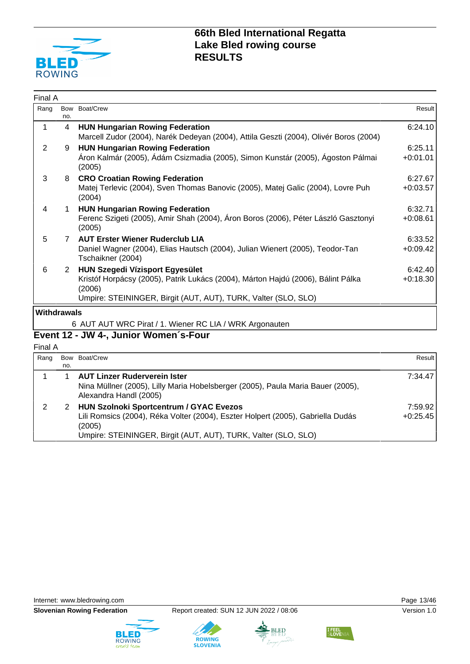

| Final A     |                |                                                                                                                                                                                                        |                       |
|-------------|----------------|--------------------------------------------------------------------------------------------------------------------------------------------------------------------------------------------------------|-----------------------|
| Rang        | no.            | Bow Boat/Crew                                                                                                                                                                                          | Result                |
| 1           | 4              | <b>HUN Hungarian Rowing Federation</b><br>Marcell Zudor (2004), Narék Dedeyan (2004), Attila Geszti (2004), Olivér Boros (2004)                                                                        | 6:24.10               |
| 2           | 9              | <b>HUN Hungarian Rowing Federation</b><br>Áron Kalmár (2005), Ádám Csizmadia (2005), Simon Kunstár (2005), Ágoston Pálmai<br>(2005)                                                                    | 6:25.11<br>$+0.01.01$ |
| 3           | 8              | <b>CRO Croatian Rowing Federation</b><br>Matej Terlevic (2004), Sven Thomas Banovic (2005), Matej Galic (2004), Lovre Puh<br>(2004)                                                                    | 6:27.67<br>$+0:03.57$ |
| 4           | 1.             | <b>HUN Hungarian Rowing Federation</b><br>Ferenc Szigeti (2005), Amir Shah (2004), Áron Boros (2006), Péter László Gasztonyi<br>(2005)                                                                 | 6:32.71<br>$+0.08.61$ |
| 5           | $\overline{7}$ | <b>AUT Erster Wiener Ruderclub LIA</b><br>Daniel Wagner (2004), Elias Hautsch (2004), Julian Wienert (2005), Teodor-Tan<br>Tschaikner (2004)                                                           | 6:33.52<br>$+0.09.42$ |
| 6           | $\overline{2}$ | <b>HUN Szegedi Vízisport Egyesület</b><br>Kristóf Horpácsy (2005), Patrik Lukács (2004), Márton Hajdú (2006), Bálint Pálka<br>(2006)<br>Umpire: STEININGER, Birgit (AUT, AUT), TURK, Valter (SLO, SLO) | 6:42.40<br>$+0:18.30$ |
| Withdrawals |                |                                                                                                                                                                                                        |                       |
|             |                | 6 AUT AUT WRC Pirat / 1. Wiener RC LIA / WRK Argonauten                                                                                                                                                |                       |

# **Event 12 - JW 4-, Junior Women´s-Four**

Final A

| Rang |     | Bow Boat/Crew                                                                                             | Result     |
|------|-----|-----------------------------------------------------------------------------------------------------------|------------|
|      | no. |                                                                                                           |            |
|      |     | <b>AUT Linzer Ruderverein Ister</b>                                                                       | 7:34.47    |
|      |     | Nina Müllner (2005), Lilly Maria Hobelsberger (2005), Paula Maria Bauer (2005),<br>Alexandra Handl (2005) |            |
|      |     | <b>HUN Szolnoki Sportcentrum / GYAC Evezos</b>                                                            | 7:59.92    |
|      |     | Lili Romsics (2004), Réka Volter (2004), Eszter Holpert (2005), Gabriella Dudás<br>(2005)                 | $+0:25.45$ |
|      |     | Umpire: STEININGER, Birgit (AUT, AUT), TURK, Valter (SLO, SLO)                                            |            |







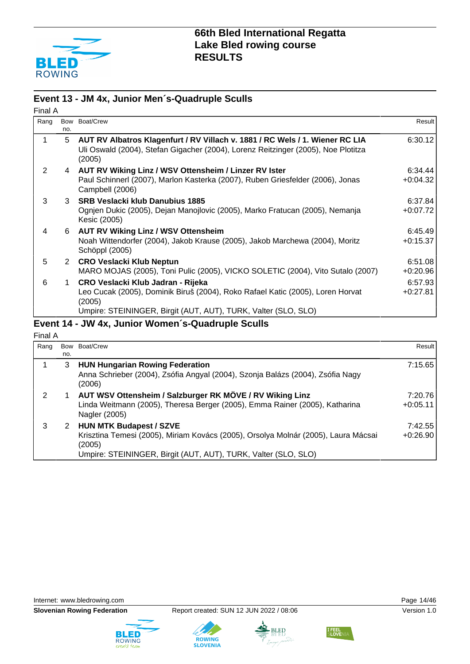

#### **Event 13 - JM 4x, Junior Men´s-Quadruple Sculls**

| Final A |     |                                                                                                                                                                                                 |                       |
|---------|-----|-------------------------------------------------------------------------------------------------------------------------------------------------------------------------------------------------|-----------------------|
| Rang    | no. | Bow Boat/Crew                                                                                                                                                                                   | Result I              |
|         | 5   | AUT RV Albatros Klagenfurt / RV Villach v. 1881 / RC Wels / 1. Wiener RC LIA<br>Uli Oswald (2004), Stefan Gigacher (2004), Lorenz Reitzinger (2005), Noe Plotitza<br>(2005)                     | 6:30.12               |
| 2       |     | 4 AUT RV Wiking Linz / WSV Ottensheim / Linzer RV Ister<br>Paul Schinnerl (2007), Marlon Kasterka (2007), Ruben Griesfelder (2006), Jonas<br>Campbell (2006)                                    | 6:34.44<br>$+0:04.32$ |
| 3       |     | 3 SRB Veslacki klub Danubius 1885<br>Ognjen Dukic (2005), Dejan Manojlovic (2005), Marko Fratucan (2005), Nemanja<br>Kesic (2005)                                                               | 6:37.84<br>$+0:07.72$ |
| 4       | 6   | <b>AUT RV Wiking Linz / WSV Ottensheim</b><br>Noah Wittendorfer (2004), Jakob Krause (2005), Jakob Marchewa (2004), Moritz<br>Schöppl (2005)                                                    | 6:45.49<br>$+0:15.37$ |
| 5       |     | 2 CRO Veslacki Klub Neptun<br>MARO MOJAS (2005), Toni Pulic (2005), VICKO SOLETIC (2004), Vito Sutalo (2007)                                                                                    | 6:51.08<br>$+0:20.96$ |
| 6       | 1   | CRO Veslacki Klub Jadran - Rijeka<br>Leo Cucak (2005), Dominik Biruš (2004), Roko Rafael Katic (2005), Loren Horvat<br>(2005)<br>Umpire: STEININGER, Birgit (AUT, AUT), TURK, Valter (SLO, SLO) | 6:57.93<br>$+0:27.81$ |

#### **Event 14 - JW 4x, Junior Women´s-Quadruple Sculls**

Final A

| Rang |     | Bow Boat/Crew                                                                                                                                                                                    | Result I              |
|------|-----|--------------------------------------------------------------------------------------------------------------------------------------------------------------------------------------------------|-----------------------|
|      | no. |                                                                                                                                                                                                  |                       |
|      | 3   | <b>HUN Hungarian Rowing Federation</b><br>Anna Schrieber (2004), Zsófia Angyal (2004), Szonja Balázs (2004), Zsófia Nagy<br>(2006)                                                               | 7:15.65               |
| 2    |     | AUT WSV Ottensheim / Salzburger RK MÖVE / RV Wiking Linz<br>Linda Weitmann (2005), Theresa Berger (2005), Emma Rainer (2005), Katharina<br>Nagler (2005)                                         | 7:20.76<br>$+0:05.11$ |
| 3    | 2   | <b>HUN MTK Budapest / SZVE</b><br>Krisztina Temesi (2005), Miriam Kovács (2005), Orsolya Molnár (2005), Laura Mácsai<br>(2005)<br>Umpire: STEININGER, Birgit (AUT, AUT), TURK, Valter (SLO, SLO) | 7:42.55<br>$+0:26.90$ |









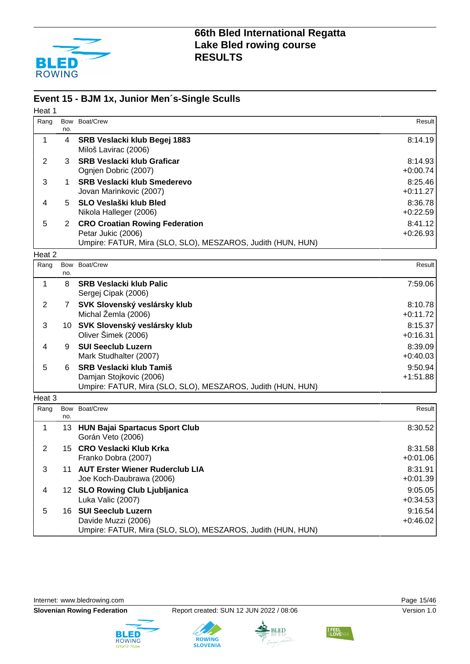

#### **Event 15 - BJM 1x, Junior Men´s-Single Sculls**

| Heat 1         |                |                                                                                    |                       |
|----------------|----------------|------------------------------------------------------------------------------------|-----------------------|
| Rang           | Bow            | Boat/Crew                                                                          | Result                |
|                | no.            |                                                                                    |                       |
| 1              | 4              | SRB Veslacki klub Begej 1883<br>Miloš Lavirac (2006)                               | 8:14.19               |
| $\overline{2}$ | 3              | <b>SRB Veslacki klub Graficar</b>                                                  | 8:14.93               |
|                |                | Ognjen Dobric (2007)                                                               | $+0:00.74$            |
| 3              | 1              | <b>SRB Veslacki klub Smederevo</b>                                                 | 8:25.46               |
|                |                | Jovan Marinkovic (2007)                                                            | $+0:11.27$            |
| 4              | 5              | SLO Veslaški klub Bled                                                             | 8:36.78               |
|                |                | Nikola Halleger (2006)                                                             | $+0.22.59$<br>8:41.12 |
| 5              | $\overline{2}$ | <b>CRO Croatian Rowing Federation</b><br>Petar Jukic (2006)                        | $+0.26.93$            |
|                |                | Umpire: FATUR, Mira (SLO, SLO), MESZAROS, Judith (HUN, HUN)                        |                       |
| Heat 2         |                |                                                                                    |                       |
| Rang           | Bow            | Boat/Crew                                                                          | Result                |
|                | no.            |                                                                                    |                       |
| 1              | 8              | <b>SRB Veslacki klub Palic</b><br>Sergej Cipak (2006)                              | 7:59.06               |
| $\overline{2}$ | $\mathbf{7}$   | SVK Slovenský veslársky klub                                                       | 8:10.78               |
|                |                | Michal Žemla (2006)                                                                | $+0:11.72$            |
| 3              |                | 10 SVK Slovenský veslársky klub<br>Oliver Šimek (2006)                             | 8:15.37<br>$+0:16.31$ |
| 4              | 9              | <b>SUI Seeclub Luzern</b>                                                          | 8:39.09               |
|                |                | Mark Studhalter (2007)                                                             | $+0:40.03$            |
| 5              | 6              | <b>SRB Veslacki klub Tamiš</b>                                                     | 9:50.94               |
|                |                | Damjan Stojkovic (2006)                                                            | $+1:51.88$            |
|                |                | Umpire: FATUR, Mira (SLO, SLO), MESZAROS, Judith (HUN, HUN)                        |                       |
| Heat 3         |                |                                                                                    |                       |
| Rang           | no.            | Bow Boat/Crew                                                                      | Result                |
| 1              | 13             | <b>HUN Bajai Spartacus Sport Club</b>                                              | 8:30.52               |
|                |                | Gorán Veto (2006)                                                                  |                       |
| $\overline{2}$ | 15             | <b>CRO Veslacki Klub Krka</b>                                                      | 8:31.58               |
|                |                | Franko Dobra (2007)                                                                | +0:01.06              |
| 3              |                | 11 AUT Erster Wiener Ruderclub LIA                                                 | 8:31.91               |
|                |                | Joe Koch-Daubrawa (2006)                                                           | $+0:01.39$            |
| 4              |                | 12 SLO Rowing Club Ljubljanica                                                     | 9:05.05               |
|                |                | Luka Valic (2007)                                                                  | $+0:34.53$            |
| 5              |                | 16 SUI Seeclub Luzern                                                              | 9:16.54               |
|                |                | Davide Muzzi (2006)<br>Umpire: FATUR, Mira (SLO, SLO), MESZAROS, Judith (HUN, HUN) | $+0.46.02$            |
|                |                |                                                                                    |                       |

Internet: [www.bledrowing.com](http://www.bledrowing.com) example of the control of the Page 15/46







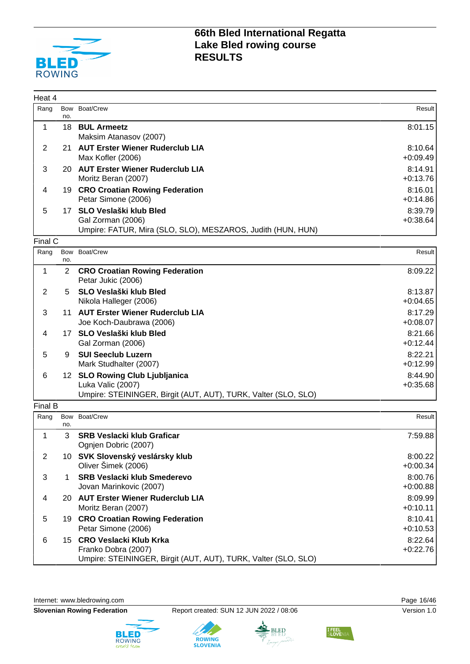

| Heat 4         |            |                                                                |            |
|----------------|------------|----------------------------------------------------------------|------------|
| Rang           | no.        | Bow Boat/Crew                                                  | Result     |
| 1              | 18         | <b>BUL Armeetz</b>                                             | 8:01.15    |
|                |            | Maksim Atanasov (2007)                                         |            |
| 2              | 21         | <b>AUT Erster Wiener Ruderclub LIA</b>                         | 8:10.64    |
|                |            | Max Kofler (2006)                                              | $+0.09.49$ |
| 3              |            | 20 AUT Erster Wiener Ruderclub LIA                             | 8:14.91    |
|                |            | Moritz Beran (2007)                                            | $+0:13.76$ |
| 4              |            | 19 CRO Croatian Rowing Federation                              | 8:16.01    |
|                |            | Petar Simone (2006)                                            | $+0.14.86$ |
| 5              |            | 17 SLO Veslaški klub Bled                                      | 8:39.79    |
|                |            | Gal Zorman (2006)                                              | $+0.38.64$ |
|                |            | Umpire: FATUR, Mira (SLO, SLO), MESZAROS, Judith (HUN, HUN)    |            |
| Final C        |            |                                                                |            |
| Rang           | Bow<br>no. | Boat/Crew                                                      | Result     |
| $\mathbf{1}$   | 2          | <b>CRO Croatian Rowing Federation</b>                          | 8:09.22    |
|                |            | Petar Jukic (2006)                                             |            |
| 2              | 5          | SLO Veslaški klub Bled                                         | 8:13.87    |
|                |            | Nikola Halleger (2006)                                         | $+0.04.65$ |
| 3              |            | 11 AUT Erster Wiener Ruderclub LIA                             | 8:17.29    |
|                |            | Joe Koch-Daubrawa (2006)                                       | $+0.08.07$ |
| 4              |            | 17 SLO Veslaški klub Bled                                      | 8:21.66    |
|                |            | Gal Zorman (2006)                                              | $+0:12.44$ |
| 5              | 9          | <b>SUI Seeclub Luzern</b>                                      | 8:22.21    |
|                |            | Mark Studhalter (2007)                                         | $+0.12.99$ |
| 6              |            | 12 SLO Rowing Club Ljubljanica                                 | 8:44.90    |
|                |            | Luka Valic (2007)                                              | $+0.35.68$ |
|                |            | Umpire: STEININGER, Birgit (AUT, AUT), TURK, Valter (SLO, SLO) |            |
| Final B        |            |                                                                |            |
| Rang           | no.        | Bow Boat/Crew                                                  | Result     |
| 1              | 3          | <b>SRB Veslacki klub Graficar</b>                              | 7:59.88    |
|                |            | Ognjen Dobric (2007)                                           |            |
| $\overline{2}$ |            | 10 SVK Slovenský veslársky klub                                | 8:00.22    |
|                |            | Oliver Šimek (2006)                                            | $+0:00.34$ |
| 3              | 1          | <b>SRB Veslacki klub Smederevo</b>                             | 8:00.76    |
|                |            | Jovan Marinkovic (2007)                                        | $+0:00.88$ |
| 4              |            | 20 AUT Erster Wiener Ruderclub LIA                             | 8:09.99    |
|                |            | Moritz Beran (2007)                                            | $+0:10.11$ |
| 5              |            | 19 CRO Croatian Rowing Federation                              | 8:10.41    |
|                |            | Petar Simone (2006)                                            | $+0:10.53$ |

Petar Simone (2006) 6 15 **CRO Veslacki Klub Krka** Franko Dobra (2007) Umpire: STEININGER, Birgit (AUT, AUT), TURK, Valter (SLO, SLO)

**ROWING**<br>SLOVENIA

Internet: [www.bledrowing.com](http://www.bledrowing.com) **Page 16/46** 





BLED



8:22.64 +0:22.76

I FEEL<br>SLOVE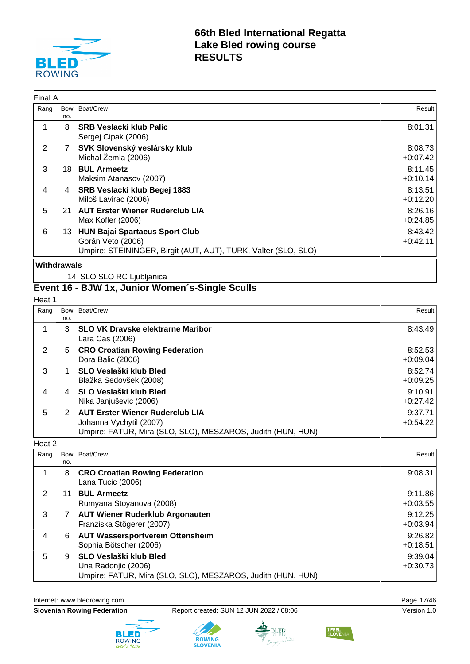

| Final A |     |                                                                                                                              |                       |
|---------|-----|------------------------------------------------------------------------------------------------------------------------------|-----------------------|
| Rang    | no. | Bow Boat/Crew                                                                                                                | Result                |
|         | 8   | <b>SRB Veslacki klub Palic</b><br>Sergej Cipak (2006)                                                                        | 8:01.31               |
| 2       | 7   | SVK Slovenský veslársky klub<br>Michal Žemla (2006)                                                                          | 8:08.73<br>$+0.07.42$ |
| 3       | 18. | <b>BUL Armeetz</b><br>Maksim Atanasov (2007)                                                                                 | 8:11.45<br>$+0:10.14$ |
| 4       | 4   | SRB Veslacki klub Begej 1883<br>Miloš Lavirac (2006)                                                                         | 8:13.51<br>$+0:12.20$ |
| 5       | 21  | <b>AUT Erster Wiener Ruderclub LIA</b><br>Max Kofler (2006)                                                                  | 8:26.16<br>$+0:24.85$ |
| 6       | 13. | <b>HUN Bajai Spartacus Sport Club</b><br>Gorán Veto (2006)<br>Umpire: STEININGER, Birgit (AUT, AUT), TURK, Valter (SLO, SLO) | 8:43.42<br>$+0:42.11$ |

#### **Withdrawals**

14 SLO SLO RC Ljubljanica

### **Event 16 - BJW 1x, Junior Women´s-Single Sculls**

Heat 1

| Rang |     | Bow Boat/Crew                                               | Result     |
|------|-----|-------------------------------------------------------------|------------|
|      | no. |                                                             |            |
|      | 3   | <b>SLO VK Dravske elektrarne Maribor</b>                    | 8:43.49    |
|      |     | Lara Cas (2006)                                             |            |
| 2    | 5   | <b>CRO Croatian Rowing Federation</b>                       | 8:52.53    |
|      |     | Dora Balic (2006)                                           | $+0.09.04$ |
| 3    |     | SLO Veslaški klub Bled                                      | 8:52.74    |
|      |     | Blažka Sedovšek (2008)                                      | $+0:09.25$ |
| 4    |     | <b>SLO Veslaški klub Bled</b>                               | 9:10.91    |
|      |     | Nika Janjuševic (2006)                                      | $+0:27.42$ |
| 5    | 2   | <b>AUT Erster Wiener Ruderclub LIA</b>                      | 9:37.71    |
|      |     | Johanna Vychytil (2007)                                     | $+0:54.22$ |
|      |     | Umpire: FATUR, Mira (SLO, SLO), MESZAROS, Judith (HUN, HUN) |            |

#### Heat 2

| Rang |     | Bow Boat/Crew                                               | Result I   |
|------|-----|-------------------------------------------------------------|------------|
|      | no. |                                                             |            |
|      | 8   | <b>CRO Croatian Rowing Federation</b><br>Lana Tucic (2006)  | 9:08.31    |
|      | 11  | <b>BUL Armeetz</b>                                          | 9:11.86    |
|      |     | Rumyana Stoyanova (2008)                                    | $+0:03.55$ |
| 3    |     | <b>AUT Wiener Ruderklub Argonauten</b>                      | 9:12.25    |
|      |     | Franziska Stögerer (2007)                                   | $+0.03.94$ |
| 4    | 6   | <b>AUT Wassersportverein Ottensheim</b>                     | 9:26.82    |
|      |     | Sophia Bötscher (2006)                                      | $+0:18.51$ |
| 5    | 9   | <b>SLO Veslaški klub Bled</b>                               | 9:39.04    |
|      |     | Una Radonjic (2006)                                         | $+0:30.73$ |
|      |     | Umpire: FATUR, Mira (SLO, SLO), MESZAROS, Judith (HUN, HUN) |            |

Internet: [www.bledrowing.com](http://www.bledrowing.com) **Page 17/46** 







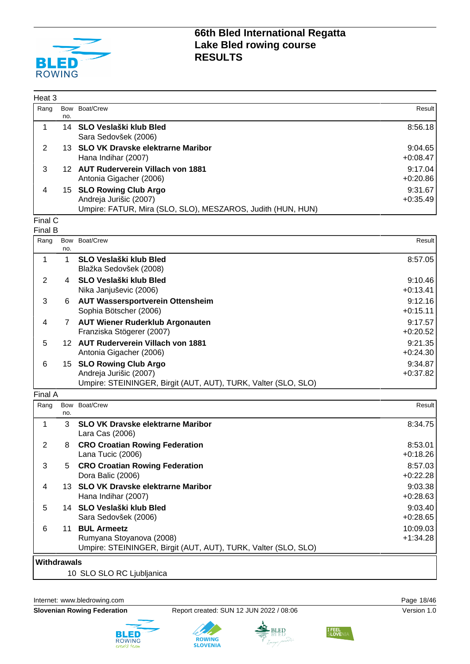

| Heat 3 |            |                                                                                                                  |                       |
|--------|------------|------------------------------------------------------------------------------------------------------------------|-----------------------|
| Rang   | Bow<br>no. | Boat/Crew                                                                                                        | Result                |
|        |            | 14 SLO Veslaški klub Bled<br>Sara Sedovšek (2006)                                                                | 8:56.18               |
| 2      |            | 13 SLO VK Dravske elektrarne Maribor<br>Hana Indihar (2007)                                                      | 9:04.65<br>$+0:08.47$ |
| 3      |            | 12 AUT Ruderverein Villach von 1881<br>Antonia Gigacher (2006)                                                   | 9:17.04<br>$+0:20.86$ |
| 4      |            | 15 SLO Rowing Club Argo<br>Andreja Jurišic (2007)<br>Umpire: FATUR, Mira (SLO, SLO), MESZAROS, Judith (HUN, HUN) | 9:31.67<br>$+0:35.49$ |

#### Final C Final B

|     |          | Result                                                                                                                                                                                                                                                                                                                                                                                                                                                                         |
|-----|----------|--------------------------------------------------------------------------------------------------------------------------------------------------------------------------------------------------------------------------------------------------------------------------------------------------------------------------------------------------------------------------------------------------------------------------------------------------------------------------------|
| no. |          |                                                                                                                                                                                                                                                                                                                                                                                                                                                                                |
|     |          | 8:57.05                                                                                                                                                                                                                                                                                                                                                                                                                                                                        |
|     |          |                                                                                                                                                                                                                                                                                                                                                                                                                                                                                |
|     |          |                                                                                                                                                                                                                                                                                                                                                                                                                                                                                |
| 4   |          | 9:10.46                                                                                                                                                                                                                                                                                                                                                                                                                                                                        |
|     |          | $+0:13.41$                                                                                                                                                                                                                                                                                                                                                                                                                                                                     |
|     |          |                                                                                                                                                                                                                                                                                                                                                                                                                                                                                |
|     |          | 9:12.16                                                                                                                                                                                                                                                                                                                                                                                                                                                                        |
|     |          | $+0:15.11$                                                                                                                                                                                                                                                                                                                                                                                                                                                                     |
| 7   |          | 9:17.57                                                                                                                                                                                                                                                                                                                                                                                                                                                                        |
|     |          | $+0:20.52$                                                                                                                                                                                                                                                                                                                                                                                                                                                                     |
|     |          |                                                                                                                                                                                                                                                                                                                                                                                                                                                                                |
|     |          | 9:21.35                                                                                                                                                                                                                                                                                                                                                                                                                                                                        |
|     |          | $+0:24.30$                                                                                                                                                                                                                                                                                                                                                                                                                                                                     |
|     |          |                                                                                                                                                                                                                                                                                                                                                                                                                                                                                |
|     |          | 9:34.87                                                                                                                                                                                                                                                                                                                                                                                                                                                                        |
|     |          | $+0:37.82$                                                                                                                                                                                                                                                                                                                                                                                                                                                                     |
|     |          |                                                                                                                                                                                                                                                                                                                                                                                                                                                                                |
|     | Bow<br>6 | Boat/Crew<br><b>SLO Veslaški klub Bled</b><br>Blažka Sedovšek (2008)<br><b>SLO Veslaški klub Bled</b><br>Nika Janjuševic (2006)<br><b>AUT Wassersportverein Ottensheim</b><br>Sophia Bötscher (2006)<br><b>AUT Wiener Ruderklub Argonauten</b><br>Franziska Stögerer (2007)<br>12 AUT Ruderverein Villach von 1881<br>Antonia Gigacher (2006)<br><b>SLO Rowing Club Argo</b><br>15<br>Andreja Jurišic (2007)<br>Umpire: STEININGER, Birgit (AUT, AUT), TURK, Valter (SLO, SLO) |

Final A

| Rang               |     | Bow Boat/Crew                                                                                                    | Result                 |
|--------------------|-----|------------------------------------------------------------------------------------------------------------------|------------------------|
|                    | no. |                                                                                                                  |                        |
|                    | 3   | <b>SLO VK Dravske elektrarne Maribor</b><br>Lara Cas (2006)                                                      | 8:34.75                |
| 2                  | 8   | <b>CRO Croatian Rowing Federation</b><br>Lana Tucic (2006)                                                       | 8:53.01<br>$+0:18.26$  |
| 3                  | 5   | <b>CRO Croatian Rowing Federation</b><br>Dora Balic (2006)                                                       | 8:57.03<br>$+0:22.28$  |
| 4                  | 13. | <b>SLO VK Dravske elektrarne Maribor</b><br>Hana Indihar (2007)                                                  | 9:03.38<br>$+0:28.63$  |
| 5                  |     | 14 SLO Veslaški klub Bled<br>Sara Sedovšek (2006)                                                                | 9:03.40<br>$+0:28.65$  |
| 6                  | 11  | <b>BUL Armeetz</b><br>Rumyana Stoyanova (2008)<br>Umpire: STEININGER, Birgit (AUT, AUT), TURK, Valter (SLO, SLO) | 10:09.03<br>$+1:34.28$ |
| <b>Withdrawals</b> |     |                                                                                                                  |                        |

10 SLO SLO RC Ljubljanica

Internet: [www.bledrowing.com](http://www.bledrowing.com) **Page 18/46** 









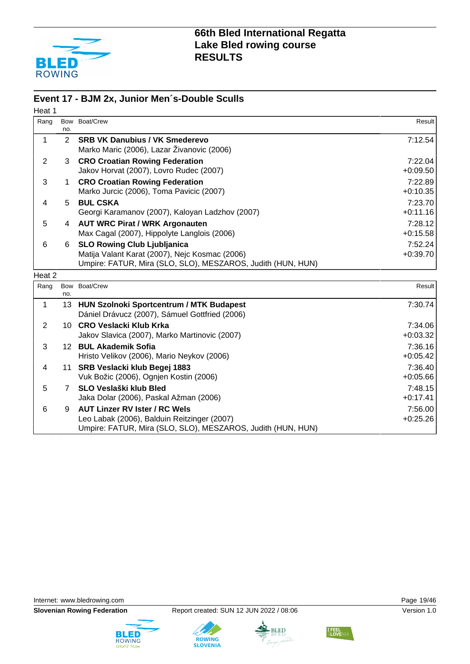

#### **Event 17 - BJM 2x, Junior Men´s-Double Sculls**

| Heat 1         |                |                                                                                                                                                     |                       |
|----------------|----------------|-----------------------------------------------------------------------------------------------------------------------------------------------------|-----------------------|
| Rang           | Bow<br>no.     | Boat/Crew                                                                                                                                           | Result                |
| 1              | $\overline{2}$ | <b>SRB VK Danubius / VK Smederevo</b><br>Marko Maric (2006), Lazar Živanovic (2006)                                                                 | 7:12.54               |
| $\overline{2}$ | 3              | <b>CRO Croatian Rowing Federation</b><br>Jakov Horvat (2007), Lovro Rudec (2007)                                                                    | 7:22.04<br>$+0.09.50$ |
| 3              | 1              | <b>CRO Croatian Rowing Federation</b><br>Marko Jurcic (2006), Toma Pavicic (2007)                                                                   | 7:22.89<br>$+0:10.35$ |
| 4              | 5              | <b>BUL CSKA</b><br>Georgi Karamanov (2007), Kaloyan Ladzhov (2007)                                                                                  | 7:23.70<br>$+0:11.16$ |
| 5              | 4              | <b>AUT WRC Pirat / WRK Argonauten</b><br>Max Cagal (2007), Hippolyte Langlois (2006)                                                                | 7:28.12<br>$+0:15.58$ |
| 6              | 6              | <b>SLO Rowing Club Ljubljanica</b><br>Matija Valant Karat (2007), Nejc Kosmac (2006)<br>Umpire: FATUR, Mira (SLO, SLO), MESZAROS, Judith (HUN, HUN) | 7:52.24<br>$+0:39.70$ |
| Heat 2         |                |                                                                                                                                                     |                       |
| Rang           | no.            | Bow Boat/Crew                                                                                                                                       | Result                |
| 1              | 13             | HUN Szolnoki Sportcentrum / MTK Budapest<br>Dániel Drávucz (2007), Sámuel Gottfried (2006)                                                          | 7:30.74               |
| $\overline{2}$ |                | 10 CRO Veslacki Klub Krka<br>Jakov Slavica (2007), Marko Martinovic (2007)                                                                          | 7:34.06<br>$+0:03.32$ |
| 3              |                | 12 BUL Akademik Sofia<br>Hristo Velikov (2006), Mario Neykov (2006)                                                                                 | 7:36.16<br>$+0:05.42$ |
| 4              | 11             | SRB Veslacki klub Begej 1883<br>Vuk Božic (2006), Ognjen Kostin (2006)                                                                              | 7:36.40<br>$+0.05.66$ |
| 5              | $7^{\circ}$    | <b>SLO Veslaški klub Bled</b><br>Jaka Dolar (2006), Paskal Ažman (2006)                                                                             | 7:48.15<br>$+0:17.41$ |
| 6              | 9              | <b>AUT Linzer RV Ister / RC Wels</b><br>Leo Labak (2006), Balduin Reitzinger (2007)                                                                 | 7:56.00<br>$+0:25.26$ |

Internet: [www.bledrowing.com](http://www.bledrowing.com) example of the control of the Page 19/46







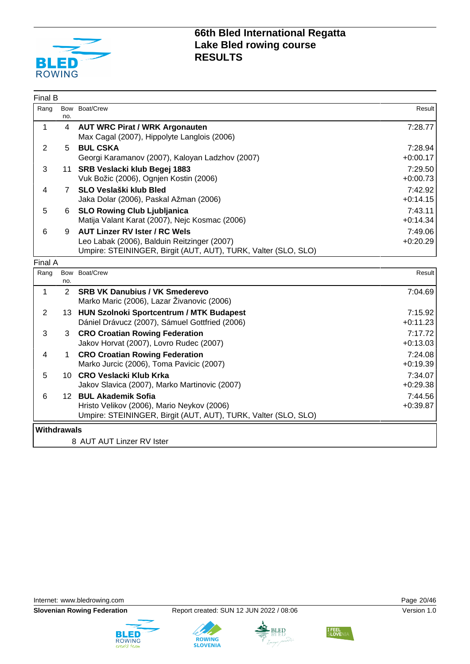

| Final B            |                |                                                                                                                                                       |                       |
|--------------------|----------------|-------------------------------------------------------------------------------------------------------------------------------------------------------|-----------------------|
| Rang               | no.            | Bow Boat/Crew                                                                                                                                         | Result                |
| $\mathbf{1}$       | $\overline{4}$ | <b>AUT WRC Pirat / WRK Argonauten</b><br>Max Cagal (2007), Hippolyte Langlois (2006)                                                                  | 7:28.77               |
| $\overline{2}$     | 5              | <b>BUL CSKA</b><br>Georgi Karamanov (2007), Kaloyan Ladzhov (2007)                                                                                    | 7:28.94<br>$+0:00.17$ |
| 3                  |                | 11 SRB Veslacki klub Begej 1883<br>Vuk Božic (2006), Ognjen Kostin (2006)                                                                             | 7:29.50<br>$+0:00.73$ |
| 4                  | $7^{\circ}$    | SLO Veslaški klub Bled<br>Jaka Dolar (2006), Paskal Ažman (2006)                                                                                      | 7:42.92<br>$+0:14.15$ |
| 5                  | 6              | <b>SLO Rowing Club Ljubljanica</b><br>Matija Valant Karat (2007), Nejc Kosmac (2006)                                                                  | 7:43.11<br>$+0:14.34$ |
| 6                  | 9              | <b>AUT Linzer RV Ister / RC Wels</b><br>Leo Labak (2006), Balduin Reitzinger (2007)<br>Umpire: STEININGER, Birgit (AUT, AUT), TURK, Valter (SLO, SLO) | 7:49.06<br>$+0:20.29$ |
| Final A            |                |                                                                                                                                                       |                       |
| Rang               | Bow<br>no.     | Boat/Crew                                                                                                                                             | Result                |
| $\mathbf{1}$       | 2              | <b>SRB VK Danubius / VK Smederevo</b><br>Marko Maric (2006), Lazar Živanovic (2006)                                                                   | 7:04.69               |
| $\overline{2}$     |                | 13 HUN Szolnoki Sportcentrum / MTK Budapest<br>Dániel Drávucz (2007), Sámuel Gottfried (2006)                                                         | 7:15.92<br>$+0:11.23$ |
| 3                  | 3              | <b>CRO Croatian Rowing Federation</b><br>Jakov Horvat (2007), Lovro Rudec (2007)                                                                      | 7:17.72<br>$+0:13.03$ |
| 4                  | 1              | <b>CRO Croatian Rowing Federation</b><br>Marko Jurcic (2006), Toma Pavicic (2007)                                                                     | 7:24.08<br>$+0:19.39$ |
| 5                  |                | 10 CRO Veslacki Klub Krka<br>Jakov Slavica (2007), Marko Martinovic (2007)                                                                            | 7:34.07<br>$+0.29.38$ |
| 6                  |                | 12 BUL Akademik Sofia<br>Hristo Velikov (2006), Mario Neykov (2006)<br>Umpire: STEININGER, Birgit (AUT, AUT), TURK, Valter (SLO, SLO)                 | 7:44.56<br>$+0.39.87$ |
| <b>Withdrawals</b> |                | 8 AUT AUT Linzer RV Ister                                                                                                                             |                       |

Internet: [www.bledrowing.com](http://www.bledrowing.com) example 20/46









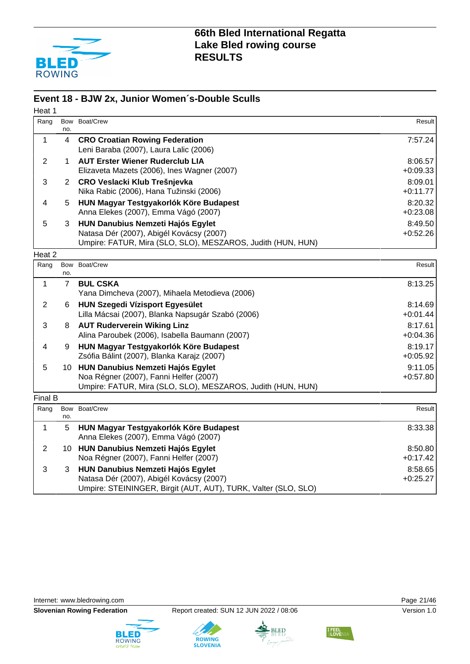

#### **Event 18 - BJW 2x, Junior Women´s-Double Sculls**

| Heat 1         |                |                                                                                                                                                        |                       |
|----------------|----------------|--------------------------------------------------------------------------------------------------------------------------------------------------------|-----------------------|
| Rang           | no.            | Bow Boat/Crew                                                                                                                                          | Result                |
| 1              | 4              | <b>CRO Croatian Rowing Federation</b><br>Leni Baraba (2007), Laura Lalic (2006)                                                                        | 7:57.24               |
| $\overline{2}$ | 1              | <b>AUT Erster Wiener Ruderclub LIA</b><br>Elizaveta Mazets (2006), Ines Wagner (2007)                                                                  | 8:06.57<br>$+0.09.33$ |
| 3              | 2              | CRO Veslacki Klub Trešnjevka<br>Nika Rabic (2006), Hana Tužinski (2006)                                                                                | 8:09.01<br>$+0:11.77$ |
| 4              | 5.             | HUN Magyar Testgyakorlók Köre Budapest<br>Anna Elekes (2007), Emma Vágó (2007)                                                                         | 8:20.32<br>$+0.23.08$ |
| 5              | 3              | <b>HUN Danubius Nemzeti Hajós Egylet</b><br>Natasa Dér (2007), Abigél Kovácsy (2007)<br>Umpire: FATUR, Mira (SLO, SLO), MESZAROS, Judith (HUN, HUN)    | 8:49.50<br>$+0.52.26$ |
| Heat 2         |                |                                                                                                                                                        |                       |
| Rang           | no.            | Bow Boat/Crew                                                                                                                                          | Result                |
| 1              | $\overline{7}$ | <b>BUL CSKA</b><br>Yana Dimcheva (2007), Mihaela Metodieva (2006)                                                                                      | 8:13.25               |
| $\overline{2}$ | 6              | <b>HUN Szegedi Vízisport Egyesület</b><br>Lilla Mácsai (2007), Blanka Napsugár Szabó (2006)                                                            | 8:14.69<br>$+0:01.44$ |
| 3              | 8              | <b>AUT Ruderverein Wiking Linz</b><br>Alina Paroubek (2006), Isabella Baumann (2007)                                                                   | 8:17.61<br>$+0.04.36$ |
| 4              | 9              | HUN Magyar Testgyakorlók Köre Budapest<br>Zsófia Bálint (2007), Blanka Karajz (2007)                                                                   | 8:19.17<br>$+0.05.92$ |
| 5              | 10             | <b>HUN Danubius Nemzeti Hajós Egylet</b><br>Noa Régner (2007), Fanni Helfer (2007)<br>Umpire: FATUR, Mira (SLO, SLO), MESZAROS, Judith (HUN, HUN)      | 9:11.05<br>$+0:57.80$ |
| Final B        |                |                                                                                                                                                        |                       |
| Rang           | Bow<br>no.     | Boat/Crew                                                                                                                                              | Result                |
| 1              | 5              | HUN Magyar Testgyakorlók Köre Budapest<br>Anna Elekes (2007), Emma Vágó (2007)                                                                         | 8:33.38               |
| $\overline{2}$ |                | 10 HUN Danubius Nemzeti Hajós Egylet<br>Noa Régner (2007), Fanni Helfer (2007)                                                                         | 8:50.80<br>$+0:17.42$ |
| 3              | 3              | <b>HUN Danubius Nemzeti Hajós Egylet</b><br>Natasa Dér (2007), Abigél Kovácsy (2007)<br>Umpire: STEININGER, Birgit (AUT, AUT), TURK, Valter (SLO, SLO) | 8:58.65<br>$+0:25.27$ |

Internet: [www.bledrowing.com](http://www.bledrowing.com) **Page 21/46** 







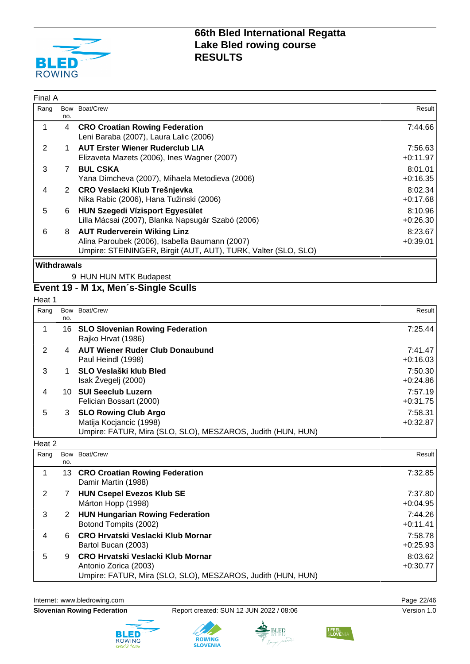

| Final A            |     |                                                                                                                                                        |                       |
|--------------------|-----|--------------------------------------------------------------------------------------------------------------------------------------------------------|-----------------------|
| Rang               | no. | Bow Boat/Crew                                                                                                                                          | Result                |
|                    | 4   | <b>CRO Croatian Rowing Federation</b><br>Leni Baraba (2007), Laura Lalic (2006)                                                                        | 7:44.66               |
| 2                  |     | <b>AUT Erster Wiener Ruderclub LIA</b><br>Elizaveta Mazets (2006), Ines Wagner (2007)                                                                  | 7:56.63<br>$+0:11.97$ |
| 3                  | 7   | <b>BUL CSKA</b><br>Yana Dimcheva (2007), Mihaela Metodieva (2006)                                                                                      | 8:01.01<br>$+0:16.35$ |
| 4                  |     | 2 CRO Veslacki Klub Trešnjevka<br>Nika Rabic (2006), Hana Tužinski (2006)                                                                              | 8:02.34<br>$+0:17.68$ |
| 5                  | 6   | <b>HUN Szegedi Vízisport Egyesület</b><br>Lilla Mácsai (2007), Blanka Napsugár Szabó (2006)                                                            | 8:10.96<br>$+0:26.30$ |
| 6                  | 8   | <b>AUT Ruderverein Wiking Linz</b><br>Alina Paroubek (2006), Isabella Baumann (2007)<br>Umpire: STEININGER, Birgit (AUT, AUT), TURK, Valter (SLO, SLO) | 8:23.67<br>$+0.39.01$ |
| <b>Withdrawals</b> |     |                                                                                                                                                        |                       |

#### 9 HUN HUN MTK Budapest **Event 19 - M 1x, Men´s-Single Sculls**

Heat 1

| Rang | no. | Bow Boat/Crew                                                                                                         | Result                |
|------|-----|-----------------------------------------------------------------------------------------------------------------------|-----------------------|
|      |     | 16 SLO Slovenian Rowing Federation<br>Rajko Hrvat (1986)                                                              | 7:25.44               |
| 2    | 4   | <b>AUT Wiener Ruder Club Donaubund</b><br>Paul Heindl (1998)                                                          | 7:41.47<br>$+0:16.03$ |
| 3    |     | SLO Veslaški klub Bled<br>Isak Žvegelj (2000)                                                                         | 7:50.30<br>$+0.24.86$ |
| 4    | 10. | <b>SUI Seeclub Luzern</b><br>Felician Bossart (2000)                                                                  | 7:57.19<br>$+0:31.75$ |
| 5    | 3   | <b>SLO Rowing Club Argo</b><br>Matija Kocjancic (1998)<br>Umpire: FATUR, Mira (SLO, SLO), MESZAROS, Judith (HUN, HUN) | 7:58.31<br>$+0:32.87$ |

#### Heat 2

| Rang | no. | Bow Boat/Crew                                                                                                             | Result                |
|------|-----|---------------------------------------------------------------------------------------------------------------------------|-----------------------|
|      |     | 13 CRO Croatian Rowing Federation<br>Damir Martin (1988)                                                                  | 7:32.85               |
|      |     | <b>HUN Csepel Evezos Klub SE</b><br>Márton Hopp (1998)                                                                    | 7:37.80<br>$+0.04.95$ |
| 3    | 2   | <b>HUN Hungarian Rowing Federation</b><br>Botond Tompits (2002)                                                           | 7:44.26<br>$+0:11.41$ |
| 4    | 6.  | CRO Hrvatski Veslacki Klub Mornar<br>Bartol Bucan (2003)                                                                  | 7:58.78<br>$+0:25.93$ |
| 5    | 9   | CRO Hrvatski Veslacki Klub Mornar<br>Antonio Zorica (2003)<br>Umpire: FATUR, Mira (SLO, SLO), MESZAROS, Judith (HUN, HUN) | 8:03.62<br>$+0:30.77$ |

Internet: [www.bledrowing.com](http://www.bledrowing.com) **Page 22/46** 

**Slovenian Rowing Federation** Report created: SUN 12 JUN 2022 / 08:06 Version 1.0







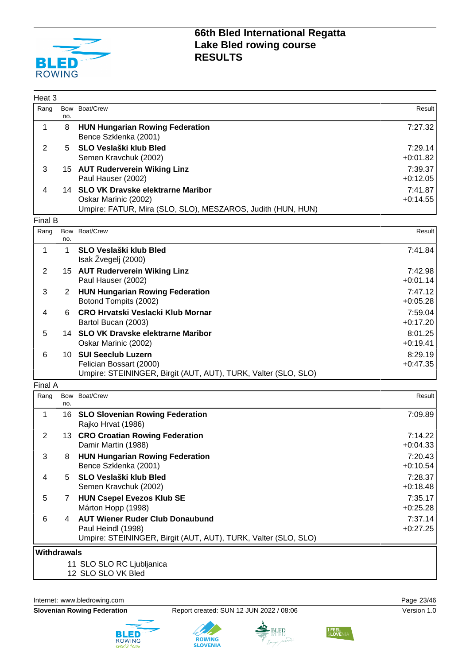

| Heat 3             |                |                                                                                           |                       |
|--------------------|----------------|-------------------------------------------------------------------------------------------|-----------------------|
| Rang               | no.            | Bow Boat/Crew                                                                             | Result                |
| 1                  | 8              | <b>HUN Hungarian Rowing Federation</b><br>Bence Szklenka (2001)                           | 7:27.32               |
| $\overline{2}$     | 5              | SLO Veslaški klub Bled                                                                    | 7:29.14               |
|                    |                | Semen Kravchuk (2002)                                                                     | $+0:01.82$            |
| 3                  |                | 15 AUT Ruderverein Wiking Linz                                                            | 7:39.37               |
|                    |                | Paul Hauser (2002)                                                                        | $+0:12.05$            |
| 4                  |                | 14 SLO VK Dravske elektrarne Maribor<br>Oskar Marinic (2002)                              | 7:41.87<br>$+0:14.55$ |
|                    |                | Umpire: FATUR, Mira (SLO, SLO), MESZAROS, Judith (HUN, HUN)                               |                       |
| Final B            |                |                                                                                           |                       |
| Rang               | no.            | Bow Boat/Crew                                                                             | Result                |
| $\mathbf 1$        | 1              | <b>SLO Veslaški klub Bled</b>                                                             | 7:41.84               |
|                    |                | Isak Žvegelj (2000)                                                                       |                       |
| $\overline{2}$     |                | 15 AUT Ruderverein Wiking Linz<br>Paul Hauser (2002)                                      | 7:42.98<br>$+0:01.14$ |
| 3                  | $\overline{2}$ | <b>HUN Hungarian Rowing Federation</b>                                                    | 7:47.12               |
|                    |                | Botond Tompits (2002)                                                                     | $+0:05.28$            |
| 4                  | 6              | <b>CRO Hrvatski Veslacki Klub Mornar</b>                                                  | 7:59.04               |
|                    |                | Bartol Bucan (2003)                                                                       | $+0:17.20$            |
| 5                  |                | 14 SLO VK Dravske elektrarne Maribor                                                      | 8:01.25               |
|                    |                | Oskar Marinic (2002)                                                                      | $+0:19.41$            |
| 6                  |                | 10 SUI Seeclub Luzern                                                                     | 8:29.19               |
|                    |                | Felician Bossart (2000)<br>Umpire: STEININGER, Birgit (AUT, AUT), TURK, Valter (SLO, SLO) | $+0:47.35$            |
| Final A            |                |                                                                                           |                       |
| Rang               | Bow            | Boat/Crew                                                                                 | Result                |
|                    | no.            |                                                                                           |                       |
| 1                  |                | 16 SLO Slovenian Rowing Federation<br>Rajko Hrvat (1986)                                  | 7:09.89               |
| $\overline{2}$     |                | 13 CRO Croatian Rowing Federation                                                         | 7:14.22               |
|                    |                | Damir Martin (1988)                                                                       | $+0:04.33$            |
| 3                  | 8              | <b>HUN Hungarian Rowing Federation</b>                                                    | 7:20.43               |
|                    |                | Bence Szklenka (2001)                                                                     | $+0:10.54$            |
| 4                  | 5              | SLO Veslaški klub Bled<br>Semen Kravchuk (2002)                                           | 7:28.37<br>$+0.18.48$ |
| 5                  | $7^{\circ}$    | <b>HUN Csepel Evezos Klub SE</b>                                                          | 7:35.17               |
|                    |                | Márton Hopp (1998)                                                                        | $+0:25.28$            |
| 6                  | 4              | <b>AUT Wiener Ruder Club Donaubund</b>                                                    | 7:37.14               |
|                    |                | Paul Heindl (1998)                                                                        | $+0:27.25$            |
|                    |                | Umpire: STEININGER, Birgit (AUT, AUT), TURK, Valter (SLO, SLO)                            |                       |
| <b>Withdrawals</b> |                |                                                                                           |                       |
|                    |                | 11 SLO SLO RC Ljubljanica                                                                 |                       |
|                    |                | 12 SLO SLO VK Bled                                                                        |                       |

Internet: [www.bledrowing.com](http://www.bledrowing.com) **Page 23/46** 



**Slovenian Rowing Federation** Report created: SUN 12 JUN 2022 / 08:06 Version 1.0

**ROWING**<br>SLOVENIA

BLED



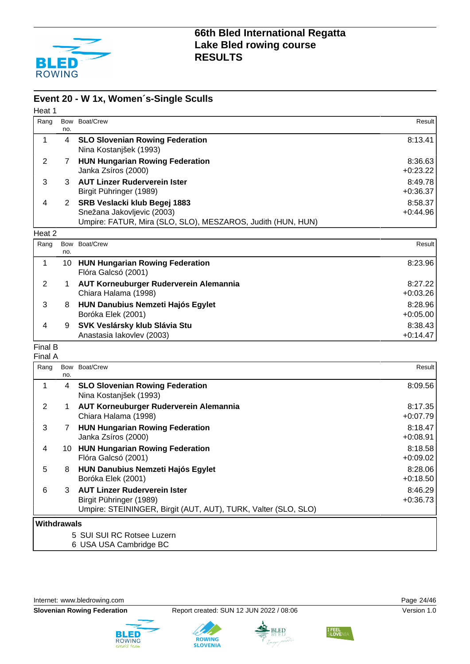

#### **Event 20 - W 1x, Women´s-Single Sculls**

| Heat 1         |     |                                                                                                                           |                       |
|----------------|-----|---------------------------------------------------------------------------------------------------------------------------|-----------------------|
| Rang           | no. | Bow Boat/Crew                                                                                                             | Result I              |
| 1              | 4   | <b>SLO Slovenian Rowing Federation</b><br>Nina Kostanjšek (1993)                                                          | 8:13.41               |
| 2              | 7   | <b>HUN Hungarian Rowing Federation</b><br>Janka Zsíros (2000)                                                             | 8:36.63<br>$+0:23.22$ |
| 3              | 3   | <b>AUT Linzer Ruderverein Ister</b><br>Birgit Pühringer (1989)                                                            | 8:49.78<br>$+0:36.37$ |
| 4              | 2   | SRB Veslacki klub Begej 1883<br>Snežana Jakovljevic (2003)<br>Umpire: FATUR, Mira (SLO, SLO), MESZAROS, Judith (HUN, HUN) | 8:58.37<br>$+0:44.96$ |
| Heat 2         |     |                                                                                                                           |                       |
| Rang           | no. | Bow Boat/Crew                                                                                                             | Result                |
| 1              | 10  | <b>HUN Hungarian Rowing Federation</b><br>Flóra Galcsó (2001)                                                             | 8:23.96               |
| $\overline{2}$ | 1   | AUT Korneuburger Ruderverein Alemannia<br>Chiara Halama (1998)                                                            | 8:27.22<br>$+0:03.26$ |
| 3              | 8   | <b>HUN Danubius Nemzeti Hajós Egylet</b><br>Boróka Elek (2001)                                                            | 8:28.96<br>$+0:05.00$ |
| 4              | 9   | SVK Veslársky klub Slávia Stu                                                                                             | 8.3843                |

#### 4 9 **SVK Veslársky klub Slávia Stu** Anastasia Iakovlev (2003)

#### Final B Final A

| Rang        |     | Bow Boat/Crew                                                  | Result     |  |
|-------------|-----|----------------------------------------------------------------|------------|--|
|             | no. |                                                                |            |  |
|             | 4   | <b>SLO Slovenian Rowing Federation</b>                         | 8:09.56    |  |
|             |     | Nina Kostanjšek (1993)                                         |            |  |
| 2           |     | AUT Korneuburger Ruderverein Alemannia                         | 8:17.35    |  |
|             |     | Chiara Halama (1998)                                           | $+0:07.79$ |  |
| 3           | 7   | <b>HUN Hungarian Rowing Federation</b>                         | 8:18.47    |  |
|             |     | Janka Zsíros (2000)                                            | $+0.08.91$ |  |
| 4           | 10  | <b>HUN Hungarian Rowing Federation</b>                         | 8:18.58    |  |
|             |     | Flóra Galcsó (2001)                                            | $+0.09.02$ |  |
| 5           | 8   | <b>HUN Danubius Nemzeti Hajós Egylet</b>                       | 8:28.06    |  |
|             |     | Boróka Elek (2001)                                             | $+0:18.50$ |  |
| 6           | 3   | <b>AUT Linzer Ruderverein Ister</b>                            | 8:46.29    |  |
|             |     | Birgit Pühringer (1989)                                        | $+0:36.73$ |  |
|             |     | Umpire: STEININGER, Birgit (AUT, AUT), TURK, Valter (SLO, SLO) |            |  |
| Withdrawals |     |                                                                |            |  |
|             |     | 5 SUI SUI RC Rotsee Luzern                                     |            |  |

6 USA USA Cambridge BC

Internet: [www.bledrowing.com](http://www.bledrowing.com) **Page 24/46** 







+0:14.47





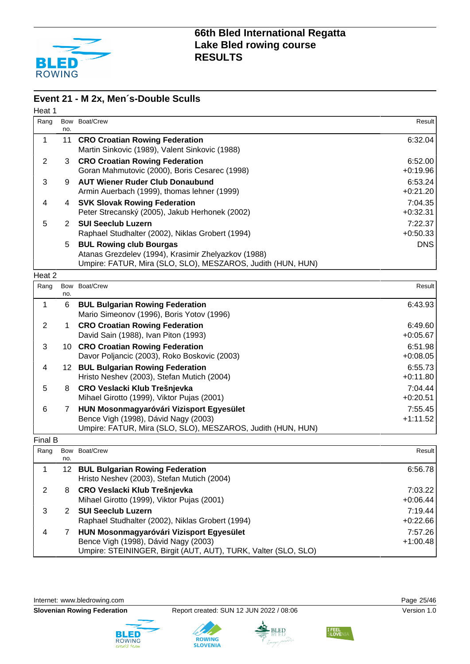

#### **Event 21 - M 2x, Men´s-Double Sculls**

| no.            | Boat/Crew                                                                                                                                            | Result                                                                                          |
|----------------|------------------------------------------------------------------------------------------------------------------------------------------------------|-------------------------------------------------------------------------------------------------|
| 11             | <b>CRO Croatian Rowing Federation</b><br>Martin Sinkovic (1989), Valent Sinkovic (1988)                                                              | 6:32.04                                                                                         |
| 3              | <b>CRO Croatian Rowing Federation</b><br>Goran Mahmutovic (2000), Boris Cesarec (1998)                                                               | 6:52.00<br>$+0.19.96$                                                                           |
| 9              | <b>AUT Wiener Ruder Club Donaubund</b><br>Armin Auerbach (1999), thomas lehner (1999)                                                                | 6:53.24<br>$+0:21.20$                                                                           |
| 4              | <b>SVK Slovak Rowing Federation</b><br>Peter Strecanský (2005), Jakub Herhonek (2002)                                                                | 7:04.35<br>$+0:32.31$                                                                           |
| $\overline{2}$ | <b>SUI Seeclub Luzern</b><br>Raphael Studhalter (2002), Niklas Grobert (1994)                                                                        | 7:22.37<br>$+0:50.33$                                                                           |
| 5              | <b>BUL Rowing club Bourgas</b><br>Atanas Grezdelev (1994), Krasimir Zhelyazkov (1988)<br>Umpire: FATUR, Mira (SLO, SLO), MESZAROS, Judith (HUN, HUN) | <b>DNS</b>                                                                                      |
|                |                                                                                                                                                      |                                                                                                 |
| no.            |                                                                                                                                                      | Result                                                                                          |
| 6              | <b>BUL Bulgarian Rowing Federation</b><br>Mario Simeonov (1996), Boris Yotov (1996)                                                                  | 6:43.93                                                                                         |
| 1              | <b>CRO Croatian Rowing Federation</b><br>David Sain (1988), Ivan Piton (1993)                                                                        | 6:49.60<br>$+0.05.67$                                                                           |
|                | Davor Poljancic (2003), Roko Boskovic (2003)                                                                                                         | 6:51.98<br>$+0.08.05$                                                                           |
|                | Hristo Neshev (2003), Stefan Mutich (2004)                                                                                                           | 6:55.73<br>$+0:11.80$                                                                           |
| 8              | CRO Veslacki Klub Trešnjevka<br>Mihael Girotto (1999), Viktor Pujas (2001)                                                                           | 7:04.44<br>$+0:20.51$                                                                           |
| $\overline{7}$ | HUN Mosonmagyaróvári Vizisport Egyesület                                                                                                             | 7:55.45                                                                                         |
|                | Heat 2                                                                                                                                               | Bow<br>Bow Boat/Crew<br>10 CRO Croatian Rowing Federation<br>12 BUL Bulgarian Rowing Federation |

| × |  |
|---|--|
|   |  |

| Rang |     | Bow Boat/Crew                                                                                                                                      | Result                |
|------|-----|----------------------------------------------------------------------------------------------------------------------------------------------------|-----------------------|
|      | no. |                                                                                                                                                    |                       |
|      |     | 12 BUL Bulgarian Rowing Federation<br>Hristo Neshev (2003), Stefan Mutich (2004)                                                                   | 6:56.78               |
|      | 8   | CRO Veslacki Klub Trešnjevka<br>Mihael Girotto (1999), Viktor Pujas (2001)                                                                         | 7:03.22<br>$+0:06.44$ |
| 3    |     | <b>SUI Seeclub Luzern</b><br>Raphael Studhalter (2002), Niklas Grobert (1994)                                                                      | 7:19.44<br>$+0:22.66$ |
| 4    |     | HUN Mosonmagyaróvári Vizisport Egyesület<br>Bence Vigh (1998), Dávid Nagy (2003)<br>Umpire: STEININGER, Birgit (AUT, AUT), TURK, Valter (SLO, SLO) | 7:57.26<br>$+1:00.48$ |

Internet: [www.bledrowing.com](http://www.bledrowing.com) **Page 25/46** 







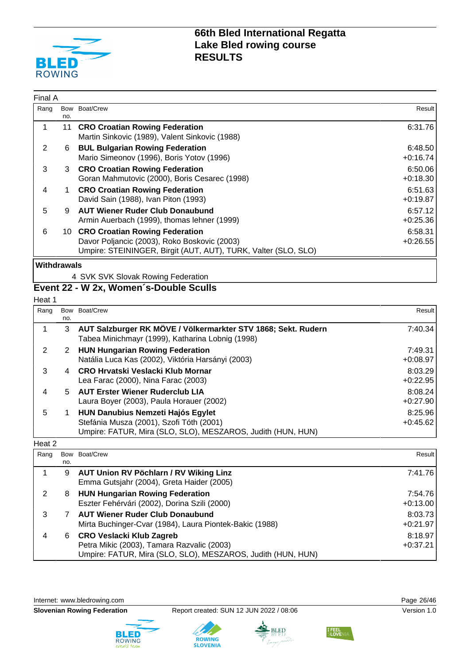

| Final A     |     |                                                                                                                                                     |                       |
|-------------|-----|-----------------------------------------------------------------------------------------------------------------------------------------------------|-----------------------|
| Rang        | no. | Bow Boat/Crew                                                                                                                                       | Result                |
|             |     | 11 CRO Croatian Rowing Federation<br>Martin Sinkovic (1989), Valent Sinkovic (1988)                                                                 | 6:31.76               |
| 2           | 6   | <b>BUL Bulgarian Rowing Federation</b><br>Mario Simeonov (1996), Boris Yotov (1996)                                                                 | 6:48.50<br>$+0:16.74$ |
| 3           |     | 3 CRO Croatian Rowing Federation<br>Goran Mahmutovic (2000), Boris Cesarec (1998)                                                                   | 6:50.06<br>$+0:18.30$ |
| 4           |     | <b>CRO Croatian Rowing Federation</b><br>David Sain (1988), Ivan Piton (1993)                                                                       | 6:51.63<br>$+0:19.87$ |
| 5           | 9   | <b>AUT Wiener Ruder Club Donaubund</b><br>Armin Auerbach (1999), thomas lehner (1999)                                                               | 6:57.12<br>$+0:25.36$ |
| 6           |     | 10 CRO Croatian Rowing Federation<br>Davor Poljancic (2003), Roko Boskovic (2003)<br>Umpire: STEININGER, Birgit (AUT, AUT), TURK, Valter (SLO, SLO) | 6:58.31<br>$+0.26.55$ |
| Withdrawals |     |                                                                                                                                                     |                       |

4 SVK SVK Slovak Rowing Federation

## **Event 22 - W 2x, Women´s-Double Sculls**

Heat 1

| Rang | no. | Bow Boat/Crew                                                                                                                                       | Result                |
|------|-----|-----------------------------------------------------------------------------------------------------------------------------------------------------|-----------------------|
|      | 3   | AUT Salzburger RK MÖVE / Völkermarkter STV 1868; Sekt. Rudern<br>Tabea Minichmayr (1999), Katharina Lobnig (1998)                                   | 7:40.34               |
| 2    | 2   | <b>HUN Hungarian Rowing Federation</b><br>Natália Luca Kas (2002), Viktória Harsányi (2003)                                                         | 7:49.31<br>$+0:08.97$ |
| 3    | 4   | CRO Hrvatski Veslacki Klub Mornar<br>Lea Farac (2000), Nina Farac (2003)                                                                            | 8:03.29<br>$+0:22.95$ |
| 4    | 5.  | <b>AUT Erster Wiener Ruderclub LIA</b><br>Laura Boyer (2003), Paula Horauer (2002)                                                                  | 8:08.24<br>$+0:27.90$ |
| 5    |     | <b>HUN Danubius Nemzeti Hajós Egylet</b><br>Stefánia Musza (2001), Szofi Tóth (2001)<br>Umpire: FATUR, Mira (SLO, SLO), MESZAROS, Judith (HUN, HUN) | 8:25.96<br>$+0:45.62$ |

#### Heat 2

| Rang |     | Bow Boat/Crew                                                                                                                                | Result                |
|------|-----|----------------------------------------------------------------------------------------------------------------------------------------------|-----------------------|
|      | no. |                                                                                                                                              |                       |
|      | 9   | <b>AUT Union RV Pöchlarn / RV Wiking Linz</b><br>Emma Gutsjahr (2004), Greta Haider (2005)                                                   | 7:41.76               |
|      | 8   | <b>HUN Hungarian Rowing Federation</b><br>Eszter Fehérvári (2002), Dorina Szili (2000)                                                       | 7:54.76<br>$+0:13.00$ |
| 3    |     | <b>AUT Wiener Ruder Club Donaubund</b><br>Mirta Buchinger-Cvar (1984), Laura Piontek-Bakic (1988)                                            | 8:03.73<br>$+0:21.97$ |
|      | 6.  | <b>CRO Veslacki Klub Zagreb</b><br>Petra Mikic (2003), Tamara Razvalic (2003)<br>Umpire: FATUR, Mira (SLO, SLO), MESZAROS, Judith (HUN, HUN) | 8:18.97<br>$+0:37.21$ |

Internet: [www.bledrowing.com](http://www.bledrowing.com) **Page 26/46** 









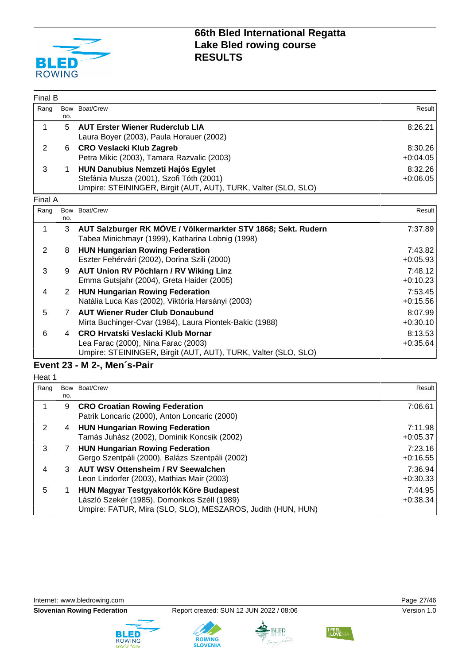

| Final B        |                |                                                                                                                                                        |                       |
|----------------|----------------|--------------------------------------------------------------------------------------------------------------------------------------------------------|-----------------------|
| Rang           | no.            | Bow Boat/Crew                                                                                                                                          | Result                |
| $\mathbf 1$    | 5              | <b>AUT Erster Wiener Ruderclub LIA</b><br>Laura Boyer (2003), Paula Horauer (2002)                                                                     | 8:26.21               |
| $\overline{2}$ | 6              | <b>CRO Veslacki Klub Zagreb</b><br>Petra Mikic (2003), Tamara Razvalic (2003)                                                                          | 8:30.26<br>$+0.04.05$ |
| 3              | 1.             | <b>HUN Danubius Nemzeti Hajós Egylet</b><br>Stefánia Musza (2001), Szofi Tóth (2001)<br>Umpire: STEININGER, Birgit (AUT, AUT), TURK, Valter (SLO, SLO) | 8:32.26<br>$+0.06.05$ |
| Final A        |                |                                                                                                                                                        |                       |
| Rang           | Bow<br>no.     | Boat/Crew                                                                                                                                              | Result                |
| 1              | 3              | AUT Salzburger RK MÖVE / Völkermarkter STV 1868; Sekt. Rudern<br>Tabea Minichmayr (1999), Katharina Lobnig (1998)                                      | 7:37.89               |
| 2              | 8              | <b>HUN Hungarian Rowing Federation</b><br>Eszter Fehérvári (2002), Dorina Szili (2000)                                                                 | 7:43.82<br>$+0.05.93$ |
| 3              | 9              | AUT Union RV Pöchlarn / RV Wiking Linz<br>Emma Gutsjahr (2004), Greta Haider (2005)                                                                    | 7:48.12<br>$+0:10.23$ |
| 4              | 2              | <b>HUN Hungarian Rowing Federation</b><br>Natália Luca Kas (2002), Viktória Harsányi (2003)                                                            | 7:53.45<br>$+0:15.56$ |
| 5              | $\overline{7}$ | <b>AUT Wiener Ruder Club Donaubund</b><br>Mirta Buchinger-Cvar (1984), Laura Piontek-Bakic (1988)                                                      | 8:07.99<br>$+0:30.10$ |
| 6              | $\overline{4}$ | <b>CRO Hrvatski Veslacki Klub Mornar</b><br>Lea Farac (2000), Nina Farac (2003)<br>Umpire: STEININGER, Birgit (AUT, AUT), TURK, Valter (SLO, SLO)      | 8:13.53<br>$+0:35.64$ |
|                |                | Event 23 - M 2-, Men's-Pair                                                                                                                            |                       |
| Heat 1         |                |                                                                                                                                                        |                       |
| Rang           |                | Bow Boat/Crew                                                                                                                                          | Result                |

| Rang |     | Bow Boat/Crew                                               | Result     |
|------|-----|-------------------------------------------------------------|------------|
|      | no. |                                                             |            |
|      | 9   | <b>CRO Croatian Rowing Federation</b>                       | 7:06.61    |
|      |     | Patrik Loncaric (2000), Anton Loncaric (2000)               |            |
| 2    | 4   | <b>HUN Hungarian Rowing Federation</b>                      | 7:11.98    |
|      |     | Tamás Juhász (2002), Dominik Koncsik (2002)                 | $+0:05.37$ |
| 3    |     | <b>HUN Hungarian Rowing Federation</b>                      | 7:23.16    |
|      |     | Gergo Szentpáli (2000), Balázs Szentpáli (2002)             | $+0:16.55$ |
| 4    | 3   | <b>AUT WSV Ottensheim / RV Seewalchen</b>                   | 7:36.94    |
|      |     | Leon Lindorfer (2003), Mathias Mair (2003)                  | $+0:30.33$ |
| 5    |     | HUN Magyar Testgyakorlók Köre Budapest                      | 7:44.95    |
|      |     | László Szekér (1985), Domonkos Széll (1989)                 | $+0:38.34$ |
|      |     | Umpire: FATUR, Mira (SLO, SLO), MESZAROS, Judith (HUN, HUN) |            |

Internet: [www.bledrowing.com](http://www.bledrowing.com) **Page 27/46** 







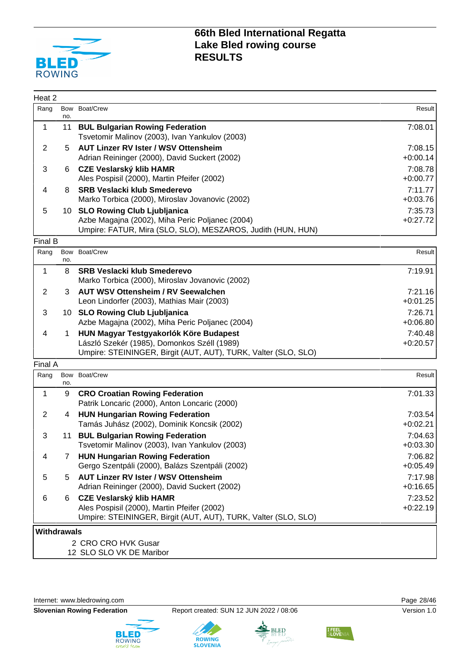

| Heat 2             |      |                                                                                                               |                       |
|--------------------|------|---------------------------------------------------------------------------------------------------------------|-----------------------|
| Rang               |      | Bow Boat/Crew                                                                                                 | Result                |
|                    | no.  |                                                                                                               |                       |
| $\mathbf 1$        | 11   | <b>BUL Bulgarian Rowing Federation</b><br>Tsvetomir Malinov (2003), Ivan Yankulov (2003)                      | 7:08.01               |
| $\overline{2}$     | 5.   | <b>AUT Linzer RV Ister / WSV Ottensheim</b>                                                                   | 7:08.15               |
|                    |      | Adrian Reininger (2000), David Suckert (2002)                                                                 | $+0:00.14$            |
| 3                  | 6    | <b>CZE Veslarský klib HAMR</b>                                                                                | 7:08.78               |
|                    |      | Ales Pospisil (2000), Martin Pfeifer (2002)                                                                   | $+0:00.77$            |
| 4                  | 8    | <b>SRB Veslacki klub Smederevo</b>                                                                            | 7:11.77               |
|                    |      | Marko Torbica (2000), Miroslav Jovanovic (2002)                                                               | $+0:03.76$            |
| 5                  | 10 - | <b>SLO Rowing Club Ljubljanica</b>                                                                            | 7:35.73               |
|                    |      | Azbe Magajna (2002), Miha Peric Poljanec (2004)                                                               | $+0:27.72$            |
|                    |      | Umpire: FATUR, Mira (SLO, SLO), MESZAROS, Judith (HUN, HUN)                                                   |                       |
| Final B            |      |                                                                                                               |                       |
| Rang               | no.  | Bow Boat/Crew                                                                                                 | Result                |
| 1                  | 8    | <b>SRB Veslacki klub Smederevo</b>                                                                            | 7:19.91               |
|                    |      | Marko Torbica (2000), Miroslav Jovanovic (2002)                                                               |                       |
| $\overline{2}$     | 3    | <b>AUT WSV Ottensheim / RV Seewalchen</b>                                                                     | 7:21.16               |
|                    |      | Leon Lindorfer (2003), Mathias Mair (2003)                                                                    | $+0:01.25$            |
| 3                  |      | 10 SLO Rowing Club Ljubljanica                                                                                | 7:26.71               |
|                    |      | Azbe Magajna (2002), Miha Peric Poljanec (2004)                                                               | $+0.06.80$            |
| 4                  | 1    | HUN Magyar Testgyakorlók Köre Budapest                                                                        | 7:40.48               |
|                    |      | László Szekér (1985), Domonkos Széll (1989)<br>Umpire: STEININGER, Birgit (AUT, AUT), TURK, Valter (SLO, SLO) | $+0:20.57$            |
|                    |      |                                                                                                               |                       |
| Final A            |      | Bow Boat/Crew                                                                                                 |                       |
| Rang               | no.  |                                                                                                               | Result                |
| 1                  | 9    | <b>CRO Croatian Rowing Federation</b>                                                                         | 7:01.33               |
|                    |      | Patrik Loncaric (2000), Anton Loncaric (2000)                                                                 |                       |
| $\overline{2}$     | 4    | <b>HUN Hungarian Rowing Federation</b>                                                                        | 7:03.54               |
|                    |      | Tamás Juhász (2002), Dominik Koncsik (2002)                                                                   | $+0:02.21$            |
| 3                  | 11   | <b>BUL Bulgarian Rowing Federation</b>                                                                        | 7:04.63               |
|                    |      | Tsvetomir Malinov (2003), Ivan Yankulov (2003)                                                                | $+0:03.30$            |
| 4                  | 7    | <b>HUN Hungarian Rowing Federation</b>                                                                        | 7:06.82               |
|                    |      | Gergo Szentpáli (2000), Balázs Szentpáli (2002)                                                               | $+0:05.49$            |
| 5                  | 5    | <b>AUT Linzer RV Ister / WSV Ottensheim</b>                                                                   | 7:17.98               |
|                    |      | Adrian Reininger (2000), David Suckert (2002)                                                                 | $+0.16.65$            |
| 6                  | 6    | <b>CZE Veslarský klib HAMR</b><br>Ales Pospisil (2000), Martin Pfeifer (2002)                                 | 7:23.52<br>$+0:22.19$ |
|                    |      | Umpire: STEININGER, Birgit (AUT, AUT), TURK, Valter (SLO, SLO)                                                |                       |
| <b>Withdrawals</b> |      |                                                                                                               |                       |
|                    |      | 2 CRO CRO HVK Gusar                                                                                           |                       |
|                    |      | 12 SLO SLO VK DE Maribor                                                                                      |                       |









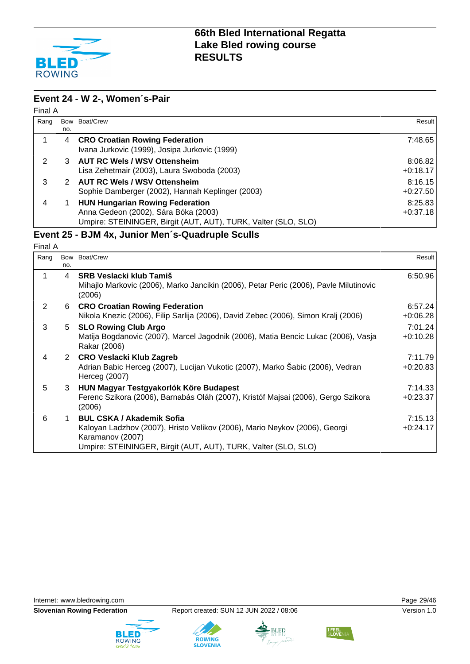

#### **Event 24 - W 2-, Women´s-Pair** Final A

| $\blacksquare$ |     |                                                                                                                                                  |                       |
|----------------|-----|--------------------------------------------------------------------------------------------------------------------------------------------------|-----------------------|
| Rang           |     | Bow Boat/Crew                                                                                                                                    | Result I              |
|                | no. |                                                                                                                                                  |                       |
|                | 4   | <b>CRO Croatian Rowing Federation</b><br>Ivana Jurkovic (1999), Josipa Jurkovic (1999)                                                           | 7:48.65               |
| 2              | 3.  | <b>AUT RC Wels / WSV Ottensheim</b><br>Lisa Zehetmair (2003), Laura Swoboda (2003)                                                               | 8:06.82<br>$+0.18.17$ |
| 3              |     | <b>AUT RC Wels / WSV Ottensheim</b><br>Sophie Damberger (2002), Hannah Keplinger (2003)                                                          | 8:16.15<br>$+0:27.50$ |
| 4              |     | <b>HUN Hungarian Rowing Federation</b><br>Anna Gedeon (2002), Sára Bóka (2003)<br>Umpire: STEININGER, Birgit (AUT, AUT), TURK, Valter (SLO, SLO) | 8:25.83<br>$+0:37.18$ |

### **Event 25 - BJM 4x, Junior Men´s-Quadruple Sculls**

| Final A |                |                                                                                                                                                                                                      |                       |
|---------|----------------|------------------------------------------------------------------------------------------------------------------------------------------------------------------------------------------------------|-----------------------|
| Rang    | no.            | Bow Boat/Crew                                                                                                                                                                                        | Result                |
| 1       | $\overline{a}$ | <b>SRB Veslacki klub Tamiš</b><br>Mihajlo Markovic (2006), Marko Jancikin (2006), Petar Peric (2006), Pavle Milutinovic<br>(2006)                                                                    | 6:50.96               |
| 2       | 6              | <b>CRO Croatian Rowing Federation</b><br>Nikola Knezic (2006), Filip Sarlija (2006), David Zebec (2006), Simon Kralj (2006)                                                                          | 6:57.24<br>$+0:06.28$ |
| 3       | 5              | <b>SLO Rowing Club Argo</b><br>Matija Bogdanovic (2007), Marcel Jagodnik (2006), Matia Bencic Lukac (2006), Vasja<br>Rakar (2006)                                                                    | 7:01.24<br>$+0:10.28$ |
| 4       |                | 2 CRO Veslacki Klub Zagreb<br>Adrian Babic Herceg (2007), Lucijan Vukotic (2007), Marko Sabic (2006), Vedran<br>Herceg (2007)                                                                        | 7:11.79<br>$+0:20.83$ |
| 5       | 3              | HUN Magyar Testgyakorlók Köre Budapest<br>Ferenc Szikora (2006), Barnabás Oláh (2007), Kristóf Majsai (2006), Gergo Szikora<br>(2006)                                                                | 7:14.33<br>$+0:23.37$ |
| 6       | 1.             | <b>BUL CSKA / Akademik Sofia</b><br>Kaloyan Ladzhov (2007), Hristo Velikov (2006), Mario Neykov (2006), Georgi<br>Karamanov (2007)<br>Umpire: STEININGER, Birgit (AUT, AUT), TURK, Valter (SLO, SLO) | 7:15.13<br>$+0:24.17$ |

Internet: [www.bledrowing.com](http://www.bledrowing.com) **Page 29/46** 









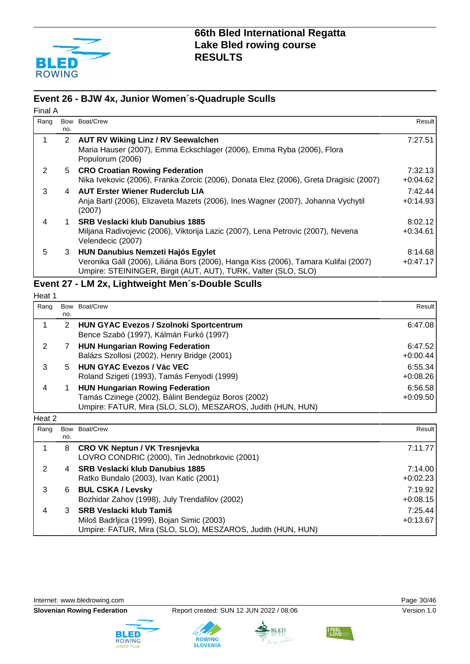

#### **Event 26 - BJW 4x, Junior Women´s-Quadruple Sculls**

| Final A |                      |                                                                                                                                                       |            |
|---------|----------------------|-------------------------------------------------------------------------------------------------------------------------------------------------------|------------|
| Rang    |                      | Bow Boat/Crew                                                                                                                                         | Result I   |
|         | no.                  |                                                                                                                                                       |            |
| 1       | $\mathbf{2}^{\circ}$ | <b>AUT RV Wiking Linz / RV Seewalchen</b>                                                                                                             | 7:27.51    |
|         |                      | Maria Hauser (2007), Emma Eckschlager (2006), Emma Ryba (2006), Flora<br>Populorum (2006)                                                             |            |
| 2       |                      | 5 CRO Croatian Rowing Federation                                                                                                                      | 7:32.13    |
|         |                      | Nika Ivekovic (2006), Franka Zorcic (2006), Donata Elez (2006), Greta Dragisic (2007)                                                                 | $+0.04.62$ |
| 3       |                      | 4 AUT Erster Wiener Ruderclub LIA                                                                                                                     | 7:42.44    |
|         |                      | Anja Bartl (2006), Elizaveta Mazets (2006), Ines Wagner (2007), Johanna Vychytil<br>(2007)                                                            | $+0:14.93$ |
| 4       |                      | <b>SRB Veslacki klub Danubius 1885</b>                                                                                                                | 8:02.12    |
|         |                      | Miljana Radivojevic (2006), Viktorija Lazic (2007), Lena Petrovic (2007), Nevena<br>Velendecic (2007)                                                 | $+0:34.61$ |
| 5       |                      | 3 HUN Danubius Nemzeti Hajós Egylet                                                                                                                   | 8:14.68    |
|         |                      | Veronika Gáll (2006), Liliána Bors (2006), Hanga Kiss (2006), Tamara Kulifai (2007)<br>Umpire: STEININGER, Birgit (AUT, AUT), TURK, Valter (SLO, SLO) | $+0:47.17$ |

### **Event 27 - LM 2x, Lightweight Men´s-Double Sculls**

| ⋍<br>e<br>۰,<br>n |  |
|-------------------|--|
|-------------------|--|

| Rang |     | Bow Boat/Crew                                               | Result     |
|------|-----|-------------------------------------------------------------|------------|
|      | no. |                                                             |            |
|      | 2   | <b>HUN GYAC Evezos / Szolnoki Sportcentrum</b>              | 6:47.08    |
|      |     | Bence Szabó (1997), Kálmán Furkó (1997)                     |            |
|      |     | <b>HUN Hungarian Rowing Federation</b>                      | 6:47.52    |
|      |     | Balázs Szollosi (2002), Henry Bridge (2001)                 | $+0:00.44$ |
|      | 5.  | <b>HUN GYAC Evezos / Vác VEC</b>                            | 6:55.34    |
|      |     | Roland Szigeti (1993), Tamás Fenyodi (1999)                 | $+0.08.26$ |
|      |     | <b>HUN Hungarian Rowing Federation</b>                      | 6:56.58    |
|      |     | Tamás Czinege (2002), Bálint Bendegúz Boros (2002)          | $+0:09.50$ |
|      |     | Umpire: FATUR, Mira (SLO, SLO), MESZAROS, Judith (HUN, HUN) |            |

Heat 2

| Rang | no. | Bow Boat/Crew                                                                                                                               | <b>Result</b>         |
|------|-----|---------------------------------------------------------------------------------------------------------------------------------------------|-----------------------|
|      | 8   | <b>CRO VK Neptun / VK Tresnjevka</b><br>LOVRO CONDRIC (2000), Tin Jednobrkovic (2001)                                                       | 7:11.77               |
| 2    | 4   | <b>SRB Veslacki klub Danubius 1885</b><br>Ratko Bundalo (2003), Ivan Katic (2001)                                                           | 7:14.00<br>$+0:02.23$ |
| 3    | 6   | <b>BUL CSKA / Levsky</b><br>Bozhidar Zahov (1998), July Trendafilov (2002)                                                                  | 7:19.92<br>$+0.08.15$ |
| 4    | 3   | <b>SRB Veslacki klub Tamiš</b><br>Miloš Badrljica (1999), Bojan Simic (2003)<br>Umpire: FATUR, Mira (SLO, SLO), MESZAROS, Judith (HUN, HUN) | 7:25.44<br>$+0:13.67$ |

Internet: [www.bledrowing.com](http://www.bledrowing.com) **Page 30/46** 









I FEEL<br>SLOVEI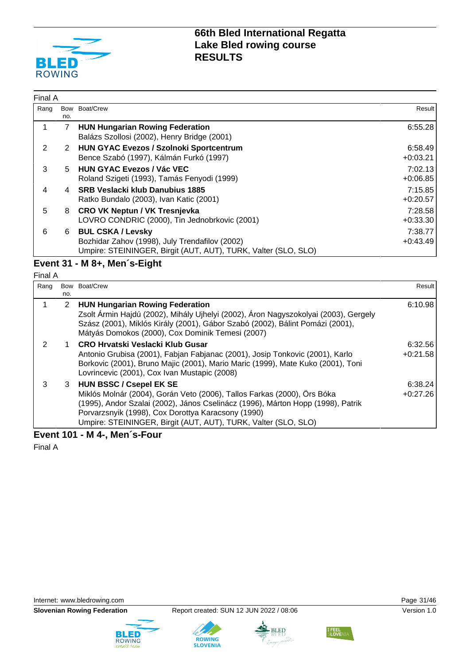

| Final A |            |                                                                                                                                              |                       |
|---------|------------|----------------------------------------------------------------------------------------------------------------------------------------------|-----------------------|
| Rang    | Bow<br>no. | Boat/Crew                                                                                                                                    | Result                |
|         | 7          | <b>HUN Hungarian Rowing Federation</b><br>Balázs Szollosi (2002), Henry Bridge (2001)                                                        | 6:55.28               |
| 2       | 2          | <b>HUN GYAC Evezos / Szolnoki Sportcentrum</b><br>Bence Szabó (1997), Kálmán Furkó (1997)                                                    | 6:58.49<br>$+0:03.21$ |
| 3       | 5          | <b>HUN GYAC Evezos / Vác VEC</b><br>Roland Szigeti (1993), Tamás Fenyodi (1999)                                                              | 7:02.13<br>$+0.06.85$ |
| 4       | 4          | <b>SRB Veslacki klub Danubius 1885</b><br>Ratko Bundalo (2003), Ivan Katic (2001)                                                            | 7:15.85<br>$+0:20.57$ |
| 5       | 8          | <b>CRO VK Neptun / VK Tresnjevka</b><br>LOVRO CONDRIC (2000), Tin Jednobrkovic (2001)                                                        | 7:28.58<br>$+0:33.30$ |
| 6       | 6          | <b>BUL CSKA / Levsky</b><br>Bozhidar Zahov (1998), July Trendafilov (2002)<br>Umpire: STEININGER, Birgit (AUT, AUT), TURK, Valter (SLO, SLO) | 7:38.77<br>$+0:43.49$ |

#### **Event 31 - M 8+, Men´s-Eight** Final A

| Rang |              | Bow Boat/Crew                                                                                                                                                                                                                                                                                                   | Result                |
|------|--------------|-----------------------------------------------------------------------------------------------------------------------------------------------------------------------------------------------------------------------------------------------------------------------------------------------------------------|-----------------------|
|      | no.          |                                                                                                                                                                                                                                                                                                                 |                       |
|      | $\mathbf{2}$ | <b>HUN Hungarian Rowing Federation</b><br>Zsolt Ármin Hajdú (2002), Mihály Ujhelyi (2002), Áron Nagyszokolyai (2003), Gergely<br>Szász (2001), Miklós Király (2001), Gábor Szabó (2002), Bálint Pomázi (2001),<br>Mátyás Domokos (2000), Cox Dominik Temesi (2007)                                              | 6:10.98               |
| 2    |              | CRO Hrvatski Veslacki Klub Gusar<br>Antonio Grubisa (2001), Fabjan Fabjanac (2001), Josip Tonkovic (2001), Karlo<br>Borkovic (2001), Bruno Majic (2001), Mario Maric (1999), Mate Kuko (2001), Toni<br>Lovrincevic (2001), Cox Ivan Mustapic (2008)                                                             | 6:32.56<br>$+0:21.58$ |
| 3    |              | 3 HUN BSSC / Csepel EK SE<br>Miklós Molnár (2004), Gorán Veto (2006), Tallos Farkas (2000), Örs Bóka<br>(1995), Andor Szalai (2002), János Cselinácz (1996), Márton Hopp (1998), Patrik<br>Porvarzsnyik (1998), Cox Dorottya Karacsony (1990)<br>Umpire: STEININGER, Birgit (AUT, AUT), TURK, Valter (SLO, SLO) | 6:38.24<br>$+0:27.26$ |

**Event 101 - M 4-, Men´s-Four**

Final A

Internet: [www.bledrowing.com](http://www.bledrowing.com) **Page 31/46** 









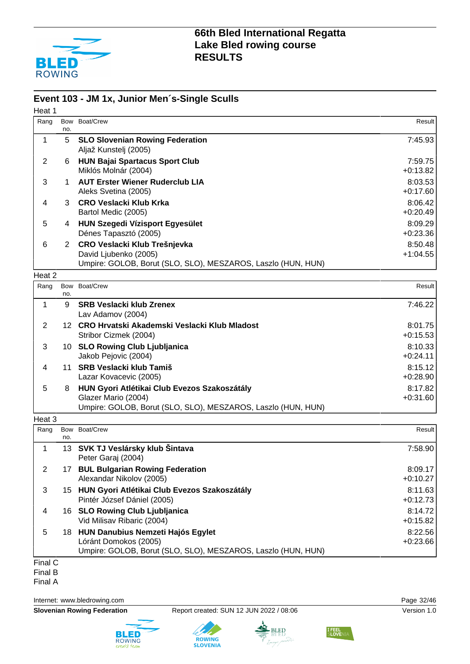

#### **Event 103 - JM 1x, Junior Men´s-Single Sculls**

| Heat 1         |             |                                                                                     |                       |
|----------------|-------------|-------------------------------------------------------------------------------------|-----------------------|
| Rang           | Bow         | Boat/Crew                                                                           | Result                |
| $\mathbf{1}$   | no.<br>5    | <b>SLO Slovenian Rowing Federation</b>                                              | 7:45.93               |
|                |             | Aljaž Kunstelj (2005)                                                               |                       |
| 2              | 6           | <b>HUN Bajai Spartacus Sport Club</b>                                               | 7:59.75               |
|                |             | Miklós Molnár (2004)                                                                | $+0:13.82$            |
| 3              | $\mathbf 1$ | <b>AUT Erster Wiener Ruderclub LIA</b>                                              | 8:03.53<br>$+0:17.60$ |
| 4              | 3           | Aleks Svetina (2005)<br>CRO Veslacki Klub Krka                                      | 8:06.42               |
|                |             | Bartol Medic (2005)                                                                 | $+0:20.49$            |
| 5              |             | 4 HUN Szegedi Vízisport Egyesület                                                   | 8:09.29               |
|                |             | Dénes Tapasztó (2005)                                                               | $+0:23.36$            |
| 6              |             | 2 CRO Veslacki Klub Trešnjevka                                                      | 8:50.48               |
|                |             | David Ljubenko (2005)                                                               | $+1:04.55$            |
| Heat 2         |             | Umpire: GOLOB, Borut (SLO, SLO), MESZAROS, Laszlo (HUN, HUN)                        |                       |
| Rang           | Bow         | Boat/Crew                                                                           | Result                |
|                | no.         |                                                                                     |                       |
| $\mathbf 1$    | 9           | <b>SRB Veslacki klub Zrenex</b>                                                     | 7:46.22               |
|                |             | Lav Adamov (2004)                                                                   |                       |
| $\overline{2}$ |             | 12 CRO Hrvatski Akademski Veslacki Klub Mladost<br>Stribor Cizmek (2004)            | 8:01.75<br>$+0:15.53$ |
| 3              |             | 10 SLO Rowing Club Ljubljanica                                                      | 8:10.33               |
|                |             | Jakob Pejovic (2004)                                                                | $+0:24.11$            |
| 4              |             | 11 SRB Veslacki klub Tamiš                                                          | 8:15.12               |
|                |             | Lazar Kovacevic (2005)                                                              | $+0.28.90$            |
| 5              | 8           | HUN Gyori Atlétikai Club Evezos Szakoszátály                                        | 8:17.82               |
|                |             | Glazer Mario (2004)<br>Umpire: GOLOB, Borut (SLO, SLO), MESZAROS, Laszlo (HUN, HUN) | $+0:31.60$            |
| Heat 3         |             |                                                                                     |                       |
| Rang           | Bow         | Boat/Crew                                                                           | Result                |
|                | no.         |                                                                                     |                       |

1 13 **SVK TJ Veslársky klub Šintava** Peter Garaj (2004) 7:58.90 2 17 **BUL Bulgarian Rowing Federation** Alexandar Nikolov (2005) 8:09.17 +0:10.27 3 15 **HUN Gyori Atlétikai Club Evezos Szakoszátály** Pintér József Dániel (2005) 8:11.63 +0:12.73 4 16 **SLO Rowing Club Ljubljanica** Vid Milisav Ribaric (2004) 8:14.72 +0:15.82 5 18 **HUN Danubius Nemzeti Hajós Egylet** Lóránt Domokos (2005) 8:22.56 +0:23.66 Umpire: GOLOB, Borut (SLO, SLO), MESZAROS, Laszlo (HUN, HUN)

Final C

Final B

Final A

Internet: [www.bledrowing.com](http://www.bledrowing.com) Page 32/46

**Slovenian Rowing Federation** Report created: SUN 12 JUN 2022 / 08:06 Version 1.0







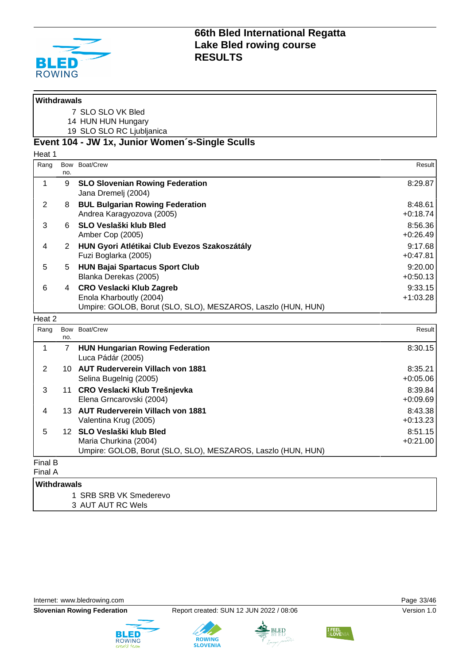

| <b>Withdrawals</b> |                       |                                                                                                                            |                       |
|--------------------|-----------------------|----------------------------------------------------------------------------------------------------------------------------|-----------------------|
|                    |                       | 7 SLO SLO VK Bled                                                                                                          |                       |
|                    |                       | 14 HUN HUN Hungary                                                                                                         |                       |
|                    |                       | 19 SLO SLO RC Ljubljanica                                                                                                  |                       |
|                    |                       | Event 104 - JW 1x, Junior Women's-Single Sculls                                                                            |                       |
| Heat 1             |                       |                                                                                                                            |                       |
| Rang               | no.                   | Bow Boat/Crew                                                                                                              | Result                |
| $\mathbf 1$        | 9                     | <b>SLO Slovenian Rowing Federation</b><br>Jana Dremelj (2004)                                                              | 8:29.87               |
| 2                  | 8                     | <b>BUL Bulgarian Rowing Federation</b><br>Andrea Karagyozova (2005)                                                        | 8:48.61<br>$+0:18.74$ |
| 3                  | 6                     | SLO Veslaški klub Bled<br>Amber Cop (2005)                                                                                 | 8:56.36<br>$+0:26.49$ |
| 4                  | $\mathbf{2}^{\prime}$ | HUN Gyori Atlétikai Club Evezos Szakoszátály<br>Fuzi Boglarka (2005)                                                       | 9:17.68<br>$+0:47.81$ |
| 5                  | 5                     | <b>HUN Bajai Spartacus Sport Club</b><br>Blanka Derekas (2005)                                                             | 9:20.00<br>$+0:50.13$ |
| 6                  | 4                     | <b>CRO Veslacki Klub Zagreb</b><br>Enola Kharboutly (2004)<br>Umpire: GOLOB, Borut (SLO, SLO), MESZAROS, Laszlo (HUN, HUN) | 9:33.15<br>$+1:03.28$ |
| Heat 2             |                       |                                                                                                                            |                       |
| Rang               | Bow<br>no.            | Boat/Crew                                                                                                                  | Result                |
| $\mathbf 1$        | $\overline{7}$        | <b>HUN Hungarian Rowing Federation</b><br>Luca Pádár (2005)                                                                | 8:30.15               |
| $\overline{2}$     |                       | 10 AUT Ruderverein Villach von 1881<br>Selina Bugelnig (2005)                                                              | 8:35.21<br>$+0.05.06$ |
| 3                  |                       | 11 CRO Veslacki Klub Trešnjevka<br>Elena Grncarovski (2004)                                                                | 8:39.84<br>$+0.09.69$ |
| 4                  |                       | 13 AUT Ruderverein Villach von 1881<br>Valentina Krug (2005)                                                               | 8:43.38<br>$+0:13.23$ |
| 5                  |                       | 12 SLO Veslaški klub Bled<br>Maria Churkina (2004)<br>Umpire: GOLOB, Borut (SLO, SLO), MESZAROS, Laszlo (HUN, HUN)         | 8:51.15<br>$+0:21.00$ |
| Final B<br>Final A |                       |                                                                                                                            |                       |
| Withdrawals        |                       |                                                                                                                            |                       |

1 SRB SRB VK Smederevo 3 AUT AUT RC Wels

Internet: [www.bledrowing.com](http://www.bledrowing.com) **Page 33/46** 









**I FEEL**<br>SLOVEI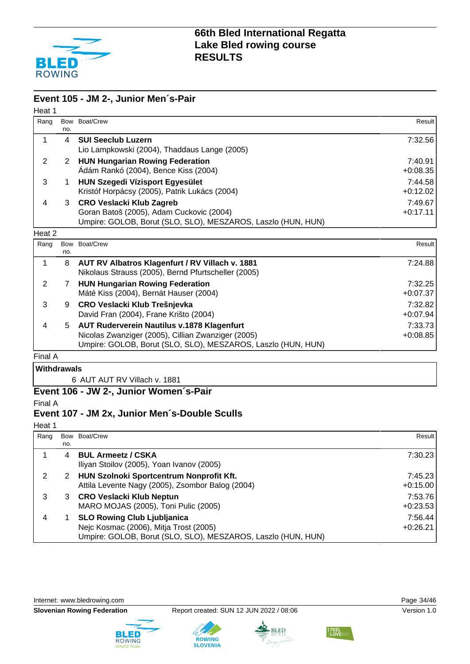

#### **Event 105 - JM 2-, Junior Men´s-Pair**

| Heat 1  |     |                                                                                                                                                                  |                       |
|---------|-----|------------------------------------------------------------------------------------------------------------------------------------------------------------------|-----------------------|
| Rang    | no. | Bow Boat/Crew                                                                                                                                                    | Result                |
| 1       | 4   | <b>SUI Seeclub Luzern</b><br>Lio Lampkowski (2004), Thaddaus Lange (2005)                                                                                        | 7:32.56               |
| 2       | 2   | <b>HUN Hungarian Rowing Federation</b><br>Ádám Rankó (2004), Bence Kiss (2004)                                                                                   | 7:40.91<br>$+0:08.35$ |
| 3       | 1   | <b>HUN Szegedi Vízisport Egyesület</b><br>Kristóf Horpácsy (2005), Patrik Lukács (2004)                                                                          | 7:44.58<br>$+0:12.02$ |
| 4       | 3   | <b>CRO Veslacki Klub Zagreb</b><br>Goran Batoš (2005), Adam Cuckovic (2004)<br>Umpire: GOLOB, Borut (SLO, SLO), MESZAROS, Laszlo (HUN, HUN)                      | 7:49.67<br>$+0:17.11$ |
| Heat 2  |     |                                                                                                                                                                  |                       |
| Rang    | no. | Bow Boat/Crew                                                                                                                                                    | Result                |
| 1       | 8   | AUT RV Albatros Klagenfurt / RV Villach v. 1881<br>Nikolaus Strauss (2005), Bernd Pfurtscheller (2005)                                                           | 7:24.88               |
| 2       | 7   | <b>HUN Hungarian Rowing Federation</b><br>Máté Kiss (2004), Bernát Hauser (2004)                                                                                 | 7:32.25<br>$+0.07.37$ |
| 3       | 9   | CRO Veslacki Klub Trešnjevka<br>David Fran (2004), Frane Krišto (2004)                                                                                           | 7:32.82<br>$+0.07.94$ |
| 4       | 5   | AUT Ruderverein Nautilus v.1878 Klagenfurt<br>Nicolas Zwanziger (2005), Cillian Zwanziger (2005)<br>Umpire: GOLOB, Borut (SLO, SLO), MESZAROS, Laszlo (HUN, HUN) | 7:33.73<br>$+0.08.85$ |
| Final A |     |                                                                                                                                                                  |                       |

### **Withdrawals**

6 AUT AUT RV Villach v. 1881

#### **Event 106 - JW 2-, Junior Women´s-Pair**

Final A

### **Event 107 - JM 2x, Junior Men´s-Double Sculls**

Heat 1

| Rang |     | Bow Boat/Crew                                                | Result     |
|------|-----|--------------------------------------------------------------|------------|
|      | no. |                                                              |            |
|      | 4   | <b>BUL Armeetz / CSKA</b>                                    | 7:30.23    |
|      |     | Iliyan Stoilov (2005), Yoan Ivanov (2005)                    |            |
| 2    | 2   | HUN Szolnoki Sportcentrum Nonprofit Kft.                     | 7:45.23    |
|      |     | Attila Levente Nagy (2005), Zsombor Balog (2004)             | $+0:15.00$ |
| 3    | 3   | <b>CRO Veslacki Klub Neptun</b>                              | 7:53.76    |
|      |     | MARO MOJAS (2005), Toni Pulic (2005)                         | $+0:23.53$ |
|      |     | <b>SLO Rowing Club Ljubljanica</b>                           | 7:56.44    |
|      |     | Nejc Kosmac (2006), Mitja Trost (2005)                       | $+0:26.21$ |
|      |     | Umpire: GOLOB, Borut (SLO, SLO), MESZAROS, Laszlo (HUN, HUN) |            |

Internet: [www.bledrowing.com](http://www.bledrowing.com) **Page 34/46** 





**ROWING**<br>SLOVENIA



BLED

I FEEL<br>SLOVE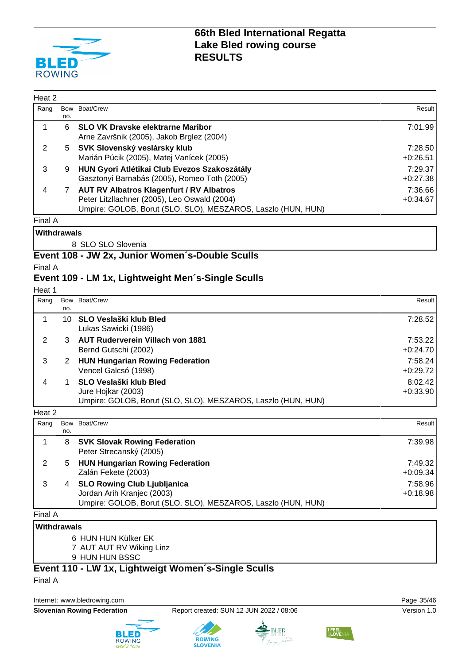

| Heat 2 |     |                                                                                                                                                                 |                       |
|--------|-----|-----------------------------------------------------------------------------------------------------------------------------------------------------------------|-----------------------|
| Rang   | no. | Bow Boat/Crew                                                                                                                                                   | Result                |
|        | 6.  | <b>SLO VK Dravske elektrarne Maribor</b><br>Arne Završnik (2005), Jakob Brglez (2004)                                                                           | 7:01.99               |
| 2      | 5   | SVK Slovenský veslársky klub<br>Marián Púcik (2005), Matej Vanícek (2005)                                                                                       | 7:28.50<br>$+0:26.51$ |
| 3      | 9   | HUN Gyori Atlétikai Club Evezos Szakoszátály<br>Gasztonyi Barnabás (2005), Romeo Toth (2005)                                                                    | 7:29.37<br>$+0:27.38$ |
| 4      |     | <b>AUT RV Albatros Klagenfurt / RV Albatros</b><br>Peter Litzllachner (2005), Leo Oswald (2004)<br>Umpire: GOLOB, Borut (SLO, SLO), MESZAROS, Laszlo (HUN, HUN) | 7:36.66<br>$+0:34.67$ |
|        |     |                                                                                                                                                                 |                       |

Final A **Withdrawals**

8 SLO SLO Slovenia

#### **Event 108 - JW 2x, Junior Women´s-Double Sculls**

Final A

#### **Event 109 - LM 1x, Lightweight Men´s-Single Sculls**

Heat 1

| Rang |     | Bow Boat/Crew                                                                                                | Result                |
|------|-----|--------------------------------------------------------------------------------------------------------------|-----------------------|
|      | no. |                                                                                                              |                       |
|      | 10. | SLO Veslaški klub Bled<br>Lukas Sawicki (1986)                                                               | 7:28.52               |
|      |     | <b>AUT Ruderverein Villach von 1881</b><br>Bernd Gutschi (2002)                                              | 7:53.22<br>$+0:24.70$ |
| 3    |     | <b>HUN Hungarian Rowing Federation</b><br>Vencel Galcsó (1998)                                               | 7:58.24<br>$+0:29.72$ |
| 4    |     | SLO Veslaški klub Bled<br>Jure Hojkar (2003)<br>Umpire: GOLOB, Borut (SLO, SLO), MESZAROS, Laszlo (HUN, HUN) | 8:02.42<br>$+0:33.90$ |

| i itali 4 |     |                                                              |            |
|-----------|-----|--------------------------------------------------------------|------------|
| Rang      |     | Bow Boat/Crew                                                | Result     |
|           | no. |                                                              |            |
|           | 8   | <b>SVK Slovak Rowing Federation</b>                          | 7:39.98    |
|           |     | Peter Strecanský (2005)                                      |            |
| 2         | 5   | <b>HUN Hungarian Rowing Federation</b>                       | 7:49.32    |
|           |     | Zalán Fekete (2003)                                          | $+0.09.34$ |
| 3         | 4   | <b>SLO Rowing Club Ljubljanica</b>                           | 7:58.96    |
|           |     | Jordan Arih Kranjec (2003)                                   | $+0.18.98$ |
|           |     | Umpire: GOLOB, Borut (SLO, SLO), MESZAROS, Laszlo (HUN, HUN) |            |
|           |     |                                                              |            |

Final A

#### **Withdrawals**

6 HUN HUN Külker EK 7 AUT AUT RV Wiking Linz

9 HUN HUN BSSC

### **Event 110 - LW 1x, Lightweigt Women´s-Single Sculls**

Final A

Internet: [www.bledrowing.com](http://www.bledrowing.com) example 35/46





**ROWING** 

**SLED** 

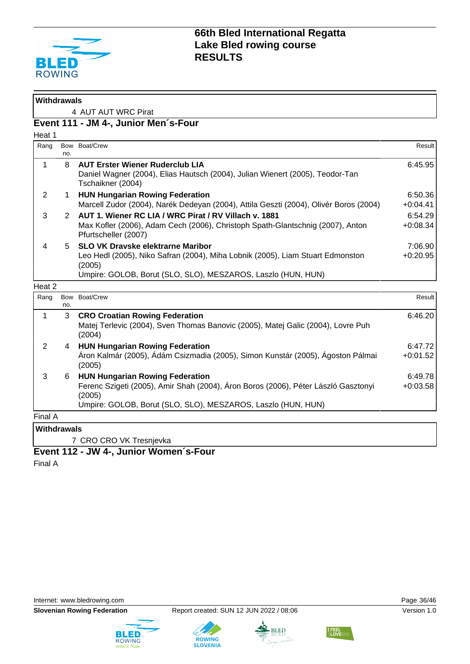

| <b>Withdrawals</b>      |             |                                                                                                                                                                                                        |                       |
|-------------------------|-------------|--------------------------------------------------------------------------------------------------------------------------------------------------------------------------------------------------------|-----------------------|
|                         |             | 4 AUT AUT WRC Pirat                                                                                                                                                                                    |                       |
|                         |             | Event 111 - JM 4-, Junior Men's-Four                                                                                                                                                                   |                       |
| Heat 1                  |             |                                                                                                                                                                                                        |                       |
| Rang                    | no.         | Bow Boat/Crew                                                                                                                                                                                          | Result                |
| $\mathbf{1}$            | 8           | <b>AUT Erster Wiener Ruderclub LIA</b><br>Daniel Wagner (2004), Elias Hautsch (2004), Julian Wienert (2005), Teodor-Tan<br>Tschaikner (2004)                                                           | 6:45.95               |
| 2                       | 1           | <b>HUN Hungarian Rowing Federation</b><br>Marcell Zudor (2004), Narék Dedeyan (2004), Attila Geszti (2004), Olivér Boros (2004)                                                                        | 6:50.36<br>$+0:04.41$ |
| 3                       | 2           | AUT 1. Wiener RC LIA / WRC Pirat / RV Villach v. 1881<br>Max Kofler (2006), Adam Cech (2006), Christoph Spath-Glantschnig (2007), Anton<br>Pfurtscheller (2007)                                        | 6:54.29<br>$+0:08.34$ |
| $\overline{\mathbf{4}}$ | $5^{\circ}$ | <b>SLO VK Dravske elektrarne Maribor</b><br>Leo Hedl (2005), Niko Safran (2004), Miha Lobnik (2005), Liam Stuart Edmonston<br>(2005)<br>Umpire: GOLOB, Borut (SLO, SLO), MESZAROS, Laszlo (HUN, HUN)   | 7:06.90<br>$+0:20.95$ |
| Heat 2                  |             |                                                                                                                                                                                                        |                       |
| Rang                    | no.         | Bow Boat/Crew                                                                                                                                                                                          | Result                |
| $\mathbf{1}$            | 3           | <b>CRO Croatian Rowing Federation</b><br>Matej Terlevic (2004), Sven Thomas Banovic (2005), Matej Galic (2004), Lovre Puh<br>(2004)                                                                    | 6:46.20               |
| $\overline{2}$          | 4           | <b>HUN Hungarian Rowing Federation</b><br>Áron Kalmár (2005), Ádám Csizmadia (2005), Simon Kunstár (2005), Ágoston Pálmai<br>(2005)                                                                    | 6:47.72<br>$+0:01.52$ |
| 3                       | 6           | <b>HUN Hungarian Rowing Federation</b><br>Ferenc Szigeti (2005), Amir Shah (2004), Áron Boros (2006), Péter László Gasztonyi<br>(2005)<br>Umpire: GOLOB, Borut (SLO, SLO), MESZAROS, Laszlo (HUN, HUN) | 6:49.78<br>$+0:03.58$ |
| Final A                 |             |                                                                                                                                                                                                        |                       |
| <b>Withdrawals</b>      |             |                                                                                                                                                                                                        |                       |

7 CRO CRO VK Tresnjevka

### **Event 112 - JW 4-, Junior Women´s-Four**

Final A







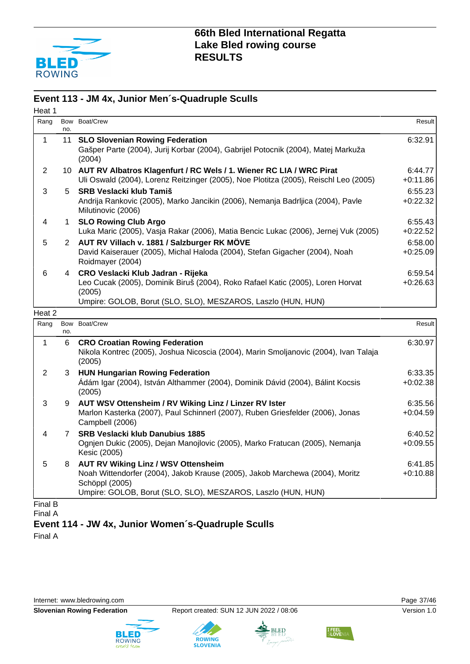

#### **Event 113 - JM 4x, Junior Men´s-Quadruple Sculls**

| Heat 1         |                |                                                                                                                                                                                               |                       |
|----------------|----------------|-----------------------------------------------------------------------------------------------------------------------------------------------------------------------------------------------|-----------------------|
| Rang           | no.            | Bow Boat/Crew                                                                                                                                                                                 | Result                |
| 1              | 11             | <b>SLO Slovenian Rowing Federation</b><br>Gašper Parte (2004), Jurij Korbar (2004), Gabrijel Potocnik (2004), Matej Markuža<br>(2004)                                                         | 6:32.91               |
| $\overline{c}$ |                | 10 AUT RV Albatros Klagenfurt / RC Wels / 1. Wiener RC LIA / WRC Pirat<br>Uli Oswald (2004), Lorenz Reitzinger (2005), Noe Plotitza (2005), Reischl Leo (2005)                                | 6:44.77<br>$+0:11.86$ |
| 3              | 5              | <b>SRB Veslacki klub Tamiš</b><br>Andrija Rankovic (2005), Marko Jancikin (2006), Nemanja Badrljica (2004), Pavle<br>Milutinovic (2006)                                                       | 6:55.23<br>$+0:22.32$ |
| 4              | 1.             | <b>SLO Rowing Club Argo</b><br>Luka Maric (2005), Vasja Rakar (2006), Matia Bencic Lukac (2006), Jernej Vuk (2005)                                                                            | 6:55.43<br>$+0:22.52$ |
| 5              | $\overline{2}$ | AUT RV Villach v. 1881 / Salzburger RK MÖVE<br>David Kaiserauer (2005), Michal Haloda (2004), Stefan Gigacher (2004), Noah<br>Roidmayer (2004)                                                | 6:58.00<br>$+0.25.09$ |
| 6              | 4              | CRO Veslacki Klub Jadran - Rijeka<br>Leo Cucak (2005), Dominik Biruš (2004), Roko Rafael Katic (2005), Loren Horvat<br>(2005)<br>Umpire: GOLOB, Borut (SLO, SLO), MESZAROS, Laszlo (HUN, HUN) | 6:59.54<br>$+0.26.63$ |
| Heat 2         |                |                                                                                                                                                                                               |                       |
| Rang           | no.            | Bow Boat/Crew                                                                                                                                                                                 | Result                |
| 1              | 6              | <b>CRO Croatian Rowing Federation</b><br>Nikola Kontrec (2005), Joshua Nicoscia (2004), Marin Smoljanovic (2004), Ivan Talaja<br>(2005)                                                       | 6:30.97               |
| $\overline{2}$ | 3              | <b>HUN Hungarian Rowing Federation</b><br>Ádám Igar (2004), István Althammer (2004), Dominik Dávid (2004), Bálint Kocsis<br>(2005)                                                            | 6:33.35<br>$+0:02.38$ |
| 3              | 9              | AUT WSV Ottensheim / RV Wiking Linz / Linzer RV Ister<br>Marlon Kasterka (2007), Paul Schinnerl (2007), Ruben Griesfelder (2006), Jonas<br>Campbell (2006)                                    | 6:35.56<br>$+0:04.59$ |
| 4              | $7^{\circ}$    | <b>SRB Veslacki klub Danubius 1885</b><br>Ognjen Dukic (2005), Dejan Manojlovic (2005), Marko Fratucan (2005), Nemanja<br>Kesic (2005)                                                        | 6:40.52<br>$+0.09.55$ |
| 5              | 8              | <b>AUT RV Wiking Linz / WSV Ottensheim</b>                                                                                                                                                    | 6:41.85               |

Noah Wittendorfer (2004), Jakob Krause (2005), Jakob Marchewa (2004), Moritz Schöppl (2005) +0:10.88 Umpire: GOLOB, Borut (SLO, SLO), MESZAROS, Laszlo (HUN, HUN)

Final B Final A

**Event 114 - JW 4x, Junior Women´s-Quadruple Sculls**

Final A











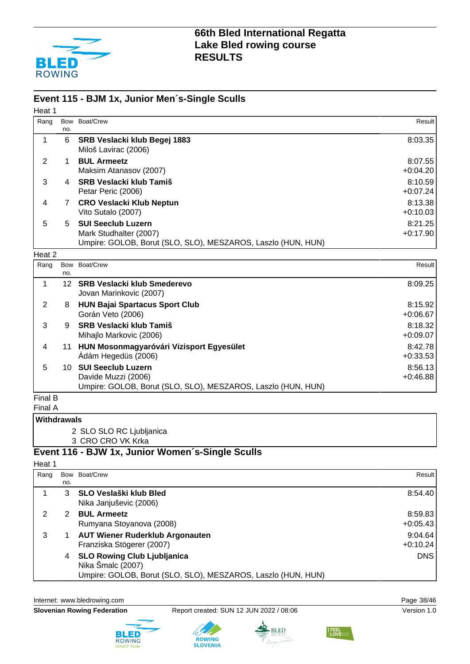

#### **Event 115 - BJM 1x, Junior Men´s-Single Sculls**

| Heat 1         |                   |                                                                                                                     |                       |
|----------------|-------------------|---------------------------------------------------------------------------------------------------------------------|-----------------------|
| Rang           | Bow<br>no.        | Boat/Crew                                                                                                           | Result                |
| 1              | 6                 | SRB Veslacki klub Begej 1883<br>Miloš Lavirac (2006)                                                                | 8:03.35               |
| 2              | 1                 | <b>BUL Armeetz</b><br>Maksim Atanasov (2007)                                                                        | 8:07.55<br>$+0.04.20$ |
| 3              | 4                 | <b>SRB Veslacki klub Tamiš</b><br>Petar Peric (2006)                                                                | 8:10.59<br>$+0:07.24$ |
| 4              | 7                 | <b>CRO Veslacki Klub Neptun</b><br>Vito Sutalo (2007)                                                               | 8:13.38<br>$+0:10.03$ |
| 5              | 5                 | <b>SUI Seeclub Luzern</b><br>Mark Studhalter (2007)<br>Umpire: GOLOB, Borut (SLO, SLO), MESZAROS, Laszlo (HUN, HUN) | 8:21.25<br>$+0:17.90$ |
| Heat 2         |                   |                                                                                                                     |                       |
| Rang           | no.               | Bow Boat/Crew                                                                                                       | Result                |
| 1              | $12 \overline{ }$ | <b>SRB Veslacki klub Smederevo</b><br>Jovan Marinkovic (2007)                                                       | 8:09.25               |
| $\overline{2}$ | 8                 | <b>HUN Bajai Spartacus Sport Club</b><br>Gorán Veto (2006)                                                          | 8:15.92<br>$+0:06.67$ |
| 3              | 9                 | <b>SRB Veslacki klub Tamiš</b><br>Mihajlo Markovic (2006)                                                           | 8:18.32<br>$+0.09.07$ |
| 4              | 11                | HUN Mosonmagyaróvári Vizisport Egyesület<br>Ádám Hegedüs (2006)                                                     | 8:42.78<br>$+0:33.53$ |
| 5              | 10                | <b>SUI Seeclub Luzern</b><br>Davide Muzzi (2006)                                                                    | 8:56.13<br>$+0:46.88$ |

Umpire: GOLOB, Borut (SLO, SLO), MESZAROS, Laszlo (HUN, HUN)

Final B

Final A

#### **Withdrawals**

2 SLO SLO RC Ljubljanica

3 CRO CRO VK Krka

### **Event 116 - BJW 1x, Junior Women´s-Single Sculls**

#### Heat 1

| Rang |     | Bow Boat/Crew                                                | Result     |
|------|-----|--------------------------------------------------------------|------------|
|      | no. |                                                              |            |
|      | 3   | <b>SLO Veslaški klub Bled</b>                                | 8:54.40    |
|      |     | Nika Janjuševic (2006)                                       |            |
| 2    |     | <b>BUL Armeetz</b>                                           | 8:59.83    |
|      |     | Rumyana Stoyanova (2008)                                     | $+0.05.43$ |
| 3    |     | <b>AUT Wiener Ruderklub Argonauten</b>                       | 9:04.64    |
|      |     | Franziska Stögerer (2007)                                    | $+0:10.24$ |
|      | 4   | <b>SLO Rowing Club Ljubljanica</b>                           | <b>DNS</b> |
|      |     | Nika Šmalc (2007)                                            |            |
|      |     | Umpire: GOLOB, Borut (SLO, SLO), MESZAROS, Laszlo (HUN, HUN) |            |

Internet: [www.bledrowing.com](http://www.bledrowing.com) example 38/46





**ROWING**<br>SLOVENIA

BLED

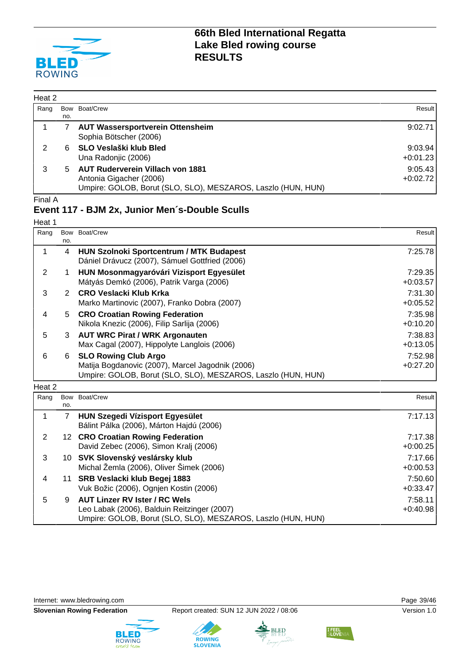

| Heat 2 |     |                                                                                                                                    |                       |
|--------|-----|------------------------------------------------------------------------------------------------------------------------------------|-----------------------|
| Rang   | Bow | Boat/Crew                                                                                                                          | Result                |
|        | no. |                                                                                                                                    |                       |
|        |     | <b>AUT Wassersportverein Ottensheim</b><br>Sophia Bötscher (2006)                                                                  | 9:02.71               |
| 2      | 6   | SLO Veslaški klub Bled<br>Una Radonjic (2006)                                                                                      | 9:03.94<br>$+0:01.23$ |
| 3      | 5   | <b>AUT Ruderverein Villach von 1881</b><br>Antonia Gigacher (2006)<br>Umpire: GOLOB, Borut (SLO, SLO), MESZAROS, Laszlo (HUN, HUN) | 9:05.43<br>$+0:02.72$ |

#### Final A

#### **Event 117 - BJM 2x, Junior Men´s-Double Sculls**

| Heat 1 |               |                                                                                                                                                 |                       |
|--------|---------------|-------------------------------------------------------------------------------------------------------------------------------------------------|-----------------------|
| Rang   | no.           | Bow Boat/Crew                                                                                                                                   | Result                |
|        | 4             | <b>HUN Szolnoki Sportcentrum / MTK Budapest</b><br>Dániel Drávucz (2007), Sámuel Gottfried (2006)                                               | 7:25.78               |
| 2      |               | HUN Mosonmagyaróvári Vizisport Egyesület<br>Mátyás Demkó (2006), Patrik Varga (2006)                                                            | 7:29.35<br>$+0:03.57$ |
| 3      | $\mathcal{P}$ | CRO Veslacki Klub Krka<br>Marko Martinovic (2007), Franko Dobra (2007)                                                                          | 7:31.30<br>$+0:05.52$ |
| 4      | 5             | <b>CRO Croatian Rowing Federation</b><br>Nikola Knezic (2006), Filip Sarlija (2006)                                                             | 7:35.98<br>$+0:10.20$ |
| 5      |               | 3 AUT WRC Pirat / WRK Argonauten<br>Max Cagal (2007), Hippolyte Langlois (2006)                                                                 | 7:38.83<br>$+0:13.05$ |
| 6      | 6             | <b>SLO Rowing Club Argo</b><br>Matija Bogdanovic (2007), Marcel Jagodnik (2006)<br>Umpire: GOLOB, Borut (SLO, SLO), MESZAROS, Laszlo (HUN, HUN) | 7:52.98<br>$+0:27.20$ |
| Heat 2 |               |                                                                                                                                                 |                       |

| Rang |     | Bow Boat/Crew                                                                      | Result     |
|------|-----|------------------------------------------------------------------------------------|------------|
|      | no. |                                                                                    |            |
|      |     | <b>HUN Szegedi Vízisport Egyesület</b><br>Bálint Pálka (2006), Márton Hajdú (2006) | 7:17.13    |
| 2    |     | 12 CRO Croatian Rowing Federation                                                  | 7:17.38    |
|      |     | David Zebec (2006), Simon Kralj (2006)                                             | $+0:00.25$ |
| 3    |     | 10 SVK Slovenský veslársky klub                                                    | 7:17.66    |
|      |     | Michal Žemla (2006), Oliver Šimek (2006)                                           | $+0:00.53$ |
| 4    |     | 11 SRB Veslacki klub Begej 1883                                                    | 7:50.60    |
|      |     | Vuk Božic (2006), Ognjen Kostin (2006)                                             | $+0:33.47$ |
| 5    | 9   | <b>AUT Linzer RV Ister / RC Wels</b>                                               | 7:58.11    |
|      |     | Leo Labak (2006), Balduin Reitzinger (2007)                                        | $+0:40.98$ |
|      |     | Umpire: GOLOB, Borut (SLO, SLO), MESZAROS, Laszlo (HUN, HUN)                       |            |

Internet: [www.bledrowing.com](http://www.bledrowing.com) **Page 39/46** 











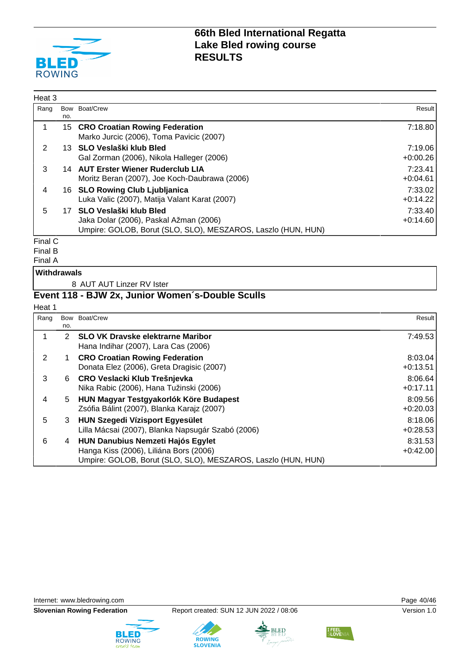

| Heat 3                        |     |                                                                                                                                     |                       |
|-------------------------------|-----|-------------------------------------------------------------------------------------------------------------------------------------|-----------------------|
| Rang                          | no. | Bow Boat/Crew                                                                                                                       | Result                |
|                               |     | 15 CRO Croatian Rowing Federation<br>Marko Jurcic (2006), Toma Pavicic (2007)                                                       | 7:18.80               |
| 2                             |     | 13 SLO Veslaški klub Bled<br>Gal Zorman (2006), Nikola Halleger (2006)                                                              | 7:19.06<br>$+0:00.26$ |
| 3                             |     | 14 AUT Erster Wiener Ruderclub LIA<br>Moritz Beran (2007), Joe Koch-Daubrawa (2006)                                                 | 7:23.41<br>$+0:04.61$ |
| 4                             |     | 16 SLO Rowing Club Ljubljanica<br>Luka Valic (2007), Matija Valant Karat (2007)                                                     | 7:33.02<br>$+0:14.22$ |
| 5                             |     | 17 SLO Veslaški klub Bled<br>Jaka Dolar (2006), Paskal Ažman (2006)<br>Umpire: GOLOB, Borut (SLO, SLO), MESZAROS, Laszlo (HUN, HUN) | 7:33.40<br>$+0:14.60$ |
| $F_{\text{in}}$ $\sim$ $\sim$ |     |                                                                                                                                     |                       |

Final C

Final B

Final A

#### **Withdrawals**

8 AUT AUT Linzer RV Ister

### **Event 118 - BJW 2x, Junior Women´s-Double Sculls**

#### Heat 1

| Rang | Bow | Boat/Crew                                                                                                                                          | Result                |
|------|-----|----------------------------------------------------------------------------------------------------------------------------------------------------|-----------------------|
|      | no. |                                                                                                                                                    |                       |
|      | 2.  | <b>SLO VK Dravske elektrarne Maribor</b><br>Hana Indihar (2007), Lara Cas (2006)                                                                   | 7:49.53               |
| 2    |     | <b>CRO Croatian Rowing Federation</b><br>Donata Elez (2006), Greta Dragisic (2007)                                                                 | 8:03.04<br>$+0:13.51$ |
| 3    | 6.  | <b>CRO Veslacki Klub Trešnjevka</b><br>Nika Rabic (2006), Hana Tužinski (2006)                                                                     | 8:06.64<br>$+0:17.11$ |
| 4    | 5.  | HUN Magyar Testgyakorlók Köre Budapest<br>Zsófia Bálint (2007), Blanka Karajz (2007)                                                               | 8:09.56<br>$+0:20.03$ |
| 5    | 3   | <b>HUN Szegedi Vízisport Egyesület</b><br>Lilla Mácsai (2007), Blanka Napsugár Szabó (2006)                                                        | 8:18.06<br>$+0.28.53$ |
| 6    | 4   | <b>HUN Danubius Nemzeti Hajós Egylet</b><br>Hanga Kiss (2006), Liliána Bors (2006)<br>Umpire: GOLOB, Borut (SLO, SLO), MESZAROS, Laszlo (HUN, HUN) | 8:31.53<br>$+0:42.00$ |







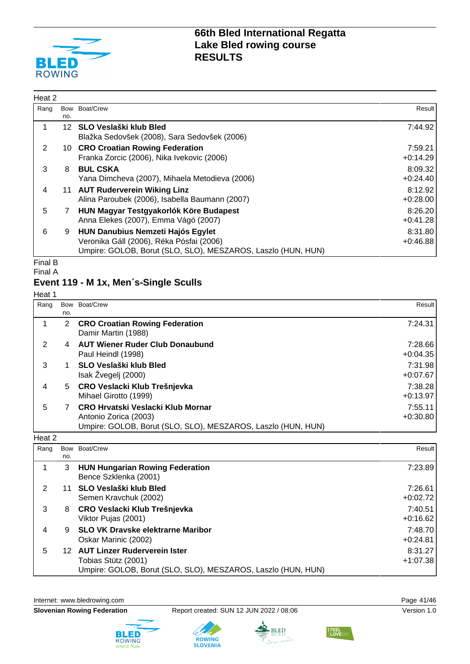

| Heat 2 |     |                                                                                                                                                      |                       |
|--------|-----|------------------------------------------------------------------------------------------------------------------------------------------------------|-----------------------|
| Rang   | no. | Bow Boat/Crew                                                                                                                                        | Result                |
|        |     | 12 SLO Veslaški klub Bled<br>Blažka Sedovšek (2008), Sara Sedovšek (2006)                                                                            | 7:44.92               |
| 2      |     | 10 CRO Croatian Rowing Federation<br>Franka Zorcic (2006), Nika Ivekovic (2006)                                                                      | 7:59.21<br>$+0:14.29$ |
| 3      | 8   | <b>BUL CSKA</b><br>Yana Dimcheva (2007), Mihaela Metodieva (2006)                                                                                    | 8:09.32<br>$+0:24.40$ |
| 4      |     | 11 AUT Ruderverein Wiking Linz<br>Alina Paroubek (2006), Isabella Baumann (2007)                                                                     | 8:12.92<br>$+0:28.00$ |
| 5      | 7   | HUN Magyar Testgyakorlók Köre Budapest<br>Anna Elekes (2007), Emma Vágó (2007)                                                                       | 8:26.20<br>$+0:41.28$ |
| 6      | 9   | <b>HUN Danubius Nemzeti Hajós Egylet</b><br>Veronika Gáll (2006), Réka Pósfai (2006)<br>Umpire: GOLOB, Borut (SLO, SLO), MESZAROS, Laszlo (HUN, HUN) | 8:31.80<br>$+0:46.88$ |

Final B

#### Final A

#### **Event 119 - M 1x, Men´s-Single Sculls**

Heat 1

| Rang | Bow | Boat/Crew                                                                                                                  | Result                |
|------|-----|----------------------------------------------------------------------------------------------------------------------------|-----------------------|
|      | no. |                                                                                                                            |                       |
|      | 2   | <b>CRO Croatian Rowing Federation</b><br>Damir Martin (1988)                                                               | 7:24.31               |
| 2    | 4   | <b>AUT Wiener Ruder Club Donaubund</b><br>Paul Heindl (1998)                                                               | 7:28.66<br>$+0.04.35$ |
| 3    |     | <b>SLO Veslaški klub Bled</b><br>Isak Žvegelj (2000)                                                                       | 7:31.98<br>$+0:07.67$ |
| 4    | 5.  | CRO Veslacki Klub Trešnjevka<br>Mihael Girotto (1999)                                                                      | 7:38.28<br>$+0:13.97$ |
| 5    |     | CRO Hrvatski Veslacki Klub Mornar<br>Antonio Zorica (2003)<br>Umpire: GOLOB, Borut (SLO, SLO), MESZAROS, Laszlo (HUN, HUN) | 7:55.11<br>$+0:30.80$ |

#### Heat 2

| Rang | Bow | Boat/Crew                                                                                                                  | Result I              |
|------|-----|----------------------------------------------------------------------------------------------------------------------------|-----------------------|
|      | no. |                                                                                                                            |                       |
|      | 3   | <b>HUN Hungarian Rowing Federation</b><br>Bence Szklenka (2001)                                                            | 7:23.89               |
| 2    | 11  | SLO Veslaški klub Bled<br>Semen Kravchuk (2002)                                                                            | 7:26.61<br>$+0:02.72$ |
| 3    | 8   | CRO Veslacki Klub Trešnjevka<br>Viktor Pujas (2001)                                                                        | 7:40.51<br>$+0:16.62$ |
| 4    | 9   | <b>SLO VK Dravske elektrarne Maribor</b><br>Oskar Marinic (2002)                                                           | 7:48.70<br>$+0:24.81$ |
| 5    | 12. | <b>AUT Linzer Ruderverein Ister</b><br>Tobias Stütz (2001)<br>Umpire: GOLOB, Borut (SLO, SLO), MESZAROS, Laszlo (HUN, HUN) | 8:31.27<br>$+1:07.38$ |





**ROWING**<br>SLOVENIA

BLED

**I FEEL** 

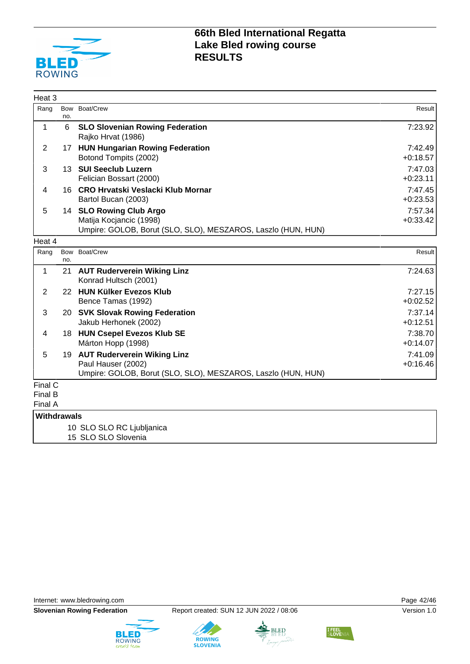

| Heat <sub>3</sub>                    |            |                                                                                                                      |                       |
|--------------------------------------|------------|----------------------------------------------------------------------------------------------------------------------|-----------------------|
| Rang                                 | no.        | Bow Boat/Crew                                                                                                        | Result                |
| 1                                    | 6          | <b>SLO Slovenian Rowing Federation</b><br>Rajko Hrvat (1986)                                                         | 7:23.92               |
| $\overline{2}$                       |            | 17 HUN Hungarian Rowing Federation<br>Botond Tompits (2002)                                                          | 7:42.49<br>$+0:18.57$ |
| 3                                    |            | 13 SUI Seeclub Luzern<br>Felician Bossart (2000)                                                                     | 7:47.03<br>$+0:23.11$ |
| 4                                    |            | 16 CRO Hrvatski Veslacki Klub Mornar<br>Bartol Bucan (2003)                                                          | 7:47.45<br>$+0:23.53$ |
| 5                                    |            | 14 SLO Rowing Club Argo<br>Matija Kocjancic (1998)<br>Umpire: GOLOB, Borut (SLO, SLO), MESZAROS, Laszlo (HUN, HUN)   | 7:57.34<br>$+0:33.42$ |
| Heat 4                               |            |                                                                                                                      |                       |
| Rang                                 | Bow<br>no. | Boat/Crew                                                                                                            | Result                |
| 1                                    |            | 21 AUT Ruderverein Wiking Linz<br>Konrad Hultsch (2001)                                                              | 7:24.63               |
| $\overline{2}$                       |            | 22 HUN Külker Evezos Klub<br>Bence Tamas (1992)                                                                      | 7:27.15<br>$+0:02.52$ |
| 3                                    |            | 20 SVK Slovak Rowing Federation<br>Jakub Herhonek (2002)                                                             | 7:37.14<br>$+0:12.51$ |
| 4                                    |            | 18 HUN Csepel Evezos Klub SE<br>Márton Hopp (1998)                                                                   | 7:38.70<br>$+0:14.07$ |
| 5                                    |            | 19 AUT Ruderverein Wiking Linz<br>Paul Hauser (2002)<br>Umpire: GOLOB, Borut (SLO, SLO), MESZAROS, Laszlo (HUN, HUN) | 7:41.09<br>$+0:16.46$ |
| Final C<br><b>Final B</b><br>Final A |            |                                                                                                                      |                       |
| <b>Withdrawals</b>                   |            |                                                                                                                      |                       |
|                                      |            | 10 SLO SLO RC Ljubljanica<br>15 SLO SLO Slovenia                                                                     |                       |

Internet: [www.bledrowing.com](http://www.bledrowing.com) **Page 42/46** 







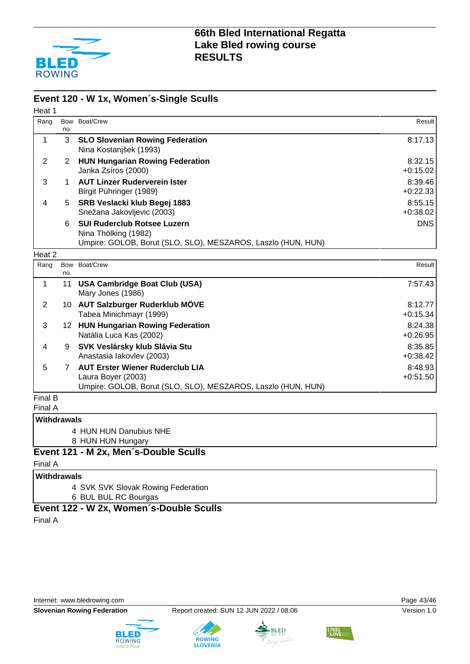

#### **Event 120 - W 1x, Women´s-Single Sculls**

| Heat 1      |                |                                                                                                                              |                       |
|-------------|----------------|------------------------------------------------------------------------------------------------------------------------------|-----------------------|
| Rang        | no.            | Bow Boat/Crew                                                                                                                | Result                |
| 1           | 3              | <b>SLO Slovenian Rowing Federation</b><br>Nina Kostanjšek (1993)                                                             | 8:17.13               |
| 2           | $\overline{2}$ | <b>HUN Hungarian Rowing Federation</b><br>Janka Zsíros (2000)                                                                | 8:32.15<br>$+0:15.02$ |
| 3           | 1              | <b>AUT Linzer Ruderverein Ister</b><br>Birgit Pühringer (1989)                                                               | 8:39.46<br>$+0:22.33$ |
| 4           | 5              | SRB Veslacki klub Begej 1883<br>Snežana Jakovljevic (2003)                                                                   | 8:55.15<br>$+0.38.02$ |
|             | 6              | <b>SUI Ruderclub Rotsee Luzern</b><br>Nina Thölking (1982)<br>Umpire: GOLOB, Borut (SLO, SLO), MESZAROS, Laszlo (HUN, HUN)   | <b>DNS</b>            |
| Heat 2      |                |                                                                                                                              |                       |
| Rang        | Bow<br>no.     | Boat/Crew                                                                                                                    | Result                |
| $\mathbf 1$ | 11             | <b>USA Cambridge Boat Club (USA)</b><br>Mary Jones (1986)                                                                    | 7:57.43               |
| 2           |                | 10 AUT Salzburger Ruderklub MÖVE<br>Tabea Minichmayr (1999)                                                                  | 8:12.77<br>$+0:15.34$ |
| 3           |                | 12 HUN Hungarian Rowing Federation<br>Natália Luca Kas (2002)                                                                | 8:24.38<br>$+0.26.95$ |
| 4           | 9              | SVK Veslársky klub Slávia Stu<br>Anastasia lakovlev (2003)                                                                   | 8:35.85<br>$+0:38.42$ |
| 5           | $\overline{7}$ | <b>AUT Erster Wiener Ruderclub LIA</b><br>Laura Boyer (2003)<br>Umpire: GOLOB, Borut (SLO, SLO), MESZAROS, Laszlo (HUN, HUN) | 8:48.93<br>$+0:51.50$ |
| Final B     |                |                                                                                                                              |                       |

Final A

#### **Withdrawals**

- 4 HUN HUN Danubius NHE
- 8 HUN HUN Hungary

#### **Event 121 - M 2x, Men´s-Double Sculls**

Final A

#### **Withdrawals**

4 SVK SVK Slovak Rowing Federation

6 BUL BUL RC Bourgas

#### **Event 122 - W 2x, Women´s-Double Sculls**

Final A

Internet: [www.bledrowing.com](http://www.bledrowing.com) Page 43/46





**ROWING** 



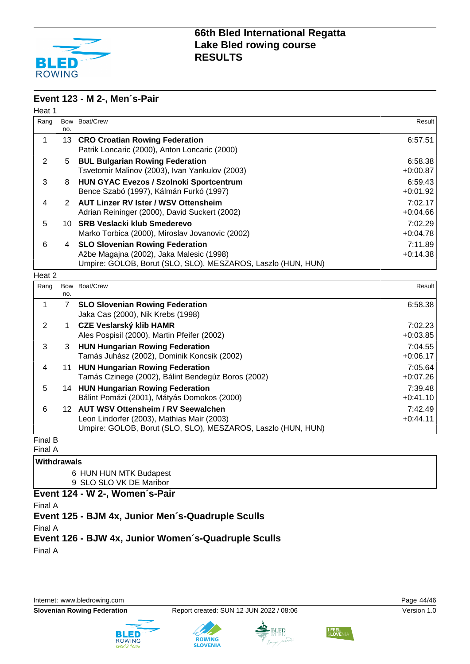

#### **Event 123 - M 2-, Men´s-Pair**

| Heat 1       |                 |                                                                                                                                                    |                       |
|--------------|-----------------|----------------------------------------------------------------------------------------------------------------------------------------------------|-----------------------|
| Rang         | no.             | Bow Boat/Crew                                                                                                                                      | Result                |
| 1            | 13              | <b>CRO Croatian Rowing Federation</b><br>Patrik Loncaric (2000), Anton Loncaric (2000)                                                             | 6:57.51               |
| 2            | 5               | <b>BUL Bulgarian Rowing Federation</b><br>Tsvetomir Malinov (2003), Ivan Yankulov (2003)                                                           | 6:58.38<br>$+0:00.87$ |
| 3            | 8               | HUN GYAC Evezos / Szolnoki Sportcentrum<br>Bence Szabó (1997), Kálmán Furkó (1997)                                                                 | 6:59.43<br>$+0:01.92$ |
| 4            | 2               | <b>AUT Linzer RV Ister / WSV Ottensheim</b><br>Adrian Reininger (2000), David Suckert (2002)                                                       | 7:02.17<br>$+0.04.66$ |
| 5            | 10              | <b>SRB Veslacki klub Smederevo</b><br>Marko Torbica (2000), Miroslav Jovanovic (2002)                                                              | 7:02.29<br>$+0:04.78$ |
| 6            | 4               | <b>SLO Slovenian Rowing Federation</b><br>Ažbe Magajna (2002), Jaka Malesic (1998)<br>Umpire: GOLOB, Borut (SLO, SLO), MESZAROS, Laszlo (HUN, HUN) | 7:11.89<br>$+0:14.38$ |
| Heat 2       |                 |                                                                                                                                                    |                       |
| Rang         | no.             | Bow Boat/Crew                                                                                                                                      | Result                |
| $\mathbf{1}$ | $\overline{7}$  | <b>SLO Slovenian Rowing Federation</b><br>Jaka Cas (2000), Nik Krebs (1998)                                                                        | 6:58.38               |
| 2            | 1               | <b>CZE Veslarský klib HAMR</b><br>Ales Pospisil (2000), Martin Pfeifer (2002)                                                                      | 7:02.23<br>$+0.03.85$ |
| 3            | 3               | <b>HUN Hungarian Rowing Federation</b><br>Tamás Juhász (2002), Dominik Koncsik (2002)                                                              | 7:04.55<br>$+0:06.17$ |
| 4            | 11              | <b>HUN Hungarian Rowing Federation</b><br>Tamás Czinege (2002), Bálint Bendegúz Boros (2002)                                                       | 7:05.64<br>$+0:07.26$ |
| 5            |                 | 14 HUN Hungarian Rowing Federation<br>Bálint Pomázi (2001), Mátyás Domokos (2000)                                                                  | 7:39.48<br>$+0:41.10$ |
| 6            | 12 <sup>2</sup> | <b>AUT WSV Ottensheim / RV Seewalchen</b><br>Leon Lindorfer (2003), Mathias Mair (2003)                                                            | 7:42.49<br>$+0:44.11$ |

Umpire: GOLOB, Borut (SLO, SLO), MESZAROS, Laszlo (HUN, HUN)

#### Final B

Final A

#### **Withdrawals**

6 HUN HUN MTK Budapest 9 SLO SLO VK DE Maribor

#### **Event 124 - W 2-, Women´s-Pair**

Final A

#### **Event 125 - BJM 4x, Junior Men´s-Quadruple Sculls**

Final A

#### **Event 126 - BJW 4x, Junior Women´s-Quadruple Sculls**

Final A

Internet: [www.bledrowing.com](http://www.bledrowing.com) Page 44/46





**ROWING** 



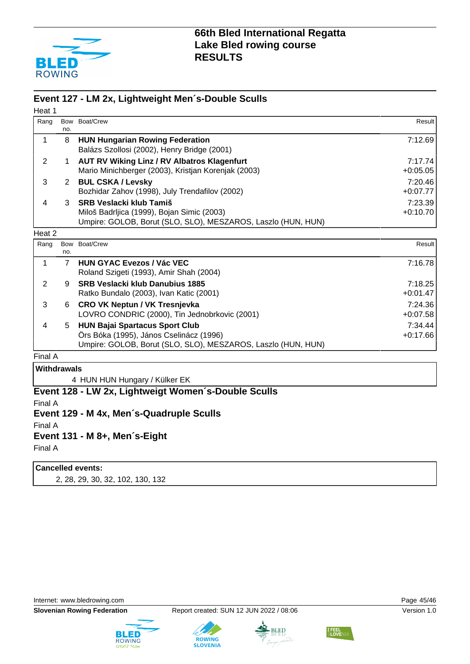

#### **Event 127 - LM 2x, Lightweight Men´s-Double Sculls**

| Heat 1             |                |                                                              |            |
|--------------------|----------------|--------------------------------------------------------------|------------|
| Rang               |                | Bow Boat/Crew                                                | Result     |
|                    | no.            |                                                              |            |
| 1                  | 8              | <b>HUN Hungarian Rowing Federation</b>                       | 7:12.69    |
|                    |                | Balázs Szollosi (2002), Henry Bridge (2001)                  |            |
| $\overline{2}$     | 1              | <b>AUT RV Wiking Linz / RV Albatros Klagenfurt</b>           | 7:17.74    |
|                    |                | Mario Minichberger (2003), Kristjan Korenjak (2003)          | $+0:05.05$ |
| 3                  | $\mathbf{2}$   | <b>BUL CSKA / Levsky</b>                                     | 7:20.46    |
|                    |                | Bozhidar Zahov (1998), July Trendafilov (2002)               | $+0:07.77$ |
| 4                  | 3              | <b>SRB Veslacki klub Tamiš</b>                               | 7:23.39    |
|                    |                | Miloš Badrljica (1999), Bojan Simic (2003)                   | $+0:10.70$ |
|                    |                | Umpire: GOLOB, Borut (SLO, SLO), MESZAROS, Laszlo (HUN, HUN) |            |
| Heat 2             |                |                                                              |            |
| Rang               |                | Bow Boat/Crew                                                | Result     |
|                    | no.            |                                                              |            |
| 1                  | $\overline{7}$ | <b>HUN GYAC Evezos / Vác VEC</b>                             | 7:16.78    |
|                    |                | Roland Szigeti (1993), Amir Shah (2004)                      |            |
| 2                  | 9              | <b>SRB Veslacki klub Danubius 1885</b>                       | 7:18.25    |
|                    |                | Ratko Bundalo (2003), Ivan Katic (2001)                      | $+0:01.47$ |
| 3                  | 6              | <b>CRO VK Neptun / VK Tresnjevka</b>                         | 7:24.36    |
|                    |                | LOVRO CONDRIC (2000), Tin Jednobrkovic (2001)                | $+0:07.58$ |
| 4                  | 5              | <b>HUN Bajai Spartacus Sport Club</b>                        | 7:34.44    |
|                    |                | Örs Bóka (1995), János Cselinácz (1996)                      | $+0:17.66$ |
|                    |                | Umpire: GOLOB, Borut (SLO, SLO), MESZAROS, Laszlo (HUN, HUN) |            |
| Final A            |                |                                                              |            |
| <b>Withdrawals</b> |                |                                                              |            |
|                    |                | 4 HUN HUN Hungary / Külker EK                                |            |
|                    |                | Event 128 - LW 2x, Lightweigt Women's-Double Sculls          |            |
| Final A            |                |                                                              |            |
|                    |                | Event 129 - M 4x, Men's-Quadruple Sculls                     |            |

Final A

#### **Event 131 - M 8+, Men´s-Eight**

Final A

#### **Cancelled events:**

2, 28, 29, 30, 32, 102, 130, 132

Internet: [www.bledrowing.com](http://www.bledrowing.com) example and the control of the Page 45/46